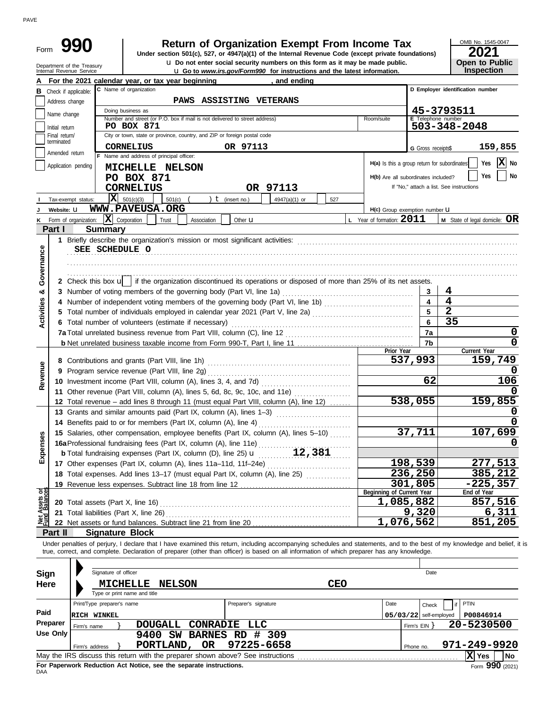| Form |                                                        |
|------|--------------------------------------------------------|
|      | Department of the Treasury<br>Internal Revenue Service |

# **990 2021 2010 2016 2021 Depend on Exempt From Income Tax 2021 2021 2021**

**u** Go to *www.irs.gov/Form990* for instructions and the latest information. **u** Do not enter social security numbers on this form as it may be made public.

OMB No. 1545-0047 **Open to Public<br>Inspection** 

|                                |                                 |                       | and ending<br>For the 2021 calendar year, or tax year beginning                                                                                                                                                                                   |                                              |                          |                                          |
|--------------------------------|---------------------------------|-----------------------|---------------------------------------------------------------------------------------------------------------------------------------------------------------------------------------------------------------------------------------------------|----------------------------------------------|--------------------------|------------------------------------------|
| В                              | Check if applicable:            |                       | C Name of organization                                                                                                                                                                                                                            |                                              |                          | D Employer identification number         |
|                                | Address change                  |                       | PAWS ASSISTING VETERANS                                                                                                                                                                                                                           |                                              |                          |                                          |
|                                | Name change                     |                       | Doing business as                                                                                                                                                                                                                                 |                                              |                          | 45-3793511                               |
|                                |                                 |                       | Number and street (or P.O. box if mail is not delivered to street address)                                                                                                                                                                        | Room/suite                                   | E Telephone number       |                                          |
|                                | Initial return<br>Final return/ |                       | <b>PO BOX 871</b><br>City or town, state or province, country, and ZIP or foreign postal code                                                                                                                                                     |                                              |                          | $503 - 348 - 2048$                       |
|                                | terminated                      |                       |                                                                                                                                                                                                                                                   |                                              |                          |                                          |
|                                | Amended return                  |                       | OR 97113<br><b>CORNELIUS</b>                                                                                                                                                                                                                      |                                              | G Gross receipts\$       | 159,855                                  |
|                                |                                 | Application pending   | F Name and address of principal officer:                                                                                                                                                                                                          | H(a) Is this a group return for subordinates |                          | $ \mathbf{X} $ No<br>Yes                 |
|                                |                                 |                       | MICHELLE NELSON                                                                                                                                                                                                                                   |                                              |                          | Yes<br>No                                |
|                                |                                 |                       | <b>PO BOX 871</b>                                                                                                                                                                                                                                 | H(b) Are all subordinates included?          |                          |                                          |
|                                |                                 |                       | OR 97113<br><b>CORNELIUS</b>                                                                                                                                                                                                                      |                                              |                          | If "No," attach a list. See instructions |
|                                |                                 | Tax-exempt status:    | X <br>501(c)(3)<br>$t$ (insert no.)<br>501(c)<br>4947(a)(1) or<br>527                                                                                                                                                                             |                                              |                          |                                          |
|                                | Website: U                      |                       | WWW.PAVEUSA.ORG                                                                                                                                                                                                                                   | H(c) Group exemption number <b>U</b>         |                          |                                          |
| ĸ                              |                                 | Form of organization: | $ \mathbf{X} $ Corporation<br>Other $\mathbf u$<br>Trust<br>Association                                                                                                                                                                           | L Year of formation: $2011$                  |                          | <b>M</b> State of legal domicile: $OR$   |
|                                | Part I                          |                       | <b>Summary</b>                                                                                                                                                                                                                                    |                                              |                          |                                          |
|                                |                                 |                       | 1 Briefly describe the organization's mission or most significant activities:                                                                                                                                                                     |                                              |                          |                                          |
|                                |                                 |                       | SEE SCHEDULE O                                                                                                                                                                                                                                    |                                              |                          |                                          |
|                                |                                 |                       |                                                                                                                                                                                                                                                   |                                              |                          |                                          |
| Governance                     |                                 |                       |                                                                                                                                                                                                                                                   |                                              |                          |                                          |
|                                |                                 |                       | 2 Check this box u   if the organization discontinued its operations or disposed of more than 25% of its net assets.                                                                                                                              |                                              |                          |                                          |
| య                              |                                 |                       | 3 Number of voting members of the governing body (Part VI, line 1a)                                                                                                                                                                               |                                              | 3                        | 4                                        |
|                                | 4                               |                       | Number of independent voting members of the governing body (Part VI, line 1b)                                                                                                                                                                     |                                              | $\blacktriangle$         | $\overline{\mathbf{4}}$                  |
| <b>Activities</b>              |                                 |                       |                                                                                                                                                                                                                                                   |                                              | 5                        | $\overline{2}$                           |
|                                |                                 |                       | 6 Total number of volunteers (estimate if necessary)                                                                                                                                                                                              |                                              | 6                        | 35                                       |
|                                |                                 |                       |                                                                                                                                                                                                                                                   |                                              | 7a                       | 0                                        |
|                                |                                 |                       |                                                                                                                                                                                                                                                   |                                              | 7b                       | $\mathbf 0$                              |
|                                |                                 |                       |                                                                                                                                                                                                                                                   | Prior Year                                   |                          | Current Year                             |
|                                |                                 |                       |                                                                                                                                                                                                                                                   |                                              | 537,993                  | 159,749                                  |
| Revenue                        | 9                               |                       | Program service revenue (Part VIII, line 2g)                                                                                                                                                                                                      |                                              |                          | O                                        |
|                                |                                 |                       |                                                                                                                                                                                                                                                   |                                              | 62                       | 106                                      |
|                                |                                 |                       | 11 Other revenue (Part VIII, column (A), lines 5, 6d, 8c, 9c, 10c, and 11e)                                                                                                                                                                       |                                              |                          |                                          |
|                                |                                 |                       | 12 Total revenue - add lines 8 through 11 (must equal Part VIII, column (A), line 12)                                                                                                                                                             |                                              | $\overline{538,055}$     | 159,855                                  |
|                                |                                 |                       | 13 Grants and similar amounts paid (Part IX, column (A), lines 1-3)                                                                                                                                                                               |                                              |                          | 0                                        |
|                                |                                 |                       | 14 Benefits paid to or for members (Part IX, column (A), line 4)                                                                                                                                                                                  |                                              |                          | 0                                        |
|                                |                                 |                       | 15 Salaries, other compensation, employee benefits (Part IX, column (A), lines 5-10)<br>15 Salaries, orner compensation, surface, column (A), line 11e)<br>16a Professional fundraising fees (Part IX, column (A), line 25) $\mathbf{u} = 12,381$ |                                              | 37,711                   | 107,699                                  |
| xpenses                        |                                 |                       |                                                                                                                                                                                                                                                   |                                              |                          | 0                                        |
| ш                              |                                 |                       |                                                                                                                                                                                                                                                   |                                              |                          |                                          |
|                                |                                 |                       | 17 Other expenses (Part IX, column (A), lines 11a-11d, 11f-24e)                                                                                                                                                                                   |                                              | 198,539                  | 277,513                                  |
|                                |                                 |                       | 18 Total expenses. Add lines 13-17 (must equal Part IX, column (A), line 25) [[[[[[[[[[[[[[[[[[[[[[[[[[[[[[[                                                                                                                                      |                                              | 236,250                  | 385,212                                  |
|                                |                                 |                       | 19 Revenue less expenses. Subtract line 18 from line 12                                                                                                                                                                                           | Beginning of Current Year                    | 301,805                  | $-225, 357$<br>End of Year               |
| Net Assets or<br>Fund Balances |                                 |                       | 20 Total assets (Part X, line 16)                                                                                                                                                                                                                 | 1,085,882                                    |                          | 857,516                                  |
|                                |                                 |                       | 21 Total liabilities (Part X, line 26)                                                                                                                                                                                                            |                                              | 9,320                    | 6,311                                    |
|                                |                                 |                       |                                                                                                                                                                                                                                                   | 1,076,562                                    |                          | 851,205                                  |
|                                | Part II                         |                       | <b>Signature Block</b>                                                                                                                                                                                                                            |                                              |                          |                                          |
|                                |                                 |                       | Under penalties of perjury, I declare that I have examined this return, including accompanying schedules and statements, and to the best of my knowledge and belief, it is                                                                        |                                              |                          |                                          |
|                                |                                 |                       | true, correct, and complete. Declaration of preparer (other than officer) is based on all information of which preparer has any knowledge.                                                                                                        |                                              |                          |                                          |
|                                |                                 |                       |                                                                                                                                                                                                                                                   |                                              |                          |                                          |
| <b>Sign</b>                    |                                 |                       | Signature of officer                                                                                                                                                                                                                              |                                              | Date                     |                                          |
| <b>Here</b>                    |                                 |                       | <b>CEO</b><br><b>MICHELLE</b><br><b>NELSON</b>                                                                                                                                                                                                    |                                              |                          |                                          |
|                                |                                 |                       | Type or print name and title                                                                                                                                                                                                                      |                                              |                          |                                          |
|                                |                                 |                       | Print/Type preparer's name<br>Preparer's signature                                                                                                                                                                                                | Date                                         | Check                    | PTIN<br>if                               |
| Paid                           |                                 | RICH WINKEL           |                                                                                                                                                                                                                                                   |                                              | $05/03/22$ self-employed | P00846914                                |
|                                | Preparer                        |                       | DOUGALL CONRADIE LLC                                                                                                                                                                                                                              |                                              |                          | 20-5230500                               |
|                                | <b>Use Only</b>                 | Firm's name           | 9400 SW BARNES RD # 309                                                                                                                                                                                                                           |                                              | Firm's $EIN$ }           |                                          |
|                                |                                 |                       | 97225-6658<br>PORTLAND,<br><b>OR</b>                                                                                                                                                                                                              |                                              |                          | 971-249-9920                             |
|                                |                                 | Firm's address        |                                                                                                                                                                                                                                                   |                                              | Phone no.                |                                          |
|                                |                                 |                       |                                                                                                                                                                                                                                                   |                                              |                          | $\mathbf{X}$ Yes<br><b>No</b>            |

|          | Print/Type preparer's name                                                              |                                                                                 | Preparer's signature | Date |                | Check                    |  | $\vert$ if $\vert$ PTIN |     |      |
|----------|-----------------------------------------------------------------------------------------|---------------------------------------------------------------------------------|----------------------|------|----------------|--------------------------|--|-------------------------|-----|------|
| Paid     | RICH WINKEL                                                                             |                                                                                 |                      |      |                | $05/03/22$ self-employed |  | P00846914               |     |      |
| Preparer | Firm's name                                                                             | DOUGALL                                                                         | CONRADIE LLC         |      | Firm's $EIN$ } |                          |  | 20-5230500              |     |      |
| Use Only |                                                                                         | 9400 SW BARNES RD # 309                                                         |                      |      |                |                          |  |                         |     |      |
|          | Firm's address                                                                          | PORTLAND, OR 97225-6658                                                         |                      |      | Phone no.      |                          |  | 971-249-9920            |     |      |
|          |                                                                                         | May the IRS discuss this return with the preparer shown above? See instructions |                      |      |                |                          |  |                         | Yes | l No |
|          | Form $990$ (2021)<br>For Paperwork Reduction Act Notice, see the separate instructions. |                                                                                 |                      |      |                |                          |  |                         |     |      |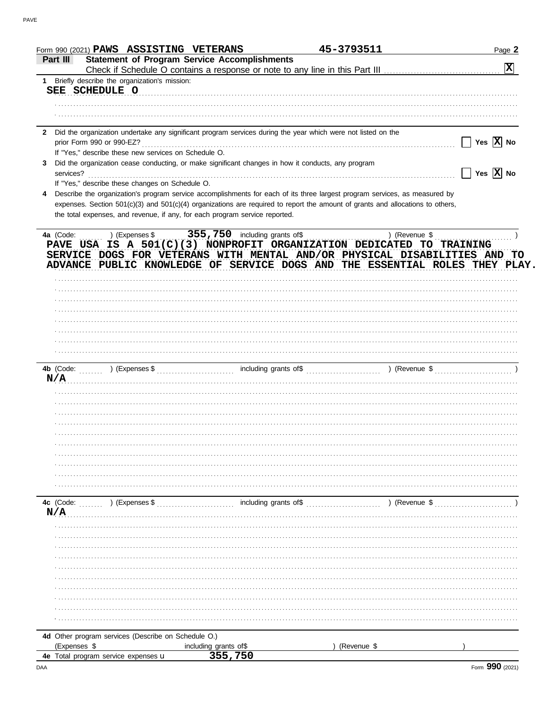| Part III         | Form 990 (2021) PAWS ASSISTING VETERANS              |                                                                                                    | 45-3793511                                                                                                                                                                                                                                                   | Page 2                                                  |
|------------------|------------------------------------------------------|----------------------------------------------------------------------------------------------------|--------------------------------------------------------------------------------------------------------------------------------------------------------------------------------------------------------------------------------------------------------------|---------------------------------------------------------|
|                  |                                                      | <b>Statement of Program Service Accomplishments</b>                                                |                                                                                                                                                                                                                                                              | $\boxed{\mathbf{X}}$                                    |
| SEE SCHEDULE O   | 1 Briefly describe the organization's mission:       |                                                                                                    |                                                                                                                                                                                                                                                              |                                                         |
|                  |                                                      |                                                                                                    |                                                                                                                                                                                                                                                              |                                                         |
|                  |                                                      |                                                                                                    |                                                                                                                                                                                                                                                              |                                                         |
|                  |                                                      |                                                                                                    | 2 Did the organization undertake any significant program services during the year which were not listed on the                                                                                                                                               |                                                         |
|                  |                                                      |                                                                                                    |                                                                                                                                                                                                                                                              | Yes $\overline{X}$ No                                   |
|                  | If "Yes," describe these new services on Schedule O. | Did the organization cease conducting, or make significant changes in how it conducts, any program |                                                                                                                                                                                                                                                              |                                                         |
|                  |                                                      |                                                                                                    | services? <b>contract and the contract of the contract of the contract of the contract of the contract of the contract of the contract of the contract of the contract of the contract of the contract of the contract of the co</b>                         | $\overline{\phantom{a}}$ Yes $\overline{\mathrm{X}}$ No |
|                  | If "Yes," describe these changes on Schedule O.      |                                                                                                    |                                                                                                                                                                                                                                                              |                                                         |
|                  |                                                      | the total expenses, and revenue, if any, for each program service reported.                        | Describe the organization's program service accomplishments for each of its three largest program services, as measured by<br>expenses. Section 501(c)(3) and 501(c)(4) organizations are required to report the amount of grants and allocations to others, |                                                         |
|                  |                                                      |                                                                                                    |                                                                                                                                                                                                                                                              |                                                         |
|                  |                                                      |                                                                                                    | PAVE USA IS A 501(C)(3) NONPROFIT ORGANIZATION DEDICATED TO TRAINING<br>SERVICE DOGS FOR VETERANS WITH MENTAL AND/OR PHYSICAL DISABILITIES AND TO<br>ADVANCE PUBLIC KNOWLEDGE OF SERVICE DOGS AND THE ESSENTIAL ROLES THEY PLAY.                             |                                                         |
|                  |                                                      |                                                                                                    |                                                                                                                                                                                                                                                              |                                                         |
|                  |                                                      |                                                                                                    |                                                                                                                                                                                                                                                              |                                                         |
|                  |                                                      |                                                                                                    |                                                                                                                                                                                                                                                              |                                                         |
|                  |                                                      |                                                                                                    |                                                                                                                                                                                                                                                              |                                                         |
|                  |                                                      |                                                                                                    |                                                                                                                                                                                                                                                              |                                                         |
|                  |                                                      |                                                                                                    |                                                                                                                                                                                                                                                              |                                                         |
|                  |                                                      |                                                                                                    |                                                                                                                                                                                                                                                              |                                                         |
|                  |                                                      |                                                                                                    |                                                                                                                                                                                                                                                              |                                                         |
|                  |                                                      |                                                                                                    |                                                                                                                                                                                                                                                              |                                                         |
|                  |                                                      | N/A                                                                                                |                                                                                                                                                                                                                                                              |                                                         |
|                  |                                                      |                                                                                                    |                                                                                                                                                                                                                                                              |                                                         |
|                  |                                                      |                                                                                                    |                                                                                                                                                                                                                                                              |                                                         |
|                  |                                                      |                                                                                                    |                                                                                                                                                                                                                                                              |                                                         |
|                  |                                                      |                                                                                                    |                                                                                                                                                                                                                                                              |                                                         |
|                  |                                                      |                                                                                                    |                                                                                                                                                                                                                                                              |                                                         |
|                  |                                                      |                                                                                                    |                                                                                                                                                                                                                                                              |                                                         |
|                  |                                                      |                                                                                                    |                                                                                                                                                                                                                                                              |                                                         |
|                  |                                                      |                                                                                                    |                                                                                                                                                                                                                                                              |                                                         |
|                  |                                                      |                                                                                                    |                                                                                                                                                                                                                                                              |                                                         |
|                  | $(1, 1, 1, 1, 1)$ (Expenses \$                       | including grants of\$                                                                              | ) (Revenue \$                                                                                                                                                                                                                                                |                                                         |
|                  |                                                      |                                                                                                    |                                                                                                                                                                                                                                                              |                                                         |
|                  |                                                      |                                                                                                    |                                                                                                                                                                                                                                                              |                                                         |
|                  |                                                      |                                                                                                    |                                                                                                                                                                                                                                                              |                                                         |
|                  |                                                      |                                                                                                    |                                                                                                                                                                                                                                                              |                                                         |
|                  |                                                      |                                                                                                    |                                                                                                                                                                                                                                                              |                                                         |
|                  |                                                      |                                                                                                    |                                                                                                                                                                                                                                                              |                                                         |
|                  |                                                      |                                                                                                    |                                                                                                                                                                                                                                                              |                                                         |
| 4c (Code:<br>N/A |                                                      |                                                                                                    |                                                                                                                                                                                                                                                              |                                                         |
|                  |                                                      |                                                                                                    |                                                                                                                                                                                                                                                              |                                                         |
|                  |                                                      |                                                                                                    |                                                                                                                                                                                                                                                              |                                                         |
| (Expenses \$     | 4d Other program services (Describe on Schedule O.)  | including grants of\$                                                                              | (Revenue \$                                                                                                                                                                                                                                                  |                                                         |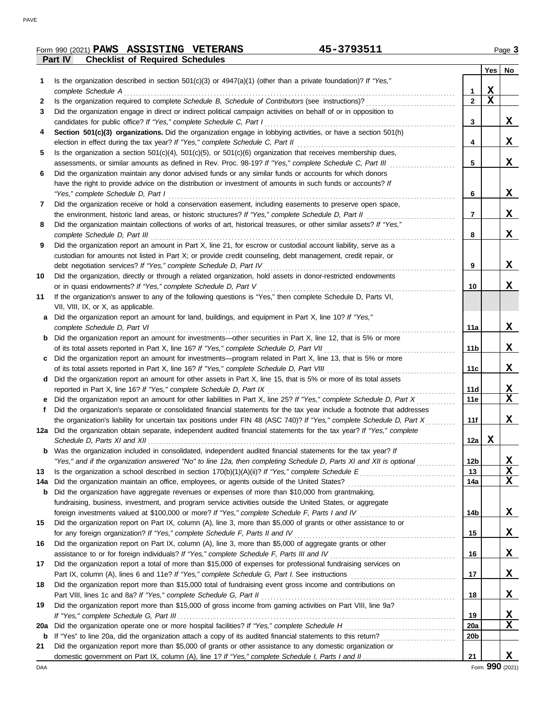**Part IV Checklist of Required Schedules** Form 990 (2021) Page **3 PAWS ASSISTING VETERANS 45-3793511**

|     |                                                                                                                                                                                                                                |                        | Yes         | No               |
|-----|--------------------------------------------------------------------------------------------------------------------------------------------------------------------------------------------------------------------------------|------------------------|-------------|------------------|
| 1   | Is the organization described in section $501(c)(3)$ or $4947(a)(1)$ (other than a private foundation)? If "Yes,"                                                                                                              |                        |             |                  |
|     | complete Schedule A expression and the set of the schedule A expression and the set of the set of the set of the set of the set of the set of the set of the set of the set of the set of the set of the set of the set of the | 1                      | $\mathbf X$ |                  |
| 2   |                                                                                                                                                                                                                                | $\mathbf{2}$           | $\mathbf X$ |                  |
| 3   | Did the organization engage in direct or indirect political campaign activities on behalf of or in opposition to                                                                                                               |                        |             |                  |
|     | candidates for public office? If "Yes," complete Schedule C, Part I                                                                                                                                                            | 3                      |             | X                |
| 4   | Section 501(c)(3) organizations. Did the organization engage in lobbying activities, or have a section 501(h)                                                                                                                  |                        |             |                  |
|     |                                                                                                                                                                                                                                | 4                      |             | X                |
| 5   | Is the organization a section $501(c)(4)$ , $501(c)(5)$ , or $501(c)(6)$ organization that receives membership dues,                                                                                                           |                        |             |                  |
|     | assessments, or similar amounts as defined in Rev. Proc. 98-19? If "Yes," complete Schedule C, Part III                                                                                                                        | 5                      |             | X                |
| 6   | Did the organization maintain any donor advised funds or any similar funds or accounts for which donors                                                                                                                        |                        |             |                  |
|     | have the right to provide advice on the distribution or investment of amounts in such funds or accounts? If                                                                                                                    |                        |             |                  |
|     | "Yes," complete Schedule D, Part I                                                                                                                                                                                             | 6                      |             | X                |
| 7   | Did the organization receive or hold a conservation easement, including easements to preserve open space,                                                                                                                      |                        |             |                  |
|     | the environment, historic land areas, or historic structures? If "Yes," complete Schedule D, Part II                                                                                                                           | $\overline{7}$         |             | X                |
| 8   | Did the organization maintain collections of works of art, historical treasures, or other similar assets? If "Yes,"                                                                                                            |                        |             |                  |
|     | complete Schedule D, Part III                                                                                                                                                                                                  | 8                      |             | X                |
| 9   | Did the organization report an amount in Part X, line 21, for escrow or custodial account liability, serve as a                                                                                                                |                        |             |                  |
|     | custodian for amounts not listed in Part X; or provide credit counseling, debt management, credit repair, or                                                                                                                   |                        |             |                  |
|     |                                                                                                                                                                                                                                | 9                      |             | X                |
| 10  | Did the organization, directly or through a related organization, hold assets in donor-restricted endowments                                                                                                                   |                        |             |                  |
|     | or in quasi endowments? If "Yes," complete Schedule D, Part V<br>If the organization's answer to any of the following questions is "Yes," then complete Schedule D, Parts VI,                                                  | 10                     |             | X                |
| 11  | VII, VIII, IX, or X, as applicable.                                                                                                                                                                                            |                        |             |                  |
|     | a Did the organization report an amount for land, buildings, and equipment in Part X, line 10? If "Yes,"                                                                                                                       |                        |             |                  |
|     | complete Schedule D, Part VI                                                                                                                                                                                                   | 11a                    |             | X                |
|     | <b>b</b> Did the organization report an amount for investments—other securities in Part X, line 12, that is 5% or more                                                                                                         |                        |             |                  |
|     |                                                                                                                                                                                                                                | 11b                    |             | X                |
| c   | Did the organization report an amount for investments—program related in Part X, line 13, that is 5% or more                                                                                                                   |                        |             |                  |
|     |                                                                                                                                                                                                                                | 11c                    |             | X                |
| d   | Did the organization report an amount for other assets in Part X, line 15, that is 5% or more of its total assets                                                                                                              |                        |             |                  |
|     |                                                                                                                                                                                                                                | 11d                    |             | $\mathbf x$      |
| е   | Did the organization report an amount for other liabilities in Part X, line 25? If "Yes," complete Schedule D, Part X                                                                                                          | 11e                    |             | $\mathbf x$      |
| f   | Did the organization's separate or consolidated financial statements for the tax year include a footnote that addresses                                                                                                        |                        |             |                  |
|     | the organization's liability for uncertain tax positions under FIN 48 (ASC 740)? If "Yes," complete Schedule D, Part X                                                                                                         | 11f                    |             | X                |
|     | 12a Did the organization obtain separate, independent audited financial statements for the tax year? If "Yes," complete                                                                                                        |                        |             |                  |
|     |                                                                                                                                                                                                                                | 12a                    | X           |                  |
|     | Was the organization included in consolidated, independent audited financial statements for the tax year? If                                                                                                                   |                        |             |                  |
|     | "Yes," and if the organization answered "No" to line 12a, then completing Schedule D, Parts XI and XII is optional                                                                                                             | 12 <sub>b</sub>        |             | X                |
| 13  |                                                                                                                                                                                                                                | 13                     |             | X                |
| 14a |                                                                                                                                                                                                                                | 14a                    |             | $\mathbf x$      |
| b   | Did the organization have aggregate revenues or expenses of more than \$10,000 from grantmaking,                                                                                                                               |                        |             |                  |
|     | fundraising, business, investment, and program service activities outside the United States, or aggregate                                                                                                                      |                        |             |                  |
|     |                                                                                                                                                                                                                                | 14b                    |             | X                |
| 15  | Did the organization report on Part IX, column (A), line 3, more than \$5,000 of grants or other assistance to or                                                                                                              |                        |             |                  |
|     | for any foreign organization? If "Yes," complete Schedule F, Parts II and IV                                                                                                                                                   | 15                     |             | X                |
| 16  | Did the organization report on Part IX, column (A), line 3, more than \$5,000 of aggregate grants or other                                                                                                                     |                        |             |                  |
|     |                                                                                                                                                                                                                                | 16                     |             | X                |
| 17  | Did the organization report a total of more than \$15,000 of expenses for professional fundraising services on                                                                                                                 |                        |             |                  |
|     |                                                                                                                                                                                                                                | 17                     |             | X                |
| 18  | Did the organization report more than \$15,000 total of fundraising event gross income and contributions on                                                                                                                    |                        |             |                  |
|     | Part VIII, lines 1c and 8a? If "Yes," complete Schedule G, Part II                                                                                                                                                             | 18                     |             | $\mathbf x$      |
| 19  | Did the organization report more than \$15,000 of gross income from gaming activities on Part VIII, line 9a?                                                                                                                   |                        |             |                  |
|     | Did the organization operate one or more hospital facilities? If "Yes," complete Schedule H                                                                                                                                    | 19                     |             | X<br>$\mathbf X$ |
| 20a |                                                                                                                                                                                                                                | 20a<br>20 <sub>b</sub> |             |                  |
| b   |                                                                                                                                                                                                                                |                        |             |                  |
| 21  | Did the organization report more than \$5,000 of grants or other assistance to any domestic organization or                                                                                                                    | 21                     |             | X                |
|     |                                                                                                                                                                                                                                |                        |             |                  |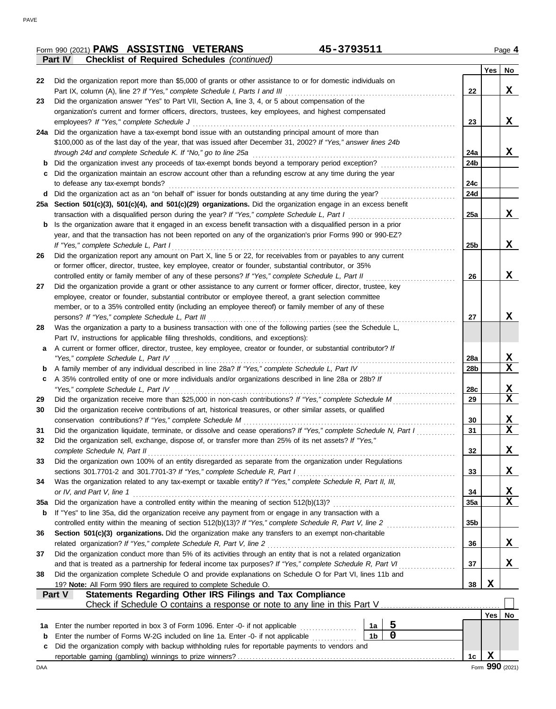| Form 990 (2021) $PANS$ $ASSISTING$ $VERTERANS$                                                                   | 45-3793511 |        |       | Page 4 |
|------------------------------------------------------------------------------------------------------------------|------------|--------|-------|--------|
| <b>Checklist of Required Schedules (continued)</b><br><b>Part IV</b>                                             |            |        |       |        |
|                                                                                                                  |            |        | Yes I | No     |
| 22 Did the organization report more than \$5,000 of grants or other assistance to or for domestic individuals on |            |        |       |        |
| Dout IV solvess (A) line 00 If (Ves " complete Cahodule I Doute Lond III                                         |            | $\sim$ |       |        |

|     | <b>Checklist of Required Schedules (continued)</b><br><b>Part IV</b>                                                                                                                                                                                                                                                                         |            |             |                         |
|-----|----------------------------------------------------------------------------------------------------------------------------------------------------------------------------------------------------------------------------------------------------------------------------------------------------------------------------------------------|------------|-------------|-------------------------|
|     |                                                                                                                                                                                                                                                                                                                                              |            | Yes         | No                      |
| 22  | Did the organization report more than \$5,000 of grants or other assistance to or for domestic individuals on                                                                                                                                                                                                                                |            |             |                         |
| 23  | Part IX, column (A), line 2? If "Yes," complete Schedule I, Parts I and III<br>Did the organization answer "Yes" to Part VII, Section A, line 3, 4, or 5 about compensation of the                                                                                                                                                           | 22         |             | X                       |
|     | organization's current and former officers, directors, trustees, key employees, and highest compensated                                                                                                                                                                                                                                      |            |             |                         |
|     | employees? If "Yes," complete Schedule J                                                                                                                                                                                                                                                                                                     | 23         |             | X                       |
| 24a | Did the organization have a tax-exempt bond issue with an outstanding principal amount of more than                                                                                                                                                                                                                                          |            |             |                         |
|     | \$100,000 as of the last day of the year, that was issued after December 31, 2002? If "Yes," answer lines 24b                                                                                                                                                                                                                                |            |             |                         |
|     | through 24d and complete Schedule K. If "No," go to line 25a                                                                                                                                                                                                                                                                                 | 24a        |             | X                       |
| b   |                                                                                                                                                                                                                                                                                                                                              | 24b        |             |                         |
| c   | Did the organization maintain an escrow account other than a refunding escrow at any time during the year                                                                                                                                                                                                                                    |            |             |                         |
|     | to defease any tax-exempt bonds?                                                                                                                                                                                                                                                                                                             | 24c        |             |                         |
| d   | Did the organization act as an "on behalf of" issuer for bonds outstanding at any time during the year?                                                                                                                                                                                                                                      | 24d        |             |                         |
|     | 25a Section 501(c)(3), 501(c)(4), and 501(c)(29) organizations. Did the organization engage in an excess benefit                                                                                                                                                                                                                             |            |             |                         |
|     | transaction with a disqualified person during the year? If "Yes," complete Schedule L, Part I                                                                                                                                                                                                                                                | 25a        |             | X                       |
| b   | Is the organization aware that it engaged in an excess benefit transaction with a disqualified person in a prior                                                                                                                                                                                                                             |            |             |                         |
|     | year, and that the transaction has not been reported on any of the organization's prior Forms 990 or 990-EZ?                                                                                                                                                                                                                                 |            |             |                         |
|     | If "Yes," complete Schedule L, Part I                                                                                                                                                                                                                                                                                                        | 25b        |             | X                       |
| 26  | Did the organization report any amount on Part X, line 5 or 22, for receivables from or payables to any current                                                                                                                                                                                                                              |            |             |                         |
|     | or former officer, director, trustee, key employee, creator or founder, substantial contributor, or 35%                                                                                                                                                                                                                                      |            |             |                         |
|     | controlled entity or family member of any of these persons? If "Yes," complete Schedule L, Part II                                                                                                                                                                                                                                           | 26         |             | X                       |
| 27  | Did the organization provide a grant or other assistance to any current or former officer, director, trustee, key                                                                                                                                                                                                                            |            |             |                         |
|     | employee, creator or founder, substantial contributor or employee thereof, a grant selection committee                                                                                                                                                                                                                                       |            |             |                         |
|     | member, or to a 35% controlled entity (including an employee thereof) or family member of any of these                                                                                                                                                                                                                                       |            |             |                         |
|     | persons? If "Yes," complete Schedule L, Part III                                                                                                                                                                                                                                                                                             | 27         |             | x                       |
| 28  | Was the organization a party to a business transaction with one of the following parties (see the Schedule L,                                                                                                                                                                                                                                |            |             |                         |
|     | Part IV, instructions for applicable filing thresholds, conditions, and exceptions):                                                                                                                                                                                                                                                         |            |             |                         |
| a   | A current or former officer, director, trustee, key employee, creator or founder, or substantial contributor? If                                                                                                                                                                                                                             |            |             |                         |
|     | "Yes," complete Schedule L, Part IV                                                                                                                                                                                                                                                                                                          | 28a        |             | X                       |
| b   |                                                                                                                                                                                                                                                                                                                                              | 28b        |             | X                       |
| c   | A 35% controlled entity of one or more individuals and/or organizations described in line 28a or 28b? If                                                                                                                                                                                                                                     |            |             |                         |
|     | "Yes," complete Schedule L, Part IV                                                                                                                                                                                                                                                                                                          | 28c        |             | X<br>X                  |
| 29  |                                                                                                                                                                                                                                                                                                                                              | 29         |             |                         |
| 30  | Did the organization receive contributions of art, historical treasures, or other similar assets, or qualified<br>conservation contributions? If "Yes," complete Schedule M                                                                                                                                                                  |            |             |                         |
| 31  | Did the organization liquidate, terminate, or dissolve and cease operations? If "Yes," complete Schedule N, Part I                                                                                                                                                                                                                           | 30<br>31   |             | <u>x</u><br>$\mathbf X$ |
| 32  | Did the organization sell, exchange, dispose of, or transfer more than 25% of its net assets? If "Yes,"                                                                                                                                                                                                                                      |            |             |                         |
|     |                                                                                                                                                                                                                                                                                                                                              | 32         |             | <u>x</u>                |
| 33  | complete Schedule N, Part II et al. (2008) and the set of the schedule N and T and T and T and T and T and T and T and T and T and T and T and T and T and T and T and T and T and T and T and T and T and T and T and T and T<br>Did the organization own 100% of an entity disregarded as separate from the organization under Regulations |            |             |                         |
|     | sections 301.7701-2 and 301.7701-3? If "Yes," complete Schedule R, Part I                                                                                                                                                                                                                                                                    | 33         |             | X                       |
| 34  | Was the organization related to any tax-exempt or taxable entity? If "Yes," complete Schedule R, Part II, III,                                                                                                                                                                                                                               |            |             |                         |
|     | or IV, and Part V, line 1                                                                                                                                                                                                                                                                                                                    | 34         |             | <u>x</u>                |
| 35a |                                                                                                                                                                                                                                                                                                                                              | <b>35a</b> |             | X                       |
| b   | If "Yes" to line 35a, did the organization receive any payment from or engage in any transaction with a                                                                                                                                                                                                                                      |            |             |                         |
|     | controlled entity within the meaning of section 512(b)(13)? If "Yes," complete Schedule R, Part V, line 2                                                                                                                                                                                                                                    | 35b        |             |                         |
| 36  | Section 501(c)(3) organizations. Did the organization make any transfers to an exempt non-charitable                                                                                                                                                                                                                                         |            |             |                         |
|     | related organization? If "Yes," complete Schedule R, Part V, line 2                                                                                                                                                                                                                                                                          | 36         |             | X                       |
| 37  | Did the organization conduct more than 5% of its activities through an entity that is not a related organization                                                                                                                                                                                                                             |            |             |                         |
|     | and that is treated as a partnership for federal income tax purposes? If "Yes," complete Schedule R, Part VI                                                                                                                                                                                                                                 | 37         |             | X                       |
| 38  | Did the organization complete Schedule O and provide explanations on Schedule O for Part VI, lines 11b and                                                                                                                                                                                                                                   |            |             |                         |
|     | 19? Note: All Form 990 filers are required to complete Schedule O.                                                                                                                                                                                                                                                                           | 38         | $\mathbf x$ |                         |
|     | Statements Regarding Other IRS Filings and Tax Compliance<br>Part V                                                                                                                                                                                                                                                                          |            |             |                         |
|     |                                                                                                                                                                                                                                                                                                                                              |            |             |                         |
|     |                                                                                                                                                                                                                                                                                                                                              |            | Yes         | No                      |
| 1a  | $\overline{\mathbf{5}}$<br>Enter the number reported in box 3 of Form 1096. Enter -0- if not applicable<br>1a                                                                                                                                                                                                                                |            |             |                         |
| b   | $\overline{\mathbf{0}}$<br>1 <sub>b</sub><br>Enter the number of Forms W-2G included on line 1a. Enter -0- if not applicable                                                                                                                                                                                                                 |            |             |                         |
| c   | Did the organization comply with backup withholding rules for reportable payments to vendors and                                                                                                                                                                                                                                             |            |             |                         |
|     |                                                                                                                                                                                                                                                                                                                                              | 1c         | X           |                         |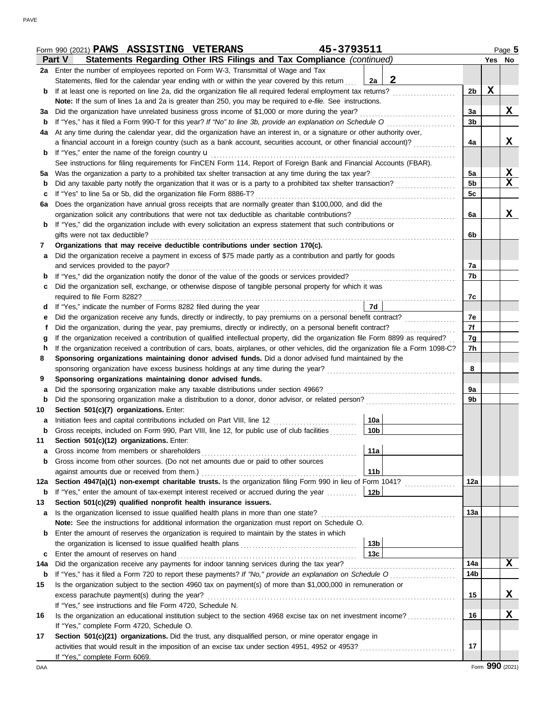|         | Form 990 (2021) PAWS ASSISTING VETERANS                                                                                            | 45-3793511 |                 |   |                |             | Page 5          |
|---------|------------------------------------------------------------------------------------------------------------------------------------|------------|-----------------|---|----------------|-------------|-----------------|
|         | Statements Regarding Other IRS Filings and Tax Compliance (continued)<br>Part V                                                    |            |                 |   |                |             | Yes No          |
|         | 2a Enter the number of employees reported on Form W-3, Transmittal of Wage and Tax                                                 |            |                 |   |                |             |                 |
|         | Statements, filed for the calendar year ending with or within the year covered by this return                                      |            | 2a              | 2 |                |             |                 |
| b       | If at least one is reported on line 2a, did the organization file all required federal employment tax returns?                     |            |                 |   | 2b             | $\mathbf X$ |                 |
|         | Note: If the sum of lines 1a and 2a is greater than 250, you may be required to e-file. See instructions.                          |            |                 |   |                |             |                 |
| За      | Did the organization have unrelated business gross income of \$1,000 or more during the year?                                      |            |                 |   | 3a             |             | X               |
| b       | If "Yes," has it filed a Form 990-T for this year? If "No" to line 3b, provide an explanation on Schedule O                        |            |                 |   | 3b             |             |                 |
| 4a      | At any time during the calendar year, did the organization have an interest in, or a signature or other authority over,            |            |                 |   |                |             |                 |
|         | a financial account in a foreign country (such as a bank account, securities account, or other financial account)?                 |            |                 |   | 4a             |             | X               |
| b       | If "Yes," enter the name of the foreign country <b>u</b>                                                                           |            |                 |   |                |             |                 |
|         | See instructions for filing requirements for FinCEN Form 114, Report of Foreign Bank and Financial Accounts (FBAR).                |            |                 |   |                |             |                 |
| 5а      | Was the organization a party to a prohibited tax shelter transaction at any time during the tax year?                              |            |                 |   | 5a             |             | X               |
| b       | Did any taxable party notify the organization that it was or is a party to a prohibited tax shelter transaction?                   |            |                 |   | 5 <sub>b</sub> |             | X               |
| с       | If "Yes" to line 5a or 5b, did the organization file Form 8886-T?                                                                  |            |                 |   | 5c             |             |                 |
| 6а      | Does the organization have annual gross receipts that are normally greater than \$100,000, and did the                             |            |                 |   |                |             |                 |
|         | organization solicit any contributions that were not tax deductible as charitable contributions?                                   |            |                 |   | 6a             |             | X               |
| b       | If "Yes," did the organization include with every solicitation an express statement that such contributions or                     |            |                 |   |                |             |                 |
|         | gifts were not tax deductible?                                                                                                     |            |                 |   | 6b             |             |                 |
| 7       | Organizations that may receive deductible contributions under section 170(c).                                                      |            |                 |   |                |             |                 |
| a       | Did the organization receive a payment in excess of \$75 made partly as a contribution and partly for goods                        |            |                 |   |                |             |                 |
|         | and services provided to the payor?                                                                                                |            |                 |   | 7a             |             |                 |
| b       |                                                                                                                                    |            |                 |   | 7b             |             |                 |
| с       | Did the organization sell, exchange, or otherwise dispose of tangible personal property for which it was                           |            |                 |   |                |             |                 |
|         | required to file Form 8282?                                                                                                        |            |                 |   | 7c             |             |                 |
| d       | If "Yes," indicate the number of Forms 8282 filed during the year                                                                  |            | 7d              |   |                |             |                 |
| е       |                                                                                                                                    |            |                 |   | 7e             |             |                 |
| t       | Did the organization, during the year, pay premiums, directly or indirectly, on a personal benefit contract?                       |            |                 |   | 7f             |             |                 |
|         | If the organization received a contribution of qualified intellectual property, did the organization file Form 8899 as required?   |            |                 |   | 7g             |             |                 |
| g<br>h  | If the organization received a contribution of cars, boats, airplanes, or other vehicles, did the organization file a Form 1098-C? |            |                 |   | 7h             |             |                 |
| 8       | Sponsoring organizations maintaining donor advised funds. Did a donor advised fund maintained by the                               |            |                 |   |                |             |                 |
|         |                                                                                                                                    |            |                 |   | 8              |             |                 |
| 9       | Sponsoring organizations maintaining donor advised funds.                                                                          |            |                 |   |                |             |                 |
|         | Did the sponsoring organization make any taxable distributions under section 4966?                                                 |            |                 |   | 9a             |             |                 |
| a       |                                                                                                                                    |            |                 |   | 9b             |             |                 |
| b<br>10 | Section 501(c)(7) organizations. Enter:                                                                                            |            |                 |   |                |             |                 |
|         |                                                                                                                                    |            | 10a             |   |                |             |                 |
| а       | Gross receipts, included on Form 990, Part VIII, line 12, for public use of club facilities                                        |            | 10b             |   |                |             |                 |
| 11      | Section 501(c)(12) organizations. Enter:                                                                                           |            |                 |   |                |             |                 |
| a       | Gross income from members or shareholders                                                                                          |            | 11a             |   |                |             |                 |
| b       | Gross income from other sources. (Do not net amounts due or paid to other sources                                                  |            |                 |   |                |             |                 |
|         |                                                                                                                                    |            | 11 <sub>b</sub> |   |                |             |                 |
| 12a     | Section 4947(a)(1) non-exempt charitable trusts. Is the organization filing Form 990 in lieu of Form 1041?                         |            |                 |   | 12a            |             |                 |
| b       | If "Yes," enter the amount of tax-exempt interest received or accrued during the year                                              |            | 12b             |   |                |             |                 |
| 13      | Section 501(c)(29) qualified nonprofit health insurance issuers.                                                                   |            |                 |   |                |             |                 |
| а       | Is the organization licensed to issue qualified health plans in more than one state?                                               |            |                 |   | 13a            |             |                 |
|         | Note: See the instructions for additional information the organization must report on Schedule O.                                  |            |                 |   |                |             |                 |
| b       | Enter the amount of reserves the organization is required to maintain by the states in which                                       |            |                 |   |                |             |                 |
|         |                                                                                                                                    |            | 13 <sub>b</sub> |   |                |             |                 |
| c       | Enter the amount of reserves on hand                                                                                               |            | 13 <sub>c</sub> |   |                |             |                 |
| 14a     | Did the organization receive any payments for indoor tanning services during the tax year?                                         |            |                 |   | 14a            |             | X               |
| b       | If "Yes," has it filed a Form 720 to report these payments? If "No," provide an explanation on Schedule O                          |            |                 |   | 14b            |             |                 |
| 15      | Is the organization subject to the section 4960 tax on payment(s) of more than \$1,000,000 in remuneration or                      |            |                 |   |                |             |                 |
|         | excess parachute payment(s) during the year?                                                                                       |            |                 |   | 15             |             | X               |
|         | If "Yes," see instructions and file Form 4720, Schedule N.                                                                         |            |                 |   |                |             |                 |
| 16      | Is the organization an educational institution subject to the section 4968 excise tax on net investment income?                    |            |                 |   | 16             |             | X               |
|         | If "Yes," complete Form 4720, Schedule O.                                                                                          |            |                 |   |                |             |                 |
| 17      | Section 501(c)(21) organizations. Did the trust, any disqualified person, or mine operator engage in                               |            |                 |   |                |             |                 |
|         |                                                                                                                                    |            |                 |   | 17             |             |                 |
|         | If "Yes," complete Form 6069.                                                                                                      |            |                 |   |                |             |                 |
| DAA     |                                                                                                                                    |            |                 |   |                |             | Form 990 (2021) |
|         |                                                                                                                                    |            |                 |   |                |             |                 |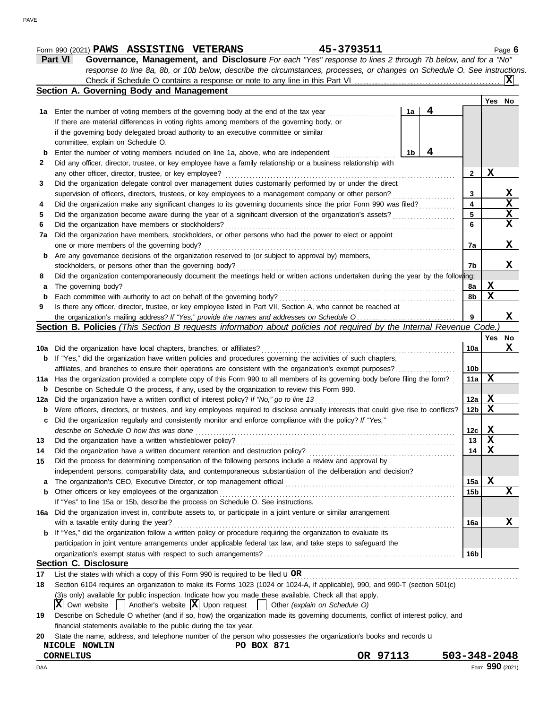PAVE

Form 990 (2021) Page **6 PAWS ASSISTING VETERANS 45-3793511**

| <b>Part VI</b> | Governance, Management, and Disclosure For each "Yes" response to lines 2 through 7b below, and for a "No"                |
|----------------|---------------------------------------------------------------------------------------------------------------------------|
|                | response to line 8a, 8b, or 10b below, describe the circumstances, processes, or changes on Schedule O. See instructions. |
|                |                                                                                                                           |
|                |                                                                                                                           |

|     |                                                                                                                                     |                 | Yes         | No                      |
|-----|-------------------------------------------------------------------------------------------------------------------------------------|-----------------|-------------|-------------------------|
| 1а  | 4<br>Enter the number of voting members of the governing body at the end of the tax year<br>1a                                      |                 |             |                         |
|     | If there are material differences in voting rights among members of the governing body, or                                          |                 |             |                         |
|     | if the governing body delegated broad authority to an executive committee or similar                                                |                 |             |                         |
|     | committee, explain on Schedule O.                                                                                                   |                 |             |                         |
| b   | Enter the number of voting members included on line 1a, above, who are independent<br>1b<br>4                                       |                 |             |                         |
| 2   | Did any officer, director, trustee, or key employee have a family relationship or a business relationship with                      |                 |             |                         |
|     | any other officer, director, trustee, or key employee?                                                                              | 2               | X           |                         |
| 3   | Did the organization delegate control over management duties customarily performed by or under the direct                           |                 |             |                         |
|     | supervision of officers, directors, trustees, or key employees to a management company or other person?                             | 3               |             | X                       |
| 4   | Did the organization make any significant changes to its governing documents since the prior Form 990 was filed?                    | 4               |             | $\overline{\mathbf{x}}$ |
| 5   | Did the organization become aware during the year of a significant diversion of the organization's assets?                          | 5               |             | $\overline{\mathbf{X}}$ |
| 6   | Did the organization have members or stockholders?                                                                                  | 6               |             | $\overline{\mathbf{x}}$ |
| 7a  | Did the organization have members, stockholders, or other persons who had the power to elect or appoint                             |                 |             |                         |
|     | one or more members of the governing body?                                                                                          | 7a              |             | X                       |
| b   | Are any governance decisions of the organization reserved to (or subject to approval by) members,                                   |                 |             |                         |
|     | stockholders, or persons other than the governing body?                                                                             | 7b              |             | X                       |
| 8   | Did the organization contemporaneously document the meetings held or written actions undertaken during the year by the following:   |                 |             |                         |
|     | The governing body?                                                                                                                 | 8a              | X           |                         |
| а   | Each committee with authority to act on behalf of the governing body?                                                               | 8b              | $\mathbf x$ |                         |
| b   | Is there any officer, director, trustee, or key employee listed in Part VII, Section A, who cannot be reached at                    |                 |             |                         |
| 9   |                                                                                                                                     |                 |             |                         |
|     | Section B. Policies (This Section B requests information about policies not required by the Internal Revenue Code.                  | 9               |             | X                       |
|     |                                                                                                                                     |                 |             |                         |
|     |                                                                                                                                     |                 | Yes         | No                      |
| 10a | Did the organization have local chapters, branches, or affiliates?                                                                  | 10a             |             | X                       |
| b   | If "Yes," did the organization have written policies and procedures governing the activities of such chapters,                      |                 |             |                         |
|     | affiliates, and branches to ensure their operations are consistent with the organization's exempt purposes?                         | 10 <sub>b</sub> |             |                         |
| 11a | Has the organization provided a complete copy of this Form 990 to all members of its governing body before filing the form?         | 11a             | X           |                         |
| b   | Describe on Schedule O the process, if any, used by the organization to review this Form 990.                                       |                 |             |                         |
| 12a | Did the organization have a written conflict of interest policy? If "No," go to line 13                                             | 12a             | $\mathbf x$ |                         |
| b   | Were officers, directors, or trustees, and key employees required to disclose annually interests that could give rise to conflicts? | 12 <sub>b</sub> | $\mathbf x$ |                         |
| c   | Did the organization regularly and consistently monitor and enforce compliance with the policy? If "Yes,"                           |                 |             |                         |
|     | describe on Schedule O how this was done                                                                                            | 12c             | X           |                         |
| 13  | Did the organization have a written whistleblower policy?                                                                           | 13              | $\mathbf x$ |                         |
| 14  | Did the organization have a written document retention and destruction policy?                                                      | 14              | X           |                         |
| 15  | Did the process for determining compensation of the following persons include a review and approval by                              |                 |             |                         |
|     | independent persons, comparability data, and contemporaneous substantiation of the deliberation and decision?                       |                 |             |                         |
| a   |                                                                                                                                     | 15a             | $\mathbf x$ |                         |
| b   | Other officers or key employees of the organization                                                                                 | 15 <sub>b</sub> |             | X                       |
|     | If "Yes" to line 15a or 15b, describe the process on Schedule O. See instructions.                                                  |                 |             |                         |
| 16а | Did the organization invest in, contribute assets to, or participate in a joint venture or similar arrangement                      |                 |             |                         |
|     | with a taxable entity during the year?                                                                                              | 16a             |             | X                       |
| b   | If "Yes," did the organization follow a written policy or procedure requiring the organization to evaluate its                      |                 |             |                         |
|     | participation in joint venture arrangements under applicable federal tax law, and take steps to safeguard the                       |                 |             |                         |
|     |                                                                                                                                     | 16 <sub>b</sub> |             |                         |
|     | <b>Section C. Disclosure</b>                                                                                                        |                 |             |                         |
| 17  | List the states with which a copy of this Form 990 is required to be filed $\mathbf{u}$ OR                                          |                 |             |                         |
| 18  | Section 6104 requires an organization to make its Forms 1023 (1024 or 1024-A, if applicable), 990, and 990-T (section 501(c)        |                 |             |                         |
|     | (3)s only) available for public inspection. Indicate how you made these available. Check all that apply.                            |                 |             |                         |
|     | Own website $\vert$   Another's website $\vert X \vert$ Upon request<br>Other (explain on Schedule O)<br>XI<br>$\perp$              |                 |             |                         |
| 19  | Describe on Schedule O whether (and if so, how) the organization made its governing documents, conflict of interest policy, and     |                 |             |                         |
|     | financial statements available to the public during the tax year.                                                                   |                 |             |                         |

| mandal diatomonio available to the pablic damig the tax year.                                                       |
|---------------------------------------------------------------------------------------------------------------------|
| 20 State the name, address, and telephone number of the person who possesses the organization's books and records u |

| NICOLE NOWLIN | PO BOX 871 |         |
|---------------|------------|---------|
| CORNELIUS     |            | OR 9711 |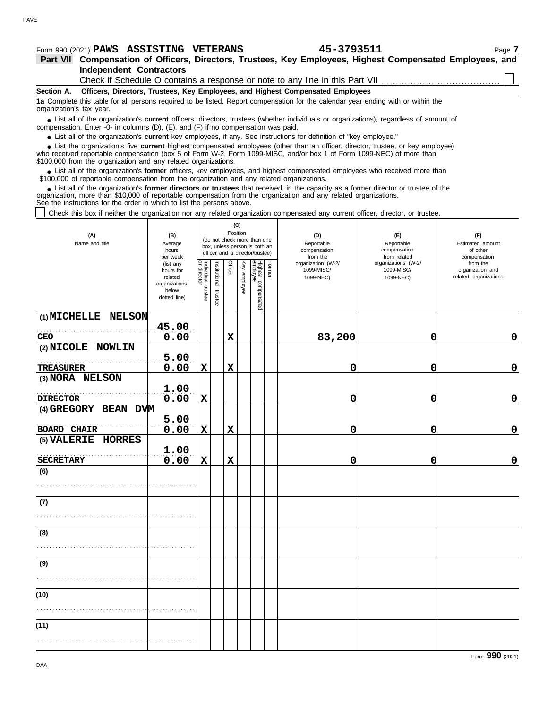### **Independent Contractors** Check if Schedule O contains a response or note to any line in this Part VII **Officers, Directors, Trustees, Key Employees, and Highest Compensated Employees Section A. 1a** Complete this table for all persons required to be listed. Report compensation for the calendar year ending with or within the organization's tax year. ■ List all of the organization's **current** officers, directors, trustees (whether individuals or organizations), regardless of amount of the organization Enter -0- in columns (D), (E), and (E) if no compensation was paid compensation. Enter -0- in columns (D), (E), and (F) if no compensation was paid. ● List all of the organization's **current** key employees, if any. See instructions for definition of "key employee." ■ List the organization's five **current** highest compensated employees (other than an officer, director, trustee, or key employee)<br> **•** received reportable compensation (box 5 of Form W-2, Form 1000-MISC, and/or box 1 of who received reportable compensation (box 5 of Form W-2, Form 1099-MISC, and/or box 1 of Form 1099-NEC) of more than \$100,000 from the organization and any related organizations. ■ List all of the organization's **former** officers, key employees, and highest compensated employees who received more than<br>00,000 of reportable compensation from the organization and any related organizations \$100,000 of reportable compensation from the organization and any related organizations. ■ List all of the organization's **former directors or trustees** that received, in the capacity as a former director or trustee of the<br>enization, more than \$10,000 of reportable compensation from the organization and any r organization, more than \$10,000 of reportable compensation from the organization and any related organizations. See the instructions for the order in which to list the persons above. Check this box if neither the organization nor any related organization compensated any current officer, director, or trustee. **(C)** Position **(A) (B) (D) (E) (F)** (do not check more than one Name and title Average Reportable Reportable Estimated amount box, unless person is both an hours compensation<br>from the compensation of other officer and a director/trustee) per week from related compensation organization (W-2/ (list any organizations (W-2/ from the or director Key employee Former Individual trustee Institutional trustee ndividual éy Istitutional Officer ighest compensated<br>mployee 1099-MISC/ 1099-MISC/ organization and hours for enployee related organizations related 1099-NEC) 1099-NEC) organizations trustee below trustee dotted line) **(1) MICHELLE NELSON 45.00** . . . . . . . . . . . . . . . . . . . . . . . . . . . . . . . . . . . . . . . . . . . . . . . . . . . . . **CEO 0.00 X 83,200 0 0 (2) NICOLE NOWLIN 5.00** . . . . . . . . . . . . . . . . . . . . . . . . . . . . . . . . . . . . . . . . . . . . . . . . . . . . . **TREASURER 0.00 X X 0 0 0 (3) NORA NELSON 1.00** . . . . . . . . . . . . . . . . . . . . . . . . . . . . . . . . . . . . . . . . . . . . . . . . . . . . . **DIRECTOR 0.00 X 0 0 0 (4) GREGORY BEAN DVM 5.00**

**0.00 X X 0 0 0**

**0.00 X X 0 0 0**

Form 990 (2021) Page **7 PAWS ASSISTING VETERANS 45-3793511**

**Part VII Compensation of Officers, Directors, Trustees, Key Employees, Highest Compensated Employees, and**

DAA

**(6)**

. . . . . . . . . . . . . . . . . . . . . . . . . . . . . . . . . . . . . . . . . . . . . . . . . . . . .

**SECRETARY**

**BOARD CHAIR**

**(7)**

. . . . . . . . . . . . . . . . . . . . . . . . . . . . . . . . . . . . . . . . . . . . . . . . . . . . .

. . . . . . . . . . . . . . . . . . . . . . . . . . . . . . . . . . . . . . . . . . . . . . . . . . . . .

**(8)**

**(9)**

**(10)**

**(11)**

**(5) VALERIE HORRES**

. . . . . . . . . . . . . . . . . . . . . . . . . . . . . . . . . . . . . . . . . . . . . . . . . . . . .

**1.00**

. . . . . . . . . . . . . . . . . . . . . . . . . . . . . . . . . . . . . . . . . . . . . . . . . . . . .

. . . . . . . . . . . . . . . . . . . . . . . . . . . . . . . . . . . . . . . . . . . . . . . . . . . . .

. . . . . . . . . . . . . . . . . . . . . . . . . . . . . . . . . . . . . . . . . . . . . . . . . . . . .

. . . . . . . . . . . . . . . . . . . . . . . . . . . . . . . . . . . . . . . . . . . . . . . . . . . . .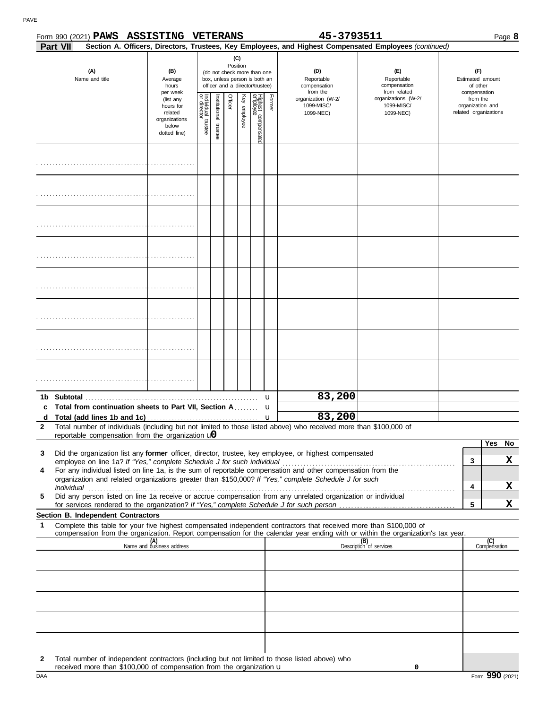| Part VII<br>(A)<br>Name and title                                                                                                                                                                                                                                                                                                                    | (B)<br>Average<br>hours<br>per week                                         | (C)<br>Position<br>(do not check more than one<br>box, unless person is both an<br>officer and a director/trustee) |                       |         |              | (D)<br>Reportable<br>compensation<br>from the |        | Section A. Officers, Directors, Trustees, Key Employees, and Highest Compensated Employees (continued)<br>(E)<br>Reportable<br>compensation<br>from related | (F)<br>Estimated amount<br>of other<br>compensation<br>from the |                                           |
|------------------------------------------------------------------------------------------------------------------------------------------------------------------------------------------------------------------------------------------------------------------------------------------------------------------------------------------------------|-----------------------------------------------------------------------------|--------------------------------------------------------------------------------------------------------------------|-----------------------|---------|--------------|-----------------------------------------------|--------|-------------------------------------------------------------------------------------------------------------------------------------------------------------|-----------------------------------------------------------------|-------------------------------------------|
|                                                                                                                                                                                                                                                                                                                                                      | (list any<br>hours for<br>related<br>organizations<br>below<br>dotted line) | Individual<br>or director<br>trustee                                                                               | Institutional trustee | Officer | Key employee | Highest compensated<br>employee               | Former | organization (W-2/<br>1099-MISC/<br>1099-NEC)                                                                                                               | organizations (W-2/<br>1099-MISC/<br>1099-NEC)                  | organization and<br>related organizations |
|                                                                                                                                                                                                                                                                                                                                                      |                                                                             |                                                                                                                    |                       |         |              |                                               |        |                                                                                                                                                             |                                                                 |                                           |
|                                                                                                                                                                                                                                                                                                                                                      |                                                                             |                                                                                                                    |                       |         |              |                                               |        |                                                                                                                                                             |                                                                 |                                           |
|                                                                                                                                                                                                                                                                                                                                                      |                                                                             |                                                                                                                    |                       |         |              |                                               |        |                                                                                                                                                             |                                                                 |                                           |
|                                                                                                                                                                                                                                                                                                                                                      |                                                                             |                                                                                                                    |                       |         |              |                                               |        |                                                                                                                                                             |                                                                 |                                           |
|                                                                                                                                                                                                                                                                                                                                                      |                                                                             |                                                                                                                    |                       |         |              |                                               |        |                                                                                                                                                             |                                                                 |                                           |
|                                                                                                                                                                                                                                                                                                                                                      |                                                                             |                                                                                                                    |                       |         |              |                                               |        |                                                                                                                                                             |                                                                 |                                           |
|                                                                                                                                                                                                                                                                                                                                                      |                                                                             |                                                                                                                    |                       |         |              |                                               |        |                                                                                                                                                             |                                                                 |                                           |
|                                                                                                                                                                                                                                                                                                                                                      |                                                                             |                                                                                                                    |                       |         |              |                                               |        |                                                                                                                                                             |                                                                 |                                           |
|                                                                                                                                                                                                                                                                                                                                                      |                                                                             |                                                                                                                    |                       |         |              |                                               | u      | 83,200                                                                                                                                                      |                                                                 |                                           |
| c<br>d                                                                                                                                                                                                                                                                                                                                               |                                                                             |                                                                                                                    |                       |         |              |                                               | u      | 83,200                                                                                                                                                      |                                                                 |                                           |
| Total number of individuals (including but not limited to those listed above) who received more than \$100,000 of<br>$\mathbf{2}$<br>reportable compensation from the organization $\mathbf{u}$                                                                                                                                                      |                                                                             |                                                                                                                    |                       |         |              |                                               |        |                                                                                                                                                             |                                                                 | Yes<br>No                                 |
| Did the organization list any former officer, director, trustee, key employee, or highest compensated<br>3                                                                                                                                                                                                                                           |                                                                             |                                                                                                                    |                       |         |              |                                               |        |                                                                                                                                                             |                                                                 |                                           |
| For any individual listed on line 1a, is the sum of reportable compensation and other compensation from the<br>4<br>organization and related organizations greater than \$150,000? If "Yes," complete Schedule J for such                                                                                                                            |                                                                             |                                                                                                                    |                       |         |              |                                               |        |                                                                                                                                                             |                                                                 | X<br>3                                    |
| individual with a construction of the construction of the construction of the construction of the construction of the construction of the construction of the construction of the construction of the construction of the cons<br>Did any person listed on line 1a receive or accrue compensation from any unrelated organization or individual<br>5 |                                                                             |                                                                                                                    |                       |         |              |                                               |        |                                                                                                                                                             |                                                                 | X<br>4                                    |
|                                                                                                                                                                                                                                                                                                                                                      |                                                                             |                                                                                                                    |                       |         |              |                                               |        |                                                                                                                                                             |                                                                 | X<br>5                                    |
| Section B. Independent Contractors<br>Complete this table for your five highest compensated independent contractors that received more than \$100,000 of<br>1                                                                                                                                                                                        |                                                                             |                                                                                                                    |                       |         |              |                                               |        |                                                                                                                                                             |                                                                 |                                           |
| compensation from the organization. Report compensation for the calendar year ending with or within the organization's tax year.                                                                                                                                                                                                                     | (A)<br>Name and business address                                            |                                                                                                                    |                       |         |              |                                               |        |                                                                                                                                                             | (B)<br>Description of services                                  | (C)<br>Compensation                       |
|                                                                                                                                                                                                                                                                                                                                                      |                                                                             |                                                                                                                    |                       |         |              |                                               |        |                                                                                                                                                             |                                                                 |                                           |
|                                                                                                                                                                                                                                                                                                                                                      |                                                                             |                                                                                                                    |                       |         |              |                                               |        |                                                                                                                                                             |                                                                 |                                           |
|                                                                                                                                                                                                                                                                                                                                                      |                                                                             |                                                                                                                    |                       |         |              |                                               |        |                                                                                                                                                             |                                                                 |                                           |
|                                                                                                                                                                                                                                                                                                                                                      |                                                                             |                                                                                                                    |                       |         |              |                                               |        |                                                                                                                                                             |                                                                 |                                           |

**2** Total number of independent contractors (including but not limited to those listed above) who received more than  $$100,000$  of compensation from the organization  $\bf{u}$ 

**0**

| Form 990 (2021) <b>PAWS</b> | <b>ASSISTING</b> | VETERANS | 45-3793511 | 3000<br>- 6<br>aue |
|-----------------------------|------------------|----------|------------|--------------------|
|                             |                  |          |            |                    |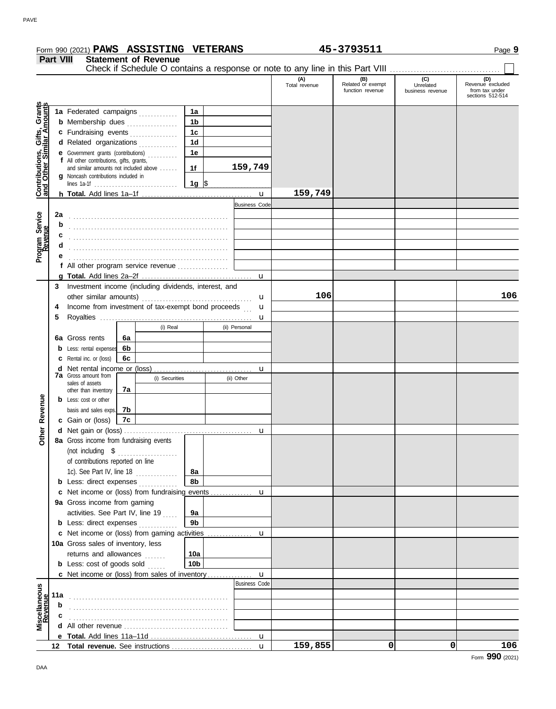|    |                                                                               |    |                |                |                                                       |                      | (A)<br>Total revenue | (B)<br>Related or exempt | (C)<br>Unrelated | (D)<br>Revenue excluded            |
|----|-------------------------------------------------------------------------------|----|----------------|----------------|-------------------------------------------------------|----------------------|----------------------|--------------------------|------------------|------------------------------------|
|    |                                                                               |    |                |                |                                                       |                      |                      | function revenue         | business revenue | from tax under<br>sections 512-514 |
|    | 1a Federated campaigns                                                        |    |                | 1a             |                                                       |                      |                      |                          |                  |                                    |
|    | <b>b</b> Membership dues                                                      |    | .              | 1 <sub>b</sub> |                                                       |                      |                      |                          |                  |                                    |
|    | c Fundraising events                                                          |    |                | 1 <sub>c</sub> |                                                       |                      |                      |                          |                  |                                    |
|    | d Related organizations                                                       |    |                | 1 <sub>d</sub> |                                                       |                      |                      |                          |                  |                                    |
|    | e Government grants (contributions)                                           |    | .              | 1e             |                                                       |                      |                      |                          |                  |                                    |
|    | f All other contributions, gifts, grants,                                     |    |                |                |                                                       |                      |                      |                          |                  |                                    |
|    | and similar amounts not included above<br>g Noncash contributions included in |    |                | 1f             |                                                       | 159,749              |                      |                          |                  |                                    |
|    |                                                                               |    |                | 1g $\sqrt{5}$  |                                                       |                      |                      |                          |                  |                                    |
|    |                                                                               |    |                |                |                                                       |                      | 159,749              |                          |                  |                                    |
|    |                                                                               |    |                |                |                                                       | <b>Business Code</b> |                      |                          |                  |                                    |
| 2a |                                                                               |    |                |                |                                                       |                      |                      |                          |                  |                                    |
|    |                                                                               |    |                |                |                                                       |                      |                      |                          |                  |                                    |
|    |                                                                               |    |                |                |                                                       |                      |                      |                          |                  |                                    |
|    |                                                                               |    |                |                |                                                       |                      |                      |                          |                  |                                    |
|    |                                                                               |    |                |                |                                                       |                      |                      |                          |                  |                                    |
|    | f All other program service revenue $\ldots$                                  |    |                |                |                                                       |                      |                      |                          |                  |                                    |
|    |                                                                               |    |                |                |                                                       |                      |                      |                          |                  |                                    |
|    |                                                                               |    |                |                |                                                       |                      |                      |                          |                  |                                    |
|    |                                                                               |    |                |                |                                                       |                      |                      |                          |                  |                                    |
| 3  |                                                                               |    |                |                | Investment income (including dividends, interest, and |                      |                      |                          |                  |                                    |
|    | other similar amounts)                                                        |    |                | .              |                                                       | u                    | 106                  |                          |                  |                                    |
| 4  | Income from investment of tax-exempt bond proceeds                            |    |                |                |                                                       | u                    |                      |                          |                  |                                    |
| 5  |                                                                               |    |                |                |                                                       | u                    |                      |                          |                  |                                    |
|    |                                                                               |    | (i) Real       |                | (ii) Personal                                         |                      |                      |                          |                  |                                    |
|    | 6a Gross rents                                                                | 6a |                |                |                                                       |                      |                      |                          |                  |                                    |
|    | <b>b</b> Less: rental expenses                                                | 6b |                |                |                                                       |                      |                      |                          |                  |                                    |
|    | <b>c</b> Rental inc. or (loss)                                                | 6c |                |                |                                                       |                      |                      |                          |                  |                                    |
| d  | Net rental income or (loss)                                                   |    |                |                |                                                       | u                    |                      |                          |                  |                                    |
|    | <b>7a</b> Gross amount from                                                   |    | (i) Securities |                | (ii) Other                                            |                      |                      |                          |                  |                                    |
|    | sales of assets<br>other than inventory                                       | 7a |                |                |                                                       |                      |                      |                          |                  |                                    |
|    | <b>b</b> Less: cost or other                                                  |    |                |                |                                                       |                      |                      |                          |                  |                                    |
|    | basis and sales exps.                                                         | 7b |                |                |                                                       |                      |                      |                          |                  |                                    |
|    | c Gain or (loss)                                                              | 7c |                |                |                                                       |                      |                      |                          |                  |                                    |
|    |                                                                               |    |                |                |                                                       | u                    |                      |                          |                  |                                    |
|    | 8a Gross income from fundraising events                                       |    |                |                |                                                       |                      |                      |                          |                  |                                    |
|    |                                                                               |    |                |                |                                                       |                      |                      |                          |                  |                                    |
|    | (not including $$$                                                            |    |                |                |                                                       |                      |                      |                          |                  |                                    |
|    | of contributions reported on line                                             |    |                |                |                                                       |                      |                      |                          |                  |                                    |
|    | 1c). See Part IV, line 18                                                     |    | .              | 8a             |                                                       |                      |                      |                          |                  |                                    |
|    | <b>b</b> Less: direct expenses                                                |    |                | 8b             |                                                       |                      |                      |                          |                  |                                    |
|    | c Net income or (loss) from fundraising events                                |    |                |                |                                                       | u                    |                      |                          |                  |                                    |
|    | 9a Gross income from gaming<br>activities. See Part IV, line 19               |    |                | 9а             |                                                       |                      |                      |                          |                  |                                    |

u

u

u

u

Business Code

Form 990 (2021) Page **9 PAWS ASSISTING VETERANS 45-3793511**

**Miscellaneous**

**Miscellaneous** 

**11a b c**

Net income or (loss) from gaming activities . . . . . . . . . . . . . . . **c**

Net income or (loss) from sales of inventory . . . . . . . . . . . . . . . **c**

. . . . . . . . . . . . . . . . . . . . . . . . . . . . . . . . . . . . . . . . . . . . . . . . . . . . .

**10a 10b**

**d** All other revenue . . . . . . . . . . . . . . . . . . . . . . . . . . . . . . . . . . . **e Total.** Add lines 11a–11d . . . . . . . . . . . . . . . . . . . . . . . . . . . . . . . . . . **Total revenue.** See instructions . . . . . . . . . . . . . . . . . . . . . . . . . . . **12**

. . . . . . . . . . . . . . . . . . . . . . . . . . . . . . . . . . . . . . . . . . . . . . . . . . . . .

10a Gross sales of inventory, less returns and allowances ....... **b** Less:  $\cosh$  of goods  $\sinh$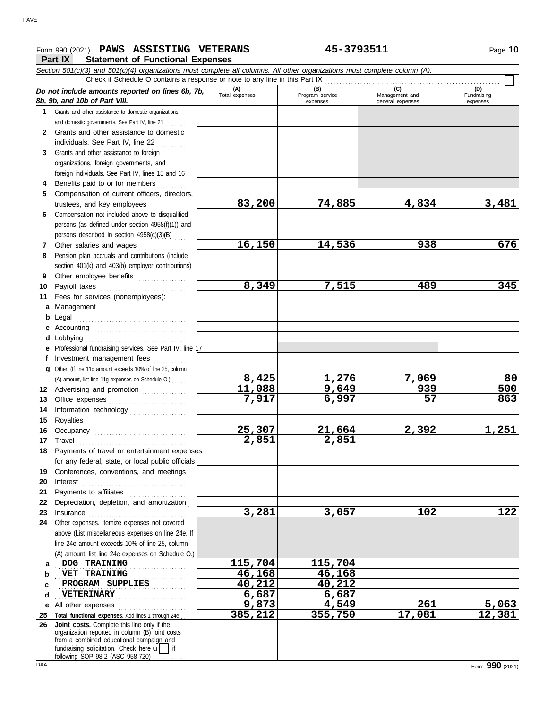## **Form 990 (2021) PAWS ASSISTING VETERANS 45-3793511** Page 10

### **Part IX Statement of Functional Expenses**

|                 | <b>UNIVERSITY OF FUNCTIONAL EXPOSSI</b>                                                                                                                                                                                                                                                                                                                                                                                                                                                                                 |                       |                                    |                                           |                                |
|-----------------|-------------------------------------------------------------------------------------------------------------------------------------------------------------------------------------------------------------------------------------------------------------------------------------------------------------------------------------------------------------------------------------------------------------------------------------------------------------------------------------------------------------------------|-----------------------|------------------------------------|-------------------------------------------|--------------------------------|
|                 | Section 501(c)(3) and 501(c)(4) organizations must complete all columns. All other organizations must complete column (A).                                                                                                                                                                                                                                                                                                                                                                                              |                       |                                    |                                           |                                |
|                 | Check if Schedule O contains a response or note to any line in this Part IX                                                                                                                                                                                                                                                                                                                                                                                                                                             |                       |                                    |                                           |                                |
|                 | Do not include amounts reported on lines 6b, $\n  i$ b,<br>8b, 9b, and 10b of Part VIII.                                                                                                                                                                                                                                                                                                                                                                                                                                | (A)<br>Total expenses | (B)<br>Program service<br>expenses | (C)<br>Management and<br>general expenses | (D)<br>Fundraising<br>expenses |
|                 | 1 Grants and other assistance to domestic organizations                                                                                                                                                                                                                                                                                                                                                                                                                                                                 |                       |                                    |                                           |                                |
|                 | and domestic governments. See Part IV, line 21                                                                                                                                                                                                                                                                                                                                                                                                                                                                          |                       |                                    |                                           |                                |
| $\mathbf{2}$    | Grants and other assistance to domestic                                                                                                                                                                                                                                                                                                                                                                                                                                                                                 |                       |                                    |                                           |                                |
|                 | individuals. See Part IV, line 22                                                                                                                                                                                                                                                                                                                                                                                                                                                                                       |                       |                                    |                                           |                                |
| 3               | Grants and other assistance to foreign                                                                                                                                                                                                                                                                                                                                                                                                                                                                                  |                       |                                    |                                           |                                |
|                 | organizations, foreign governments, and                                                                                                                                                                                                                                                                                                                                                                                                                                                                                 |                       |                                    |                                           |                                |
|                 | foreign individuals. See Part IV, lines 15 and 16                                                                                                                                                                                                                                                                                                                                                                                                                                                                       |                       |                                    |                                           |                                |
| 4               | Benefits paid to or for members                                                                                                                                                                                                                                                                                                                                                                                                                                                                                         |                       |                                    |                                           |                                |
| 5               | Compensation of current officers, directors,                                                                                                                                                                                                                                                                                                                                                                                                                                                                            |                       |                                    |                                           |                                |
|                 | trustees, and key employees                                                                                                                                                                                                                                                                                                                                                                                                                                                                                             | 83,200                | 74,885                             | 4,834                                     | 3,481                          |
| 6               | Compensation not included above to disqualified                                                                                                                                                                                                                                                                                                                                                                                                                                                                         |                       |                                    |                                           |                                |
|                 | persons (as defined under section 4958(f)(1)) and                                                                                                                                                                                                                                                                                                                                                                                                                                                                       |                       |                                    |                                           |                                |
|                 | persons described in section 4958(c)(3)(B)                                                                                                                                                                                                                                                                                                                                                                                                                                                                              |                       |                                    |                                           |                                |
| 7               | Other salaries and wages<br>.                                                                                                                                                                                                                                                                                                                                                                                                                                                                                           | 16,150                | 14,536                             | 938                                       | 676                            |
| 8               | Pension plan accruals and contributions (include                                                                                                                                                                                                                                                                                                                                                                                                                                                                        |                       |                                    |                                           |                                |
|                 | section 401(k) and 403(b) employer contributions)                                                                                                                                                                                                                                                                                                                                                                                                                                                                       |                       |                                    |                                           |                                |
| 9               | Other employee benefits                                                                                                                                                                                                                                                                                                                                                                                                                                                                                                 |                       |                                    |                                           |                                |
| 10              | Payroll taxes                                                                                                                                                                                                                                                                                                                                                                                                                                                                                                           | 8,349                 | 7,515                              | 489                                       | 345                            |
| 11              | Fees for services (nonemployees):                                                                                                                                                                                                                                                                                                                                                                                                                                                                                       |                       |                                    |                                           |                                |
|                 | Management<br>a                                                                                                                                                                                                                                                                                                                                                                                                                                                                                                         |                       |                                    |                                           |                                |
|                 | Legal<br>b                                                                                                                                                                                                                                                                                                                                                                                                                                                                                                              |                       |                                    |                                           |                                |
|                 | c                                                                                                                                                                                                                                                                                                                                                                                                                                                                                                                       |                       |                                    |                                           |                                |
|                 | Lobbying<br>d                                                                                                                                                                                                                                                                                                                                                                                                                                                                                                           |                       |                                    |                                           |                                |
| е               | Professional fundraising services. See Part IV, line 17                                                                                                                                                                                                                                                                                                                                                                                                                                                                 |                       |                                    |                                           |                                |
| f               | Investment management fees<br>Other. (If line 11g amount exceeds 10% of line 25, column                                                                                                                                                                                                                                                                                                                                                                                                                                 |                       |                                    |                                           |                                |
|                 | a<br>(A) amount, list line 11g expenses on Schedule O.)                                                                                                                                                                                                                                                                                                                                                                                                                                                                 | <u>8,425</u>          |                                    | 7,069                                     | 80                             |
| 12              | Advertising and promotion                                                                                                                                                                                                                                                                                                                                                                                                                                                                                               | 11,088                | <u>1,276</u><br>9,649              | 939                                       | 500                            |
| 13              | Office expenses                                                                                                                                                                                                                                                                                                                                                                                                                                                                                                         | 7,917                 | 6,997                              | 57                                        | 863                            |
| 14              | Information technology                                                                                                                                                                                                                                                                                                                                                                                                                                                                                                  |                       |                                    |                                           |                                |
| 15              | Royalties                                                                                                                                                                                                                                                                                                                                                                                                                                                                                                               |                       |                                    |                                           |                                |
| 16              |                                                                                                                                                                                                                                                                                                                                                                                                                                                                                                                         | 25,307                | 21,664                             | 2,392                                     | <u>1,251</u>                   |
| 17 <sub>1</sub> | $\begin{minipage}[c]{0.9\linewidth} \begin{tabular}{l} \hline \textbf{Travel} \end{tabular} \end{minipage} \end{minipage} \begin{minipage}[c]{0.9\linewidth} \begin{tabular}{l} \hline \textbf{True} \end{tabular} \end{minipage} \end{minipage} \begin{minipage}[c]{0.9\linewidth} \begin{tabular}{l} \hline \textbf{True} \end{tabular} \end{minipage} \end{minipage} \begin{minipage}[c]{0.9\linewidth} \begin{tabular}{l} \hline \textbf{True} \end{tabular} \end{minipage} \end{minipage} \begin{minipage}[c]{0.9$ | 2,851                 | 2,851                              |                                           |                                |
|                 | 18 Payments of travel or entertainment expenses                                                                                                                                                                                                                                                                                                                                                                                                                                                                         |                       |                                    |                                           |                                |
|                 | for any federal, state, or local public officials                                                                                                                                                                                                                                                                                                                                                                                                                                                                       |                       |                                    |                                           |                                |
| 19              | Conferences, conventions, and meetings                                                                                                                                                                                                                                                                                                                                                                                                                                                                                  |                       |                                    |                                           |                                |
| 20              | Interest                                                                                                                                                                                                                                                                                                                                                                                                                                                                                                                |                       |                                    |                                           |                                |
| 21              | Payments to affiliates [11] production of the symmetry and production of Payments and Payments and P                                                                                                                                                                                                                                                                                                                                                                                                                    |                       |                                    |                                           |                                |
| 22              | Depreciation, depletion, and amortization                                                                                                                                                                                                                                                                                                                                                                                                                                                                               |                       |                                    |                                           |                                |
| 23              | Insurance                                                                                                                                                                                                                                                                                                                                                                                                                                                                                                               | 3,281                 | 3,057                              | 102                                       | 122                            |
| 24              | Other expenses. Itemize expenses not covered                                                                                                                                                                                                                                                                                                                                                                                                                                                                            |                       |                                    |                                           |                                |
|                 | above (List miscellaneous expenses on line 24e. If                                                                                                                                                                                                                                                                                                                                                                                                                                                                      |                       |                                    |                                           |                                |
|                 | line 24e amount exceeds 10% of line 25, column                                                                                                                                                                                                                                                                                                                                                                                                                                                                          |                       |                                    |                                           |                                |
|                 | (A) amount, list line 24e expenses on Schedule O.)                                                                                                                                                                                                                                                                                                                                                                                                                                                                      |                       |                                    |                                           |                                |
| a               | DOG TRAINING                                                                                                                                                                                                                                                                                                                                                                                                                                                                                                            | 115,704               | 115,704                            |                                           |                                |
| b               | VET TRAINING                                                                                                                                                                                                                                                                                                                                                                                                                                                                                                            | 46,168                | 46,168                             |                                           |                                |
| C               | PROGRAM SUPPLIES                                                                                                                                                                                                                                                                                                                                                                                                                                                                                                        | 40,212                | 40,212                             |                                           |                                |
| d               | <b>VETERINARY</b>                                                                                                                                                                                                                                                                                                                                                                                                                                                                                                       | 6,687                 | 6,687                              |                                           |                                |
| е               | All other expenses                                                                                                                                                                                                                                                                                                                                                                                                                                                                                                      | 9,873                 | 4,549                              | 261                                       | 5,063                          |
| 25              | Total functional expenses. Add lines 1 through 24e                                                                                                                                                                                                                                                                                                                                                                                                                                                                      | 385,212               | 355,750                            | 17,081                                    | 12,381                         |
| 26              | Joint costs. Complete this line only if the<br>organization reported in column (B) joint costs                                                                                                                                                                                                                                                                                                                                                                                                                          |                       |                                    |                                           |                                |
|                 | from a combined educational campaign and                                                                                                                                                                                                                                                                                                                                                                                                                                                                                |                       |                                    |                                           |                                |
|                 | fundraising solicitation. Check here $\mathbf{u}$<br>$\overline{ }$ if<br>$f$ ollowing $S$ OD 08.2 ( $ASC$ 058.720)                                                                                                                                                                                                                                                                                                                                                                                                     |                       |                                    |                                           |                                |

following SOP 98-2 (ASC 958-720) .............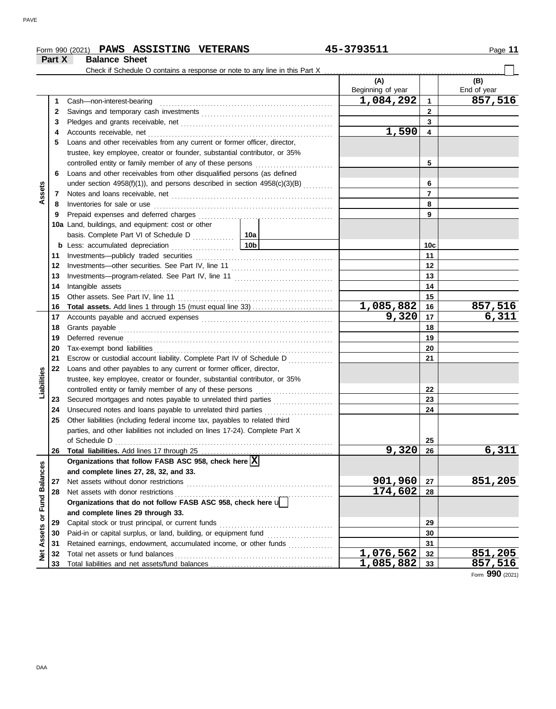| Form 990 (2021) | PAWS ASSISTING | <b>VETERANS</b> | $3703E11$<br>.93511 | Page |
|-----------------|----------------|-----------------|---------------------|------|
|                 |                |                 |                     |      |

**Part X Balance Sheet**<br>**Part X Balance Sheet** 

| (A)<br>(B)<br>Beginning of year<br>End of year<br>1,084,292<br>857,516<br>$\mathbf{1}$<br>Cash-non-interest-bearing<br>1<br>$\mathbf{2}$<br>2<br>3<br>3<br>1,590<br>4<br>4<br>Loans and other receivables from any current or former officer, director,<br>5<br>trustee, key employee, creator or founder, substantial contributor, or 35%<br>5<br>controlled entity or family member of any of these persons [<br>Loans and other receivables from other disqualified persons (as defined<br>6<br>under section $4958(f)(1)$ ), and persons described in section $4958(c)(3)(B)$ <sub>.</sub><br>6<br>Assets<br>$\overline{7}$<br>7<br>8<br>8<br>9<br>9<br>10a Land, buildings, and equipment: cost or other<br>10c<br>11<br>11<br>12<br>12<br>13<br>13<br>14<br>14<br>15<br>15<br>857,516<br><u>1,085,882</u><br>16<br>16<br>9,320<br>6,311<br>17<br>17<br>18<br>18<br>19<br>19<br>20<br>20<br>Escrow or custodial account liability. Complete Part IV of Schedule D<br>21<br>21<br>Loans and other payables to any current or former officer, director,<br>22<br>Liabilities<br>trustee, key employee, creator or founder, substantial contributor, or 35%<br>22<br>23<br>Secured mortgages and notes payable to unrelated third parties<br>23<br>24<br>Unsecured notes and loans payable to unrelated third parties<br>24<br>25<br>Other liabilities (including federal income tax, payables to related third<br>parties, and other liabilities not included on lines 17-24). Complete Part X<br>25<br>$9,320$ 26<br>6,311<br>26<br>Organizations that follow FASB ASC 958, check here $\boxed{\mathbf{X}}$<br>Net Assets or Fund Balances<br>and complete lines 27, 28, 32, and 33.<br>901,960<br>851,205<br>Net assets without donor restrictions<br>27<br>27<br>174,602<br>Net assets with donor restrictions<br>28<br>28<br>Organizations that do not follow FASB ASC 958, check here $\sqrt{\phantom{a}}$<br>and complete lines 29 through 33.<br>Capital stock or trust principal, or current funds<br>29<br>29<br>Paid-in or capital surplus, or land, building, or equipment fund [<br>30<br>30<br>Retained earnings, endowment, accumulated income, or other funds<br>31<br>31<br>1,076,562<br>851,205<br>Total net assets or fund balances<br>32<br>32<br>1,085,882<br>857,516<br>33<br>33 |  |  |  |  |  |
|----------------------------------------------------------------------------------------------------------------------------------------------------------------------------------------------------------------------------------------------------------------------------------------------------------------------------------------------------------------------------------------------------------------------------------------------------------------------------------------------------------------------------------------------------------------------------------------------------------------------------------------------------------------------------------------------------------------------------------------------------------------------------------------------------------------------------------------------------------------------------------------------------------------------------------------------------------------------------------------------------------------------------------------------------------------------------------------------------------------------------------------------------------------------------------------------------------------------------------------------------------------------------------------------------------------------------------------------------------------------------------------------------------------------------------------------------------------------------------------------------------------------------------------------------------------------------------------------------------------------------------------------------------------------------------------------------------------------------------------------------------------------------------------------------------------------------------------------------------------------------------------------------------------------------------------------------------------------------------------------------------------------------------------------------------------------------------------------------------------------------------------------------------------------------------------------------------------------------------------------------------------------------------------------------------|--|--|--|--|--|
|                                                                                                                                                                                                                                                                                                                                                                                                                                                                                                                                                                                                                                                                                                                                                                                                                                                                                                                                                                                                                                                                                                                                                                                                                                                                                                                                                                                                                                                                                                                                                                                                                                                                                                                                                                                                                                                                                                                                                                                                                                                                                                                                                                                                                                                                                                          |  |  |  |  |  |
|                                                                                                                                                                                                                                                                                                                                                                                                                                                                                                                                                                                                                                                                                                                                                                                                                                                                                                                                                                                                                                                                                                                                                                                                                                                                                                                                                                                                                                                                                                                                                                                                                                                                                                                                                                                                                                                                                                                                                                                                                                                                                                                                                                                                                                                                                                          |  |  |  |  |  |
|                                                                                                                                                                                                                                                                                                                                                                                                                                                                                                                                                                                                                                                                                                                                                                                                                                                                                                                                                                                                                                                                                                                                                                                                                                                                                                                                                                                                                                                                                                                                                                                                                                                                                                                                                                                                                                                                                                                                                                                                                                                                                                                                                                                                                                                                                                          |  |  |  |  |  |
|                                                                                                                                                                                                                                                                                                                                                                                                                                                                                                                                                                                                                                                                                                                                                                                                                                                                                                                                                                                                                                                                                                                                                                                                                                                                                                                                                                                                                                                                                                                                                                                                                                                                                                                                                                                                                                                                                                                                                                                                                                                                                                                                                                                                                                                                                                          |  |  |  |  |  |
|                                                                                                                                                                                                                                                                                                                                                                                                                                                                                                                                                                                                                                                                                                                                                                                                                                                                                                                                                                                                                                                                                                                                                                                                                                                                                                                                                                                                                                                                                                                                                                                                                                                                                                                                                                                                                                                                                                                                                                                                                                                                                                                                                                                                                                                                                                          |  |  |  |  |  |
|                                                                                                                                                                                                                                                                                                                                                                                                                                                                                                                                                                                                                                                                                                                                                                                                                                                                                                                                                                                                                                                                                                                                                                                                                                                                                                                                                                                                                                                                                                                                                                                                                                                                                                                                                                                                                                                                                                                                                                                                                                                                                                                                                                                                                                                                                                          |  |  |  |  |  |
|                                                                                                                                                                                                                                                                                                                                                                                                                                                                                                                                                                                                                                                                                                                                                                                                                                                                                                                                                                                                                                                                                                                                                                                                                                                                                                                                                                                                                                                                                                                                                                                                                                                                                                                                                                                                                                                                                                                                                                                                                                                                                                                                                                                                                                                                                                          |  |  |  |  |  |
|                                                                                                                                                                                                                                                                                                                                                                                                                                                                                                                                                                                                                                                                                                                                                                                                                                                                                                                                                                                                                                                                                                                                                                                                                                                                                                                                                                                                                                                                                                                                                                                                                                                                                                                                                                                                                                                                                                                                                                                                                                                                                                                                                                                                                                                                                                          |  |  |  |  |  |
|                                                                                                                                                                                                                                                                                                                                                                                                                                                                                                                                                                                                                                                                                                                                                                                                                                                                                                                                                                                                                                                                                                                                                                                                                                                                                                                                                                                                                                                                                                                                                                                                                                                                                                                                                                                                                                                                                                                                                                                                                                                                                                                                                                                                                                                                                                          |  |  |  |  |  |
|                                                                                                                                                                                                                                                                                                                                                                                                                                                                                                                                                                                                                                                                                                                                                                                                                                                                                                                                                                                                                                                                                                                                                                                                                                                                                                                                                                                                                                                                                                                                                                                                                                                                                                                                                                                                                                                                                                                                                                                                                                                                                                                                                                                                                                                                                                          |  |  |  |  |  |
|                                                                                                                                                                                                                                                                                                                                                                                                                                                                                                                                                                                                                                                                                                                                                                                                                                                                                                                                                                                                                                                                                                                                                                                                                                                                                                                                                                                                                                                                                                                                                                                                                                                                                                                                                                                                                                                                                                                                                                                                                                                                                                                                                                                                                                                                                                          |  |  |  |  |  |
|                                                                                                                                                                                                                                                                                                                                                                                                                                                                                                                                                                                                                                                                                                                                                                                                                                                                                                                                                                                                                                                                                                                                                                                                                                                                                                                                                                                                                                                                                                                                                                                                                                                                                                                                                                                                                                                                                                                                                                                                                                                                                                                                                                                                                                                                                                          |  |  |  |  |  |
|                                                                                                                                                                                                                                                                                                                                                                                                                                                                                                                                                                                                                                                                                                                                                                                                                                                                                                                                                                                                                                                                                                                                                                                                                                                                                                                                                                                                                                                                                                                                                                                                                                                                                                                                                                                                                                                                                                                                                                                                                                                                                                                                                                                                                                                                                                          |  |  |  |  |  |
|                                                                                                                                                                                                                                                                                                                                                                                                                                                                                                                                                                                                                                                                                                                                                                                                                                                                                                                                                                                                                                                                                                                                                                                                                                                                                                                                                                                                                                                                                                                                                                                                                                                                                                                                                                                                                                                                                                                                                                                                                                                                                                                                                                                                                                                                                                          |  |  |  |  |  |
|                                                                                                                                                                                                                                                                                                                                                                                                                                                                                                                                                                                                                                                                                                                                                                                                                                                                                                                                                                                                                                                                                                                                                                                                                                                                                                                                                                                                                                                                                                                                                                                                                                                                                                                                                                                                                                                                                                                                                                                                                                                                                                                                                                                                                                                                                                          |  |  |  |  |  |
|                                                                                                                                                                                                                                                                                                                                                                                                                                                                                                                                                                                                                                                                                                                                                                                                                                                                                                                                                                                                                                                                                                                                                                                                                                                                                                                                                                                                                                                                                                                                                                                                                                                                                                                                                                                                                                                                                                                                                                                                                                                                                                                                                                                                                                                                                                          |  |  |  |  |  |
|                                                                                                                                                                                                                                                                                                                                                                                                                                                                                                                                                                                                                                                                                                                                                                                                                                                                                                                                                                                                                                                                                                                                                                                                                                                                                                                                                                                                                                                                                                                                                                                                                                                                                                                                                                                                                                                                                                                                                                                                                                                                                                                                                                                                                                                                                                          |  |  |  |  |  |
|                                                                                                                                                                                                                                                                                                                                                                                                                                                                                                                                                                                                                                                                                                                                                                                                                                                                                                                                                                                                                                                                                                                                                                                                                                                                                                                                                                                                                                                                                                                                                                                                                                                                                                                                                                                                                                                                                                                                                                                                                                                                                                                                                                                                                                                                                                          |  |  |  |  |  |
|                                                                                                                                                                                                                                                                                                                                                                                                                                                                                                                                                                                                                                                                                                                                                                                                                                                                                                                                                                                                                                                                                                                                                                                                                                                                                                                                                                                                                                                                                                                                                                                                                                                                                                                                                                                                                                                                                                                                                                                                                                                                                                                                                                                                                                                                                                          |  |  |  |  |  |
|                                                                                                                                                                                                                                                                                                                                                                                                                                                                                                                                                                                                                                                                                                                                                                                                                                                                                                                                                                                                                                                                                                                                                                                                                                                                                                                                                                                                                                                                                                                                                                                                                                                                                                                                                                                                                                                                                                                                                                                                                                                                                                                                                                                                                                                                                                          |  |  |  |  |  |
|                                                                                                                                                                                                                                                                                                                                                                                                                                                                                                                                                                                                                                                                                                                                                                                                                                                                                                                                                                                                                                                                                                                                                                                                                                                                                                                                                                                                                                                                                                                                                                                                                                                                                                                                                                                                                                                                                                                                                                                                                                                                                                                                                                                                                                                                                                          |  |  |  |  |  |
|                                                                                                                                                                                                                                                                                                                                                                                                                                                                                                                                                                                                                                                                                                                                                                                                                                                                                                                                                                                                                                                                                                                                                                                                                                                                                                                                                                                                                                                                                                                                                                                                                                                                                                                                                                                                                                                                                                                                                                                                                                                                                                                                                                                                                                                                                                          |  |  |  |  |  |
|                                                                                                                                                                                                                                                                                                                                                                                                                                                                                                                                                                                                                                                                                                                                                                                                                                                                                                                                                                                                                                                                                                                                                                                                                                                                                                                                                                                                                                                                                                                                                                                                                                                                                                                                                                                                                                                                                                                                                                                                                                                                                                                                                                                                                                                                                                          |  |  |  |  |  |
|                                                                                                                                                                                                                                                                                                                                                                                                                                                                                                                                                                                                                                                                                                                                                                                                                                                                                                                                                                                                                                                                                                                                                                                                                                                                                                                                                                                                                                                                                                                                                                                                                                                                                                                                                                                                                                                                                                                                                                                                                                                                                                                                                                                                                                                                                                          |  |  |  |  |  |
|                                                                                                                                                                                                                                                                                                                                                                                                                                                                                                                                                                                                                                                                                                                                                                                                                                                                                                                                                                                                                                                                                                                                                                                                                                                                                                                                                                                                                                                                                                                                                                                                                                                                                                                                                                                                                                                                                                                                                                                                                                                                                                                                                                                                                                                                                                          |  |  |  |  |  |
|                                                                                                                                                                                                                                                                                                                                                                                                                                                                                                                                                                                                                                                                                                                                                                                                                                                                                                                                                                                                                                                                                                                                                                                                                                                                                                                                                                                                                                                                                                                                                                                                                                                                                                                                                                                                                                                                                                                                                                                                                                                                                                                                                                                                                                                                                                          |  |  |  |  |  |
|                                                                                                                                                                                                                                                                                                                                                                                                                                                                                                                                                                                                                                                                                                                                                                                                                                                                                                                                                                                                                                                                                                                                                                                                                                                                                                                                                                                                                                                                                                                                                                                                                                                                                                                                                                                                                                                                                                                                                                                                                                                                                                                                                                                                                                                                                                          |  |  |  |  |  |
|                                                                                                                                                                                                                                                                                                                                                                                                                                                                                                                                                                                                                                                                                                                                                                                                                                                                                                                                                                                                                                                                                                                                                                                                                                                                                                                                                                                                                                                                                                                                                                                                                                                                                                                                                                                                                                                                                                                                                                                                                                                                                                                                                                                                                                                                                                          |  |  |  |  |  |
|                                                                                                                                                                                                                                                                                                                                                                                                                                                                                                                                                                                                                                                                                                                                                                                                                                                                                                                                                                                                                                                                                                                                                                                                                                                                                                                                                                                                                                                                                                                                                                                                                                                                                                                                                                                                                                                                                                                                                                                                                                                                                                                                                                                                                                                                                                          |  |  |  |  |  |
|                                                                                                                                                                                                                                                                                                                                                                                                                                                                                                                                                                                                                                                                                                                                                                                                                                                                                                                                                                                                                                                                                                                                                                                                                                                                                                                                                                                                                                                                                                                                                                                                                                                                                                                                                                                                                                                                                                                                                                                                                                                                                                                                                                                                                                                                                                          |  |  |  |  |  |
|                                                                                                                                                                                                                                                                                                                                                                                                                                                                                                                                                                                                                                                                                                                                                                                                                                                                                                                                                                                                                                                                                                                                                                                                                                                                                                                                                                                                                                                                                                                                                                                                                                                                                                                                                                                                                                                                                                                                                                                                                                                                                                                                                                                                                                                                                                          |  |  |  |  |  |
|                                                                                                                                                                                                                                                                                                                                                                                                                                                                                                                                                                                                                                                                                                                                                                                                                                                                                                                                                                                                                                                                                                                                                                                                                                                                                                                                                                                                                                                                                                                                                                                                                                                                                                                                                                                                                                                                                                                                                                                                                                                                                                                                                                                                                                                                                                          |  |  |  |  |  |
|                                                                                                                                                                                                                                                                                                                                                                                                                                                                                                                                                                                                                                                                                                                                                                                                                                                                                                                                                                                                                                                                                                                                                                                                                                                                                                                                                                                                                                                                                                                                                                                                                                                                                                                                                                                                                                                                                                                                                                                                                                                                                                                                                                                                                                                                                                          |  |  |  |  |  |
|                                                                                                                                                                                                                                                                                                                                                                                                                                                                                                                                                                                                                                                                                                                                                                                                                                                                                                                                                                                                                                                                                                                                                                                                                                                                                                                                                                                                                                                                                                                                                                                                                                                                                                                                                                                                                                                                                                                                                                                                                                                                                                                                                                                                                                                                                                          |  |  |  |  |  |
|                                                                                                                                                                                                                                                                                                                                                                                                                                                                                                                                                                                                                                                                                                                                                                                                                                                                                                                                                                                                                                                                                                                                                                                                                                                                                                                                                                                                                                                                                                                                                                                                                                                                                                                                                                                                                                                                                                                                                                                                                                                                                                                                                                                                                                                                                                          |  |  |  |  |  |
|                                                                                                                                                                                                                                                                                                                                                                                                                                                                                                                                                                                                                                                                                                                                                                                                                                                                                                                                                                                                                                                                                                                                                                                                                                                                                                                                                                                                                                                                                                                                                                                                                                                                                                                                                                                                                                                                                                                                                                                                                                                                                                                                                                                                                                                                                                          |  |  |  |  |  |
|                                                                                                                                                                                                                                                                                                                                                                                                                                                                                                                                                                                                                                                                                                                                                                                                                                                                                                                                                                                                                                                                                                                                                                                                                                                                                                                                                                                                                                                                                                                                                                                                                                                                                                                                                                                                                                                                                                                                                                                                                                                                                                                                                                                                                                                                                                          |  |  |  |  |  |
|                                                                                                                                                                                                                                                                                                                                                                                                                                                                                                                                                                                                                                                                                                                                                                                                                                                                                                                                                                                                                                                                                                                                                                                                                                                                                                                                                                                                                                                                                                                                                                                                                                                                                                                                                                                                                                                                                                                                                                                                                                                                                                                                                                                                                                                                                                          |  |  |  |  |  |
|                                                                                                                                                                                                                                                                                                                                                                                                                                                                                                                                                                                                                                                                                                                                                                                                                                                                                                                                                                                                                                                                                                                                                                                                                                                                                                                                                                                                                                                                                                                                                                                                                                                                                                                                                                                                                                                                                                                                                                                                                                                                                                                                                                                                                                                                                                          |  |  |  |  |  |
|                                                                                                                                                                                                                                                                                                                                                                                                                                                                                                                                                                                                                                                                                                                                                                                                                                                                                                                                                                                                                                                                                                                                                                                                                                                                                                                                                                                                                                                                                                                                                                                                                                                                                                                                                                                                                                                                                                                                                                                                                                                                                                                                                                                                                                                                                                          |  |  |  |  |  |
|                                                                                                                                                                                                                                                                                                                                                                                                                                                                                                                                                                                                                                                                                                                                                                                                                                                                                                                                                                                                                                                                                                                                                                                                                                                                                                                                                                                                                                                                                                                                                                                                                                                                                                                                                                                                                                                                                                                                                                                                                                                                                                                                                                                                                                                                                                          |  |  |  |  |  |
|                                                                                                                                                                                                                                                                                                                                                                                                                                                                                                                                                                                                                                                                                                                                                                                                                                                                                                                                                                                                                                                                                                                                                                                                                                                                                                                                                                                                                                                                                                                                                                                                                                                                                                                                                                                                                                                                                                                                                                                                                                                                                                                                                                                                                                                                                                          |  |  |  |  |  |
|                                                                                                                                                                                                                                                                                                                                                                                                                                                                                                                                                                                                                                                                                                                                                                                                                                                                                                                                                                                                                                                                                                                                                                                                                                                                                                                                                                                                                                                                                                                                                                                                                                                                                                                                                                                                                                                                                                                                                                                                                                                                                                                                                                                                                                                                                                          |  |  |  |  |  |
|                                                                                                                                                                                                                                                                                                                                                                                                                                                                                                                                                                                                                                                                                                                                                                                                                                                                                                                                                                                                                                                                                                                                                                                                                                                                                                                                                                                                                                                                                                                                                                                                                                                                                                                                                                                                                                                                                                                                                                                                                                                                                                                                                                                                                                                                                                          |  |  |  |  |  |
|                                                                                                                                                                                                                                                                                                                                                                                                                                                                                                                                                                                                                                                                                                                                                                                                                                                                                                                                                                                                                                                                                                                                                                                                                                                                                                                                                                                                                                                                                                                                                                                                                                                                                                                                                                                                                                                                                                                                                                                                                                                                                                                                                                                                                                                                                                          |  |  |  |  |  |
|                                                                                                                                                                                                                                                                                                                                                                                                                                                                                                                                                                                                                                                                                                                                                                                                                                                                                                                                                                                                                                                                                                                                                                                                                                                                                                                                                                                                                                                                                                                                                                                                                                                                                                                                                                                                                                                                                                                                                                                                                                                                                                                                                                                                                                                                                                          |  |  |  |  |  |
|                                                                                                                                                                                                                                                                                                                                                                                                                                                                                                                                                                                                                                                                                                                                                                                                                                                                                                                                                                                                                                                                                                                                                                                                                                                                                                                                                                                                                                                                                                                                                                                                                                                                                                                                                                                                                                                                                                                                                                                                                                                                                                                                                                                                                                                                                                          |  |  |  |  |  |
|                                                                                                                                                                                                                                                                                                                                                                                                                                                                                                                                                                                                                                                                                                                                                                                                                                                                                                                                                                                                                                                                                                                                                                                                                                                                                                                                                                                                                                                                                                                                                                                                                                                                                                                                                                                                                                                                                                                                                                                                                                                                                                                                                                                                                                                                                                          |  |  |  |  |  |

Form **990** (2021)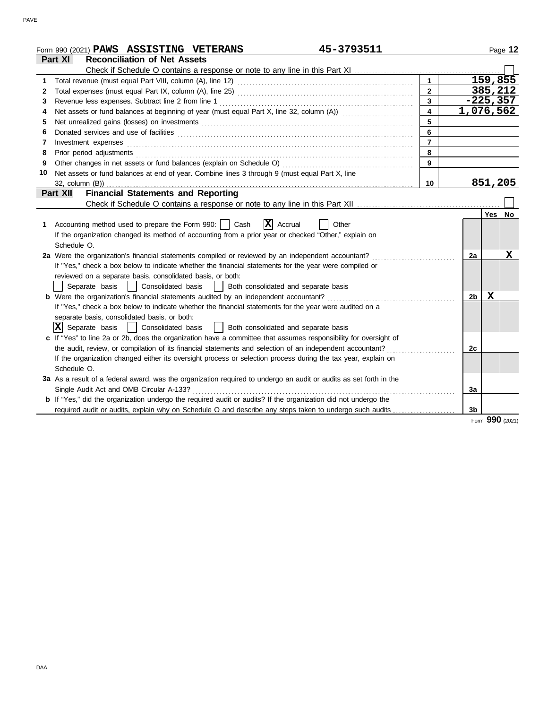|              | 45-3793511<br>Form 990 (2021) PAWS ASSISTING VETERANS                                                                                                                                                                          |                         |                |         | Page 12     |
|--------------|--------------------------------------------------------------------------------------------------------------------------------------------------------------------------------------------------------------------------------|-------------------------|----------------|---------|-------------|
|              | Part XI<br><b>Reconciliation of Net Assets</b>                                                                                                                                                                                 |                         |                |         |             |
|              |                                                                                                                                                                                                                                |                         |                |         |             |
| 1            |                                                                                                                                                                                                                                | $\mathbf{1}$            |                |         | 159,855     |
| $\mathbf{2}$ |                                                                                                                                                                                                                                | $\mathbf{2}$            |                | 385,212 |             |
| 3            | Revenue less expenses. Subtract line 2 from line 1                                                                                                                                                                             | $\mathbf{3}$            |                |         | $-225, 357$ |
| 4            | Net assets or fund balances at beginning of year (must equal Part X, line 32, column (A))                                                                                                                                      | $\overline{\mathbf{4}}$ | 1,076,562      |         |             |
| 5            | Net unrealized gains (losses) on investments [11] match and the contract of the state of the state of the state of the state of the state of the state of the state of the state of the state of the state of the state of the | 5                       |                |         |             |
| 6            |                                                                                                                                                                                                                                | 6                       |                |         |             |
| 7            | Investment expenses                                                                                                                                                                                                            | $\overline{7}$          |                |         |             |
| 8            | Prior period adjustments [11, 12] and the contract of the contract of the contract of the contract of the contract of the contract of the contract of the contract of the contract of the contract of the contract of the cont | 8                       |                |         |             |
| 9            | Other changes in net assets or fund balances (explain on Schedule O)                                                                                                                                                           | 9                       |                |         |             |
| 10           | Net assets or fund balances at end of year. Combine lines 3 through 9 (must equal Part X, line                                                                                                                                 |                         |                |         |             |
|              | 32, column (B))                                                                                                                                                                                                                | 10                      |                | 851,205 |             |
|              | <b>Financial Statements and Reporting</b><br>Part XII                                                                                                                                                                          |                         |                |         |             |
|              |                                                                                                                                                                                                                                |                         |                |         |             |
|              |                                                                                                                                                                                                                                |                         |                | Yes I   | <b>No</b>   |
| 1.           | $ \mathbf{X} $ Accrual<br>Accounting method used to prepare the Form 990:     Cash<br>Other                                                                                                                                    |                         |                |         |             |
|              | If the organization changed its method of accounting from a prior year or checked "Other," explain on                                                                                                                          |                         |                |         |             |
|              | Schedule O.                                                                                                                                                                                                                    |                         |                |         |             |
|              | 2a Were the organization's financial statements compiled or reviewed by an independent accountant?                                                                                                                             |                         | 2a             |         | X           |
|              | If "Yes," check a box below to indicate whether the financial statements for the year were compiled or                                                                                                                         |                         |                |         |             |
|              | reviewed on a separate basis, consolidated basis, or both:                                                                                                                                                                     |                         |                |         |             |
|              | Both consolidated and separate basis<br>Separate basis<br>  Consolidated basis                                                                                                                                                 |                         |                |         |             |
|              | <b>b</b> Were the organization's financial statements audited by an independent accountant?                                                                                                                                    |                         | 2b             | X       |             |
|              | If "Yes," check a box below to indicate whether the financial statements for the year were audited on a                                                                                                                        |                         |                |         |             |
|              | separate basis, consolidated basis, or both:                                                                                                                                                                                   |                         |                |         |             |
|              | $ \mathbf{X} $ Separate basis<br>  Both consolidated and separate basis<br>  Consolidated basis                                                                                                                                |                         |                |         |             |
|              | c If "Yes" to line 2a or 2b, does the organization have a committee that assumes responsibility for oversight of                                                                                                               |                         |                |         |             |
|              | the audit, review, or compilation of its financial statements and selection of an independent accountant?                                                                                                                      |                         | 2c             |         |             |
|              | If the organization changed either its oversight process or selection process during the tax year, explain on                                                                                                                  |                         |                |         |             |
|              | Schedule O.                                                                                                                                                                                                                    |                         |                |         |             |
|              | 3a As a result of a federal award, was the organization required to undergo an audit or audits as set forth in the                                                                                                             |                         |                |         |             |
|              | Single Audit Act and OMB Circular A-133?                                                                                                                                                                                       |                         | 3a             |         |             |
|              | b If "Yes," did the organization undergo the required audit or audits? If the organization did not undergo the                                                                                                                 |                         |                |         |             |
|              | required audit or audits, explain why on Schedule O and describe any steps taken to undergo such audits                                                                                                                        |                         | 3 <sub>b</sub> | $\sim$  |             |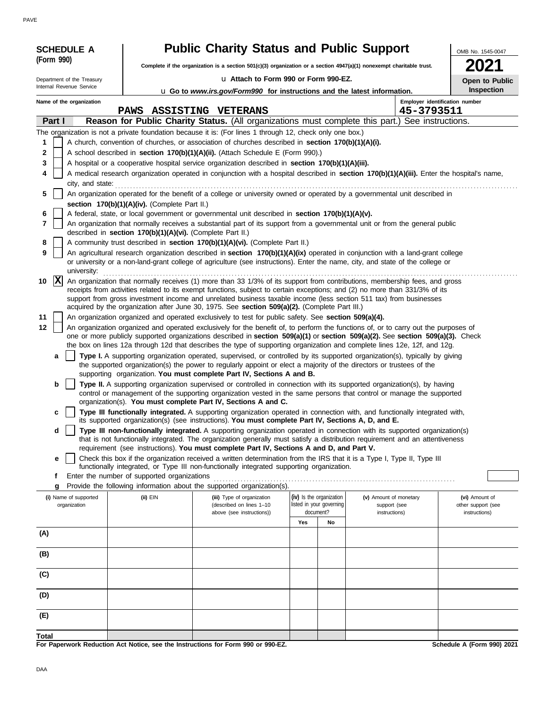|        | <b>SCHEDULE A</b>                             |                                                            | <b>Public Charity Status and Public Support</b>                                                                        |                          |                          |                                                                                                                                                                                                                                                                 | OMB No. 1545-0047              |  |  |  |
|--------|-----------------------------------------------|------------------------------------------------------------|------------------------------------------------------------------------------------------------------------------------|--------------------------|--------------------------|-----------------------------------------------------------------------------------------------------------------------------------------------------------------------------------------------------------------------------------------------------------------|--------------------------------|--|--|--|
|        | (Form 990)                                    |                                                            | Complete if the organization is a section 501(c)(3) organization or a section $4947(a)(1)$ nonexempt charitable trust. |                          |                          |                                                                                                                                                                                                                                                                 | 2021                           |  |  |  |
|        | Department of the Treasury                    |                                                            | La Attach to Form 990 or Form 990-EZ.                                                                                  |                          |                          |                                                                                                                                                                                                                                                                 | Open to Public                 |  |  |  |
|        | Internal Revenue Service                      |                                                            | <b>u</b> Go to www.irs.gov/Form990 for instructions and the latest information.                                        |                          |                          |                                                                                                                                                                                                                                                                 | Inspection                     |  |  |  |
|        | Name of the organization                      |                                                            |                                                                                                                        |                          |                          |                                                                                                                                                                                                                                                                 | Employer identification number |  |  |  |
|        | Part I                                        | <b>PAWS</b>                                                | ASSISTING VETERANS                                                                                                     |                          |                          | 45-3793511<br>Reason for Public Charity Status. (All organizations must complete this part.) See instructions.                                                                                                                                                  |                                |  |  |  |
|        |                                               |                                                            | The organization is not a private foundation because it is: (For lines 1 through 12, check only one box.)              |                          |                          |                                                                                                                                                                                                                                                                 |                                |  |  |  |
| 1      |                                               |                                                            | A church, convention of churches, or association of churches described in section 170(b)(1)(A)(i).                     |                          |                          |                                                                                                                                                                                                                                                                 |                                |  |  |  |
| 2      |                                               |                                                            | A school described in section 170(b)(1)(A)(ii). (Attach Schedule E (Form 990).)                                        |                          |                          |                                                                                                                                                                                                                                                                 |                                |  |  |  |
| 3      |                                               |                                                            | A hospital or a cooperative hospital service organization described in section 170(b)(1)(A)(iii).                      |                          |                          |                                                                                                                                                                                                                                                                 |                                |  |  |  |
| 4      | city, and state:                              |                                                            |                                                                                                                        |                          |                          | A medical research organization operated in conjunction with a hospital described in section 170(b)(1)(A)(iii). Enter the hospital's name,                                                                                                                      |                                |  |  |  |
| 5      |                                               |                                                            |                                                                                                                        |                          |                          | An organization operated for the benefit of a college or university owned or operated by a governmental unit described in                                                                                                                                       |                                |  |  |  |
|        | section 170(b)(1)(A)(iv). (Complete Part II.) |                                                            |                                                                                                                        |                          |                          |                                                                                                                                                                                                                                                                 |                                |  |  |  |
| 6      |                                               |                                                            | A federal, state, or local government or governmental unit described in section 170(b)(1)(A)(v).                       |                          |                          |                                                                                                                                                                                                                                                                 |                                |  |  |  |
| 7      |                                               | described in section 170(b)(1)(A)(vi). (Complete Part II.) |                                                                                                                        |                          |                          | An organization that normally receives a substantial part of its support from a governmental unit or from the general public                                                                                                                                    |                                |  |  |  |
| 8<br>9 |                                               |                                                            | A community trust described in section 170(b)(1)(A)(vi). (Complete Part II.)                                           |                          |                          |                                                                                                                                                                                                                                                                 |                                |  |  |  |
|        | university:                                   |                                                            |                                                                                                                        |                          |                          | An agricultural research organization described in section 170(b)(1)(A)(ix) operated in conjunction with a land-grant college<br>or university or a non-land-grant college of agriculture (see instructions). Enter the name, city, and state of the college or |                                |  |  |  |
| 10     | $ {\bf x} $                                   |                                                            |                                                                                                                        |                          |                          | An organization that normally receives (1) more than 33 1/3% of its support from contributions, membership fees, and gross                                                                                                                                      |                                |  |  |  |
|        |                                               |                                                            |                                                                                                                        |                          |                          | receipts from activities related to its exempt functions, subject to certain exceptions; and (2) no more than 331/3% of its                                                                                                                                     |                                |  |  |  |
|        |                                               |                                                            | acquired by the organization after June 30, 1975. See section 509(a)(2). (Complete Part III.)                          |                          |                          | support from gross investment income and unrelated business taxable income (less section 511 tax) from businesses                                                                                                                                               |                                |  |  |  |
| 11     |                                               |                                                            | An organization organized and operated exclusively to test for public safety. See section 509(a)(4).                   |                          |                          |                                                                                                                                                                                                                                                                 |                                |  |  |  |
| 12     |                                               |                                                            |                                                                                                                        |                          |                          | An organization organized and operated exclusively for the benefit of, to perform the functions of, or to carry out the purposes of                                                                                                                             |                                |  |  |  |
|        |                                               |                                                            |                                                                                                                        |                          |                          | one or more publicly supported organizations described in section 509(a)(1) or section 509(a)(2). See section 509(a)(3). Check<br>the box on lines 12a through 12d that describes the type of supporting organization and complete lines 12e, 12f, and 12g.     |                                |  |  |  |
|        | a                                             |                                                            |                                                                                                                        |                          |                          | Type I. A supporting organization operated, supervised, or controlled by its supported organization(s), typically by giving                                                                                                                                     |                                |  |  |  |
|        |                                               |                                                            | the supported organization(s) the power to regularly appoint or elect a majority of the directors or trustees of the   |                          |                          |                                                                                                                                                                                                                                                                 |                                |  |  |  |
|        | b                                             |                                                            | supporting organization. You must complete Part IV, Sections A and B.                                                  |                          |                          | Type II. A supporting organization supervised or controlled in connection with its supported organization(s), by having                                                                                                                                         |                                |  |  |  |
|        |                                               |                                                            |                                                                                                                        |                          |                          | control or management of the supporting organization vested in the same persons that control or manage the supported                                                                                                                                            |                                |  |  |  |
|        |                                               |                                                            | organization(s). You must complete Part IV, Sections A and C.                                                          |                          |                          |                                                                                                                                                                                                                                                                 |                                |  |  |  |
|        | c                                             |                                                            | its supported organization(s) (see instructions). You must complete Part IV, Sections A, D, and E.                     |                          |                          | Type III functionally integrated. A supporting organization operated in connection with, and functionally integrated with,                                                                                                                                      |                                |  |  |  |
|        | d                                             |                                                            |                                                                                                                        |                          |                          | Type III non-functionally integrated. A supporting organization operated in connection with its supported organization(s)                                                                                                                                       |                                |  |  |  |
|        |                                               |                                                            | requirement (see instructions). You must complete Part IV, Sections A and D, and Part V.                               |                          |                          | that is not functionally integrated. The organization generally must satisfy a distribution requirement and an attentiveness                                                                                                                                    |                                |  |  |  |
|        | е                                             |                                                            |                                                                                                                        |                          |                          | Check this box if the organization received a written determination from the IRS that it is a Type I, Type II, Type III                                                                                                                                         |                                |  |  |  |
|        |                                               |                                                            | functionally integrated, or Type III non-functionally integrated supporting organization.                              |                          |                          |                                                                                                                                                                                                                                                                 |                                |  |  |  |
|        | f<br>g                                        | Enter the number of supported organizations                | Provide the following information about the supported organization(s).                                                 |                          |                          |                                                                                                                                                                                                                                                                 |                                |  |  |  |
|        | (i) Name of supported                         | $(ii)$ EIN                                                 | (iii) Type of organization                                                                                             | (iv) Is the organization |                          | (v) Amount of monetary                                                                                                                                                                                                                                          | (vi) Amount of                 |  |  |  |
|        | organization                                  |                                                            | (described on lines 1-10                                                                                               |                          | listed in your governing | support (see                                                                                                                                                                                                                                                    | other support (see             |  |  |  |
|        |                                               |                                                            | above (see instructions))                                                                                              | Yes                      | document?<br>No          | instructions)                                                                                                                                                                                                                                                   | instructions)                  |  |  |  |
| (A)    |                                               |                                                            |                                                                                                                        |                          |                          |                                                                                                                                                                                                                                                                 |                                |  |  |  |
|        |                                               |                                                            |                                                                                                                        |                          |                          |                                                                                                                                                                                                                                                                 |                                |  |  |  |
| (B)    |                                               |                                                            |                                                                                                                        |                          |                          |                                                                                                                                                                                                                                                                 |                                |  |  |  |
| (C)    |                                               |                                                            |                                                                                                                        |                          |                          |                                                                                                                                                                                                                                                                 |                                |  |  |  |
| (D)    |                                               |                                                            |                                                                                                                        |                          |                          |                                                                                                                                                                                                                                                                 |                                |  |  |  |
| (E)    |                                               |                                                            |                                                                                                                        |                          |                          |                                                                                                                                                                                                                                                                 |                                |  |  |  |
| Total  |                                               |                                                            |                                                                                                                        |                          |                          |                                                                                                                                                                                                                                                                 |                                |  |  |  |

**For Paperwork Reduction Act Notice, see the Instructions for Form 990 or 990-EZ.**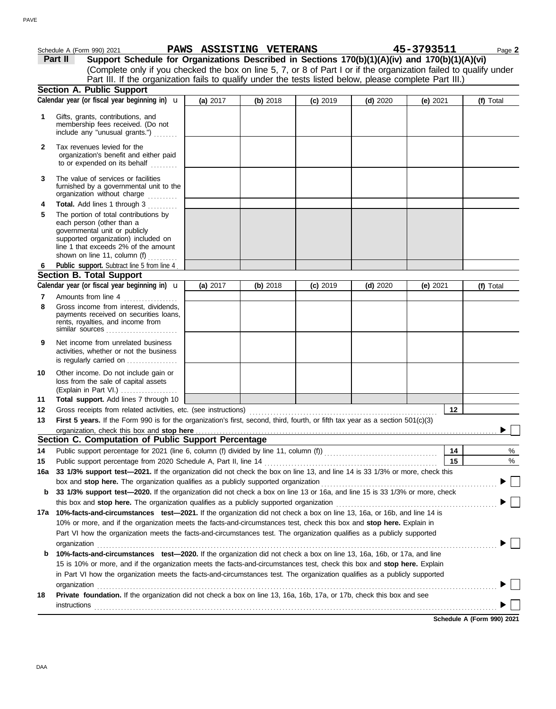|     |              | Schedule A (Form 990) 2021                                                                                                                                                                                         |   | PAWS ASSISTING VETERANS                                                                 |          |            |                                                                                                                                   | 45-3793511 | Page 2    |
|-----|--------------|--------------------------------------------------------------------------------------------------------------------------------------------------------------------------------------------------------------------|---|-----------------------------------------------------------------------------------------|----------|------------|-----------------------------------------------------------------------------------------------------------------------------------|------------|-----------|
|     | Part II      |                                                                                                                                                                                                                    |   |                                                                                         |          |            | Support Schedule for Organizations Described in Sections 170(b)(1)(A)(iv) and 170(b)(1)(A)(vi)                                    |            |           |
|     |              |                                                                                                                                                                                                                    |   |                                                                                         |          |            | (Complete only if you checked the box on line 5, 7, or 8 of Part I or if the organization failed to qualify under                 |            |           |
|     |              |                                                                                                                                                                                                                    |   |                                                                                         |          |            | Part III. If the organization fails to qualify under the tests listed below, please complete Part III.)                           |            |           |
|     |              | <b>Section A. Public Support</b>                                                                                                                                                                                   |   |                                                                                         |          |            |                                                                                                                                   |            |           |
|     |              | Calendar year (or fiscal year beginning in) <b>u</b>                                                                                                                                                               |   | (a) 2017                                                                                | (b) 2018 | $(c)$ 2019 | $(d)$ 2020                                                                                                                        | (e) $2021$ | (f) Total |
| 1   |              | Gifts, grants, contributions, and<br>membership fees received. (Do not<br>include any "unusual grants.")                                                                                                           |   |                                                                                         |          |            |                                                                                                                                   |            |           |
| 2   |              | Tax revenues levied for the<br>organization's benefit and either paid<br>to or expended on its behalf                                                                                                              |   |                                                                                         |          |            |                                                                                                                                   |            |           |
| 3   |              | The value of services or facilities<br>furnished by a governmental unit to the<br>organization without charge                                                                                                      | . |                                                                                         |          |            |                                                                                                                                   |            |           |
| 4   |              | Total. Add lines 1 through 3                                                                                                                                                                                       |   |                                                                                         |          |            |                                                                                                                                   |            |           |
| 5   |              | The portion of total contributions by<br>each person (other than a<br>governmental unit or publicly<br>supported organization) included on<br>line 1 that exceeds 2% of the amount<br>shown on line 11, column (f) |   |                                                                                         |          |            |                                                                                                                                   |            |           |
| 6   |              | Public support. Subtract line 5 from line 4.                                                                                                                                                                       |   |                                                                                         |          |            |                                                                                                                                   |            |           |
|     |              | <b>Section B. Total Support</b>                                                                                                                                                                                    |   |                                                                                         |          |            |                                                                                                                                   |            |           |
|     |              | Calendar year (or fiscal year beginning in) $\mathbf u$                                                                                                                                                            |   | (a) 2017                                                                                | (b) 2018 | $(c)$ 2019 | $(d)$ 2020                                                                                                                        | (e) $2021$ | (f) Total |
| 7   |              | Amounts from line 4                                                                                                                                                                                                |   |                                                                                         |          |            |                                                                                                                                   |            |           |
| 8   |              | Gross income from interest, dividends,<br>payments received on securities loans,<br>rents, royalties, and income from<br>similar sources $\ldots$ , $\ldots$ , $\ldots$ , $\ldots$ , $\ldots$                      |   |                                                                                         |          |            |                                                                                                                                   |            |           |
| 9   |              | Net income from unrelated business<br>activities, whether or not the business<br>is regularly carried on                                                                                                           |   |                                                                                         |          |            |                                                                                                                                   |            |           |
| 10  |              | Other income. Do not include gain or<br>loss from the sale of capital assets<br>(Explain in Part VI.)                                                                                                              |   |                                                                                         |          |            |                                                                                                                                   |            |           |
| 11  |              | Total support. Add lines 7 through 10                                                                                                                                                                              |   |                                                                                         |          |            |                                                                                                                                   |            |           |
| 12  |              |                                                                                                                                                                                                                    |   | Gross receipts from related activities, etc. (see instructions)                         |          |            |                                                                                                                                   | 12         |           |
| 13  |              |                                                                                                                                                                                                                    |   |                                                                                         |          |            | First 5 years. If the Form 990 is for the organization's first, second, third, fourth, or fifth tax year as a section $501(c)(3)$ |            |           |
|     |              |                                                                                                                                                                                                                    |   |                                                                                         |          |            | organization, check this box and stop here <i>community and acceptance of the content of the content of the state of</i>          |            |           |
|     |              |                                                                                                                                                                                                                    |   | Section C. Computation of Public Support Percentage                                     |          |            |                                                                                                                                   |            |           |
| 14  |              |                                                                                                                                                                                                                    |   |                                                                                         |          |            | Public support percentage for 2021 (line 6, column (f) divided by line 11, column (f)) [[[[[[[[[[[[[[[[[[[[[[                     | 14         | %         |
| 15  |              |                                                                                                                                                                                                                    |   | Public support percentage from 2020 Schedule A, Part II, line 14                        |          |            |                                                                                                                                   | 15         | $\%$      |
| 16а |              |                                                                                                                                                                                                                    |   |                                                                                         |          |            | 33 1/3% support test-2021. If the organization did not check the box on line 13, and line 14 is 33 1/3% or more, check this       |            |           |
|     |              |                                                                                                                                                                                                                    |   | box and stop here. The organization qualifies as a publicly supported organization      |          |            |                                                                                                                                   |            |           |
| b   |              |                                                                                                                                                                                                                    |   |                                                                                         |          |            | 33 1/3% support test-2020. If the organization did not check a box on line 13 or 16a, and line 15 is 33 1/3% or more, check       |            |           |
|     |              |                                                                                                                                                                                                                    |   | this box and stop here. The organization qualifies as a publicly supported organization |          |            |                                                                                                                                   |            |           |
|     |              |                                                                                                                                                                                                                    |   |                                                                                         |          |            | 17a 10%-facts-and-circumstances test-2021. If the organization did not check a box on line 13, 16a, or 16b, and line 14 is        |            |           |
|     |              |                                                                                                                                                                                                                    |   |                                                                                         |          |            | 10% or more, and if the organization meets the facts-and-circumstances test, check this box and stop here. Explain in             |            |           |
|     | organization |                                                                                                                                                                                                                    |   |                                                                                         |          |            | Part VI how the organization meets the facts-and-circumstances test. The organization qualifies as a publicly supported           |            |           |
| b   |              |                                                                                                                                                                                                                    |   |                                                                                         |          |            | 10%-facts-and-circumstances test-2020. If the organization did not check a box on line 13, 16a, 16b, or 17a, and line             |            |           |
|     |              |                                                                                                                                                                                                                    |   |                                                                                         |          |            | 15 is 10% or more, and if the organization meets the facts-and-circumstances test, check this box and stop here. Explain          |            |           |
|     |              |                                                                                                                                                                                                                    |   |                                                                                         |          |            | in Part VI how the organization meets the facts-and-circumstances test. The organization qualifies as a publicly supported        |            |           |
|     | organization |                                                                                                                                                                                                                    |   |                                                                                         |          |            |                                                                                                                                   |            |           |
| 18  |              |                                                                                                                                                                                                                    |   |                                                                                         |          |            | Private foundation. If the organization did not check a box on line 13, 16a, 16b, 17a, or 17b, check this box and see             |            |           |
|     | instructions |                                                                                                                                                                                                                    |   |                                                                                         |          |            |                                                                                                                                   |            |           |
|     |              |                                                                                                                                                                                                                    |   |                                                                                         |          |            |                                                                                                                                   |            |           |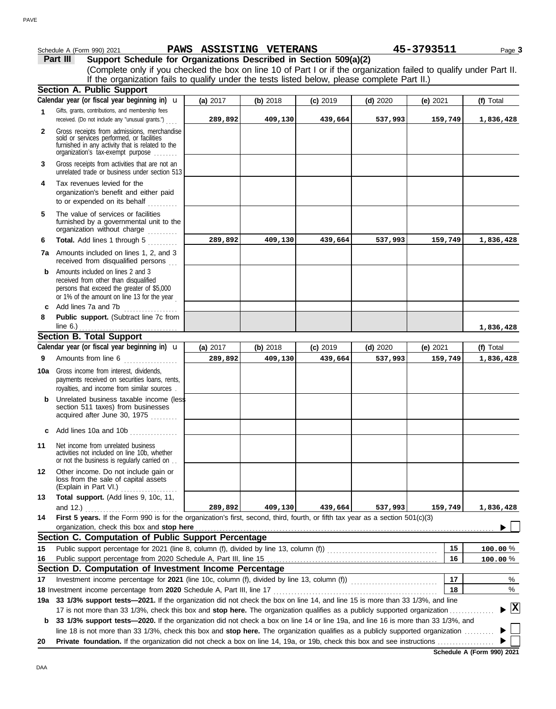|              | Schedule A (Form 990) 2021                                                                                                                                                                                                                                      | PAWS ASSISTING VETERANS |          |            |            | 45-3793511 | Page 3       |
|--------------|-----------------------------------------------------------------------------------------------------------------------------------------------------------------------------------------------------------------------------------------------------------------|-------------------------|----------|------------|------------|------------|--------------|
|              | Support Schedule for Organizations Described in Section 509(a)(2)<br>Part III                                                                                                                                                                                   |                         |          |            |            |            |              |
|              | (Complete only if you checked the box on line 10 of Part I or if the organization failed to qualify under Part II.                                                                                                                                              |                         |          |            |            |            |              |
|              | If the organization fails to qualify under the tests listed below, please complete Part II.)                                                                                                                                                                    |                         |          |            |            |            |              |
|              | <b>Section A. Public Support</b>                                                                                                                                                                                                                                |                         |          |            |            |            |              |
|              | Calendar year (or fiscal year beginning in) <b>u</b>                                                                                                                                                                                                            | (a) 2017                | (b) 2018 | $(c)$ 2019 | $(d)$ 2020 | (e) 2021   | (f) Total    |
| 1            | Gifts, grants, contributions, and membership fees<br>received. (Do not include any "unusual grants.")                                                                                                                                                           | 289,892                 | 409,130  | 439,664    | 537,993    | 159,749    | 1,836,428    |
| $\mathbf{2}$ | Gross receipts from admissions, merchandise<br>sold or services performed, or facilities<br>furnished in any activity that is related to the<br>organization's tax-exempt purpose                                                                               |                         |          |            |            |            |              |
| 3            | Gross receipts from activities that are not an<br>unrelated trade or business under section 513                                                                                                                                                                 |                         |          |            |            |            |              |
| 4            | Tax revenues levied for the<br>organization's benefit and either paid<br>to or expended on its behalf                                                                                                                                                           |                         |          |            |            |            |              |
| 5            | The value of services or facilities<br>furnished by a governmental unit to the<br>organization without charge                                                                                                                                                   |                         |          |            |            |            |              |
| 6            | Total. Add lines 1 through 5<br>.                                                                                                                                                                                                                               | 289,892                 | 409,130  | 439,664    | 537,993    | 159,749    | 1,836,428    |
|              | <b>7a</b> Amounts included on lines 1, 2, and 3<br>received from disqualified persons                                                                                                                                                                           |                         |          |            |            |            |              |
|              | <b>b</b> Amounts included on lines 2 and 3<br>received from other than disqualified<br>persons that exceed the greater of \$5,000<br>or 1% of the amount on line 13 for the year                                                                                |                         |          |            |            |            |              |
|              | c Add lines 7a and 7b                                                                                                                                                                                                                                           |                         |          |            |            |            |              |
| 8            | Public support. (Subtract line 7c from<br>line 6.) $\ldots$                                                                                                                                                                                                     |                         |          |            |            |            | 1,836,428    |
|              | <b>Section B. Total Support</b>                                                                                                                                                                                                                                 |                         |          |            |            |            |              |
|              | Calendar year (or fiscal year beginning in) <b>u</b>                                                                                                                                                                                                            | (a) 2017                | (b) 2018 | $(c)$ 2019 | $(d)$ 2020 | (e) $2021$ | (f) Total    |
| 9            | Amounts from line 6                                                                                                                                                                                                                                             | 289,892                 | 409,130  | 439,664    | 537,993    | 159,749    | 1,836,428    |
| 10a          | Gross income from interest, dividends,<br>payments received on securities loans, rents,<br>royalties, and income from similar sources.                                                                                                                          |                         |          |            |            |            |              |
|              | <b>b</b> Unrelated business taxable income (less<br>section 511 taxes) from businesses<br>acquired after June 30, 1975                                                                                                                                          |                         |          |            |            |            |              |
|              | c Add lines 10a and 10b $\ldots$                                                                                                                                                                                                                                |                         |          |            |            |            |              |
| 11           | Net income from unrelated business<br>activities not included on line 10b, whether<br>or not the business is regularly carried on                                                                                                                               |                         |          |            |            |            |              |
| 12           | Other income. Do not include gain or<br>loss from the sale of capital assets<br>(Explain in Part VI.)<br>.                                                                                                                                                      |                         |          |            |            |            |              |
| 13           | Total support. (Add lines 9, 10c, 11,                                                                                                                                                                                                                           |                         |          |            |            |            |              |
|              | and 12.)                                                                                                                                                                                                                                                        | 289,892                 | 409,130  | 439,664    | 537,993    | 159,749    | 1,836,428    |
| 14           | First 5 years. If the Form 990 is for the organization's first, second, third, fourth, or fifth tax year as a section 501(c)(3)<br>organization, check this box and stop here <b>constant and a constant and a constant a</b> constant and a constant and       |                         |          |            |            |            |              |
|              | Section C. Computation of Public Support Percentage                                                                                                                                                                                                             |                         |          |            |            |            |              |
| 15           |                                                                                                                                                                                                                                                                 |                         |          |            |            | 15         | $100.00\,\%$ |
| 16           |                                                                                                                                                                                                                                                                 |                         |          |            |            | 16         | $100.00 \%$  |
|              | Section D. Computation of Investment Income Percentage                                                                                                                                                                                                          |                         |          |            |            |            |              |
| 17           |                                                                                                                                                                                                                                                                 |                         |          |            |            | 17         | %            |
|              |                                                                                                                                                                                                                                                                 |                         |          |            |            | 18         | %            |
|              | 19a 33 1/3% support tests-2021. If the organization did not check the box on line 14, and line 15 is more than 33 1/3%, and line                                                                                                                                |                         |          |            |            |            |              |
| b            | 17 is not more than 33 1/3%, check this box and stop here. The organization qualifies as a publicly supported organization<br>33 1/3% support tests—2020. If the organization did not check a box on line 14 or line 19a, and line 16 is more than 33 1/3%, and |                         |          |            |            |            | ,  x         |
|              | line 18 is not more than 33 1/3%, check this box and stop here. The organization qualifies as a publicly supported organization                                                                                                                                 |                         |          |            |            |            |              |
| 20           |                                                                                                                                                                                                                                                                 |                         |          |            |            |            |              |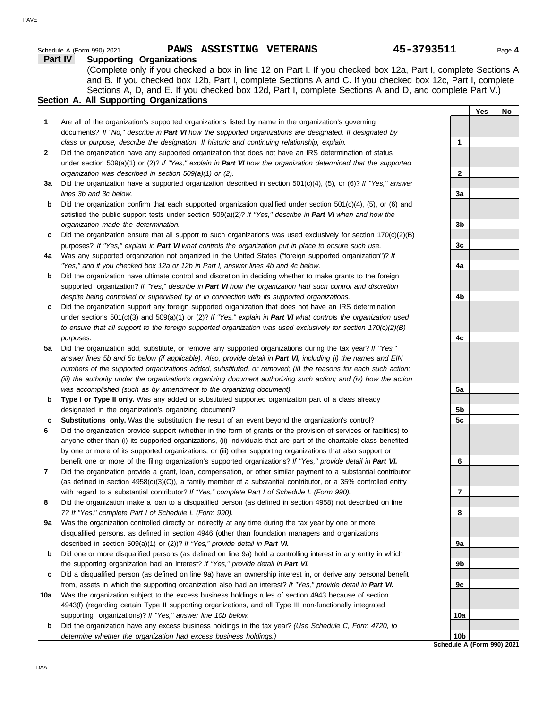|        | PAWS ASSISTING VETERANS<br>Schedule A (Form 990) 2021                                                                                                                                                                                                                                                                                                                                      | 45-3793511      |            | Page 4 |
|--------|--------------------------------------------------------------------------------------------------------------------------------------------------------------------------------------------------------------------------------------------------------------------------------------------------------------------------------------------------------------------------------------------|-----------------|------------|--------|
|        | <b>Supporting Organizations</b><br><b>Part IV</b><br>(Complete only if you checked a box in line 12 on Part I. If you checked box 12a, Part I, complete Sections A<br>and B. If you checked box 12b, Part I, complete Sections A and C. If you checked box 12c, Part I, complete<br>Sections A, D, and E. If you checked box 12d, Part I, complete Sections A and D, and complete Part V.) |                 |            |        |
|        | Section A. All Supporting Organizations                                                                                                                                                                                                                                                                                                                                                    |                 |            |        |
| 1      |                                                                                                                                                                                                                                                                                                                                                                                            |                 | <b>Yes</b> | No     |
|        | Are all of the organization's supported organizations listed by name in the organization's governing<br>documents? If "No," describe in Part VI how the supported organizations are designated. If designated by<br>class or purpose, describe the designation. If historic and continuing relationship, explain.                                                                          | 1               |            |        |
| 2      | Did the organization have any supported organization that does not have an IRS determination of status                                                                                                                                                                                                                                                                                     |                 |            |        |
|        | under section 509(a)(1) or (2)? If "Yes," explain in Part VI how the organization determined that the supported                                                                                                                                                                                                                                                                            |                 |            |        |
|        | organization was described in section 509(a)(1) or (2).                                                                                                                                                                                                                                                                                                                                    | 2               |            |        |
| 3a     | Did the organization have a supported organization described in section 501(c)(4), (5), or (6)? If "Yes," answer<br>lines 3b and 3c below.                                                                                                                                                                                                                                                 | 3a              |            |        |
| b      | Did the organization confirm that each supported organization qualified under section $501(c)(4)$ , (5), or (6) and                                                                                                                                                                                                                                                                        |                 |            |        |
|        | satisfied the public support tests under section 509(a)(2)? If "Yes," describe in Part VI when and how the                                                                                                                                                                                                                                                                                 |                 |            |        |
|        | organization made the determination.                                                                                                                                                                                                                                                                                                                                                       | 3 <sub>b</sub>  |            |        |
| c      | Did the organization ensure that all support to such organizations was used exclusively for section $170(c)(2)(B)$                                                                                                                                                                                                                                                                         |                 |            |        |
|        | purposes? If "Yes," explain in Part VI what controls the organization put in place to ensure such use.                                                                                                                                                                                                                                                                                     | 3c              |            |        |
| 4a     | Was any supported organization not organized in the United States ("foreign supported organization")? If                                                                                                                                                                                                                                                                                   |                 |            |        |
|        | "Yes," and if you checked box 12a or 12b in Part I, answer lines 4b and 4c below.                                                                                                                                                                                                                                                                                                          | 4a              |            |        |
| b      | Did the organization have ultimate control and discretion in deciding whether to make grants to the foreign<br>supported organization? If "Yes," describe in Part VI how the organization had such control and discretion                                                                                                                                                                  |                 |            |        |
|        | despite being controlled or supervised by or in connection with its supported organizations.                                                                                                                                                                                                                                                                                               | 4b              |            |        |
| c      | Did the organization support any foreign supported organization that does not have an IRS determination                                                                                                                                                                                                                                                                                    |                 |            |        |
|        | under sections $501(c)(3)$ and $509(a)(1)$ or (2)? If "Yes," explain in Part VI what controls the organization used                                                                                                                                                                                                                                                                        |                 |            |        |
|        | to ensure that all support to the foreign supported organization was used exclusively for section $170(c)(2)(B)$                                                                                                                                                                                                                                                                           |                 |            |        |
|        | purposes.                                                                                                                                                                                                                                                                                                                                                                                  | 4c              |            |        |
| 5a     | Did the organization add, substitute, or remove any supported organizations during the tax year? If "Yes,"                                                                                                                                                                                                                                                                                 |                 |            |        |
|        | answer lines 5b and 5c below (if applicable). Also, provide detail in Part VI, including (i) the names and EIN                                                                                                                                                                                                                                                                             |                 |            |        |
|        | numbers of the supported organizations added, substituted, or removed; (ii) the reasons for each such action;                                                                                                                                                                                                                                                                              |                 |            |        |
|        | (iii) the authority under the organization's organizing document authorizing such action; and (iv) how the action                                                                                                                                                                                                                                                                          |                 |            |        |
|        | was accomplished (such as by amendment to the organizing document).                                                                                                                                                                                                                                                                                                                        | 5a              |            |        |
| b      | Type I or Type II only. Was any added or substituted supported organization part of a class already                                                                                                                                                                                                                                                                                        |                 |            |        |
|        | designated in the organization's organizing document?<br>Substitutions only. Was the substitution the result of an event beyond the organization's control?                                                                                                                                                                                                                                | 5b<br>5c        |            |        |
| c<br>6 | Did the organization provide support (whether in the form of grants or the provision of services or facilities) to                                                                                                                                                                                                                                                                         |                 |            |        |
|        | anyone other than (i) its supported organizations, (ii) individuals that are part of the charitable class benefited                                                                                                                                                                                                                                                                        |                 |            |        |
|        | by one or more of its supported organizations, or (iii) other supporting organizations that also support or                                                                                                                                                                                                                                                                                |                 |            |        |
|        | benefit one or more of the filing organization's supported organizations? If "Yes," provide detail in Part VI.                                                                                                                                                                                                                                                                             | 6               |            |        |
| 7      | Did the organization provide a grant, loan, compensation, or other similar payment to a substantial contributor                                                                                                                                                                                                                                                                            |                 |            |        |
|        | (as defined in section 4958(c)(3)(C)), a family member of a substantial contributor, or a 35% controlled entity                                                                                                                                                                                                                                                                            |                 |            |        |
|        | with regard to a substantial contributor? If "Yes," complete Part I of Schedule L (Form 990).                                                                                                                                                                                                                                                                                              | $\overline{7}$  |            |        |
| 8      | Did the organization make a loan to a disqualified person (as defined in section 4958) not described on line                                                                                                                                                                                                                                                                               |                 |            |        |
|        | 7? If "Yes," complete Part I of Schedule L (Form 990).                                                                                                                                                                                                                                                                                                                                     | 8               |            |        |
| 9a     | Was the organization controlled directly or indirectly at any time during the tax year by one or more                                                                                                                                                                                                                                                                                      |                 |            |        |
|        | disqualified persons, as defined in section 4946 (other than foundation managers and organizations                                                                                                                                                                                                                                                                                         |                 |            |        |
|        | described in section 509(a)(1) or (2))? If "Yes," provide detail in Part VI.                                                                                                                                                                                                                                                                                                               | 9a              |            |        |
| b      | Did one or more disqualified persons (as defined on line 9a) hold a controlling interest in any entity in which<br>the supporting organization had an interest? If "Yes," provide detail in Part VI.                                                                                                                                                                                       | 9b              |            |        |
| c      | Did a disqualified person (as defined on line 9a) have an ownership interest in, or derive any personal benefit                                                                                                                                                                                                                                                                            |                 |            |        |
|        | from, assets in which the supporting organization also had an interest? If "Yes," provide detail in Part VI.                                                                                                                                                                                                                                                                               | 9c              |            |        |
| 10a    | Was the organization subject to the excess business holdings rules of section 4943 because of section                                                                                                                                                                                                                                                                                      |                 |            |        |
|        | 4943(f) (regarding certain Type II supporting organizations, and all Type III non-functionally integrated                                                                                                                                                                                                                                                                                  |                 |            |        |
|        | supporting organizations)? If "Yes," answer line 10b below.                                                                                                                                                                                                                                                                                                                                | 10a             |            |        |
| b      | Did the organization have any excess business holdings in the tax year? (Use Schedule C, Form 4720, to                                                                                                                                                                                                                                                                                     |                 |            |        |
|        | determine whether the organization had excess business holdings.)                                                                                                                                                                                                                                                                                                                          | 10 <sub>b</sub> |            |        |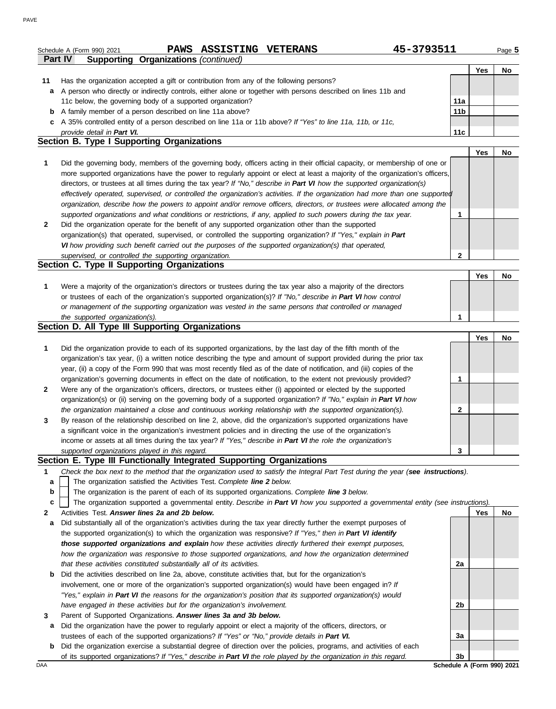|             | 45-3793511<br>ASSISTING VETERANS<br><b>PAWS</b><br>Schedule A (Form 990) 2021                                                                                                                                                                |              |     | Page 5 |
|-------------|----------------------------------------------------------------------------------------------------------------------------------------------------------------------------------------------------------------------------------------------|--------------|-----|--------|
|             | Part IV<br><b>Supporting Organizations (continued)</b>                                                                                                                                                                                       |              |     |        |
| 11          | Has the organization accepted a gift or contribution from any of the following persons?                                                                                                                                                      |              | Yes | No     |
| a           | A person who directly or indirectly controls, either alone or together with persons described on lines 11b and                                                                                                                               |              |     |        |
|             | 11c below, the governing body of a supported organization?                                                                                                                                                                                   | 11a          |     |        |
| b           | A family member of a person described on line 11a above?                                                                                                                                                                                     | 11b          |     |        |
|             | c A 35% controlled entity of a person described on line 11a or 11b above? If "Yes" to line 11a, 11b, or 11c,                                                                                                                                 |              |     |        |
|             | provide detail in Part VI.                                                                                                                                                                                                                   | 11c          |     |        |
|             | <b>Section B. Type I Supporting Organizations</b>                                                                                                                                                                                            |              |     |        |
|             |                                                                                                                                                                                                                                              |              | Yes | No     |
| 1           | Did the governing body, members of the governing body, officers acting in their official capacity, or membership of one or                                                                                                                   |              |     |        |
|             | more supported organizations have the power to regularly appoint or elect at least a majority of the organization's officers,                                                                                                                |              |     |        |
|             | directors, or trustees at all times during the tax year? If "No," describe in Part VI how the supported organization(s)                                                                                                                      |              |     |        |
|             |                                                                                                                                                                                                                                              |              |     |        |
|             | effectively operated, supervised, or controlled the organization's activities. If the organization had more than one supported                                                                                                               |              |     |        |
|             | organization, describe how the powers to appoint and/or remove officers, directors, or trustees were allocated among the<br>supported organizations and what conditions or restrictions, if any, applied to such powers during the tax year. |              |     |        |
|             | Did the organization operate for the benefit of any supported organization other than the supported                                                                                                                                          | 1            |     |        |
| 2           |                                                                                                                                                                                                                                              |              |     |        |
|             | organization(s) that operated, supervised, or controlled the supporting organization? If "Yes," explain in Part                                                                                                                              |              |     |        |
|             | VI how providing such benefit carried out the purposes of the supported organization(s) that operated,                                                                                                                                       |              |     |        |
|             | supervised, or controlled the supporting organization.<br>Section C. Type II Supporting Organizations                                                                                                                                        | $\mathbf{2}$ |     |        |
|             |                                                                                                                                                                                                                                              |              |     |        |
|             |                                                                                                                                                                                                                                              |              | Yes | No     |
| 1           | Were a majority of the organization's directors or trustees during the tax year also a majority of the directors                                                                                                                             |              |     |        |
|             | or trustees of each of the organization's supported organization(s)? If "No," describe in Part VI how control                                                                                                                                |              |     |        |
|             | or management of the supporting organization was vested in the same persons that controlled or managed                                                                                                                                       |              |     |        |
|             | the supported organization(s).<br>Section D. All Type III Supporting Organizations                                                                                                                                                           | 1            |     |        |
|             |                                                                                                                                                                                                                                              |              | Yes | No     |
| 1           | Did the organization provide to each of its supported organizations, by the last day of the fifth month of the                                                                                                                               |              |     |        |
|             |                                                                                                                                                                                                                                              |              |     |        |
|             | organization's tax year, (i) a written notice describing the type and amount of support provided during the prior tax                                                                                                                        |              |     |        |
|             | year, (ii) a copy of the Form 990 that was most recently filed as of the date of notification, and (iii) copies of the                                                                                                                       |              |     |        |
|             | organization's governing documents in effect on the date of notification, to the extent not previously provided?                                                                                                                             | 1            |     |        |
| 2           | Were any of the organization's officers, directors, or trustees either (i) appointed or elected by the supported                                                                                                                             |              |     |        |
|             | organization(s) or (ii) serving on the governing body of a supported organization? If "No," explain in Part VI how                                                                                                                           |              |     |        |
|             | the organization maintained a close and continuous working relationship with the supported organization(s).                                                                                                                                  | 2            |     |        |
| 3           | By reason of the relationship described on line 2, above, did the organization's supported organizations have                                                                                                                                |              |     |        |
|             | a significant voice in the organization's investment policies and in directing the use of the organization's                                                                                                                                 |              |     |        |
|             | income or assets at all times during the tax year? If "Yes," describe in Part VI the role the organization's                                                                                                                                 |              |     |        |
|             | supported organizations played in this regard.<br>Section E. Type III Functionally Integrated Supporting Organizations                                                                                                                       | 3            |     |        |
|             |                                                                                                                                                                                                                                              |              |     |        |
| 1           | Check the box next to the method that the organization used to satisfy the Integral Part Test during the year (see instructions).                                                                                                            |              |     |        |
| а           | The organization satisfied the Activities Test. Complete line 2 below.                                                                                                                                                                       |              |     |        |
| $\mathbf b$ | The organization is the parent of each of its supported organizations. Complete line 3 below.                                                                                                                                                |              |     |        |
| c           | The organization supported a governmental entity. Describe in Part VI how you supported a governmental entity (see instructions).                                                                                                            |              |     |        |
| 2           | Activities Test. Answer lines 2a and 2b below.                                                                                                                                                                                               |              | Yes | No     |
| a           | Did substantially all of the organization's activities during the tax year directly further the exempt purposes of                                                                                                                           |              |     |        |
|             | the supported organization(s) to which the organization was responsive? If "Yes," then in Part VI identify                                                                                                                                   |              |     |        |
|             | those supported organizations and explain how these activities directly furthered their exempt purposes,                                                                                                                                     |              |     |        |
|             | how the organization was responsive to those supported organizations, and how the organization determined                                                                                                                                    |              |     |        |
|             | that these activities constituted substantially all of its activities.                                                                                                                                                                       | 2a           |     |        |
| b           | Did the activities described on line 2a, above, constitute activities that, but for the organization's                                                                                                                                       |              |     |        |
|             |                                                                                                                                                                                                                                              |              |     |        |
|             | involvement, one or more of the organization's supported organization(s) would have been engaged in? If                                                                                                                                      |              |     |        |
|             | "Yes," explain in Part VI the reasons for the organization's position that its supported organization(s) would                                                                                                                               |              |     |        |

- **3** Parent of Supported Organizations. *Answer lines 3a and 3b below.*
	- **a** Did the organization have the power to regularly appoint or elect a majority of the officers, directors, or trustees of each of the supported organizations? *If "Yes" or "No," provide details in Part VI.*
	- **b** Did the organization exercise a substantial degree of direction over the policies, programs, and activities of each of its supported organizations? *If "Yes," describe in Part VI the role played by the organization in this regard.*

**3a**

**3b**

|                | Yes | No |  |
|----------------|-----|----|--|
|                |     |    |  |
|                |     |    |  |
| 1a             |     |    |  |
| $\overline{1}$ |     |    |  |
|                |     |    |  |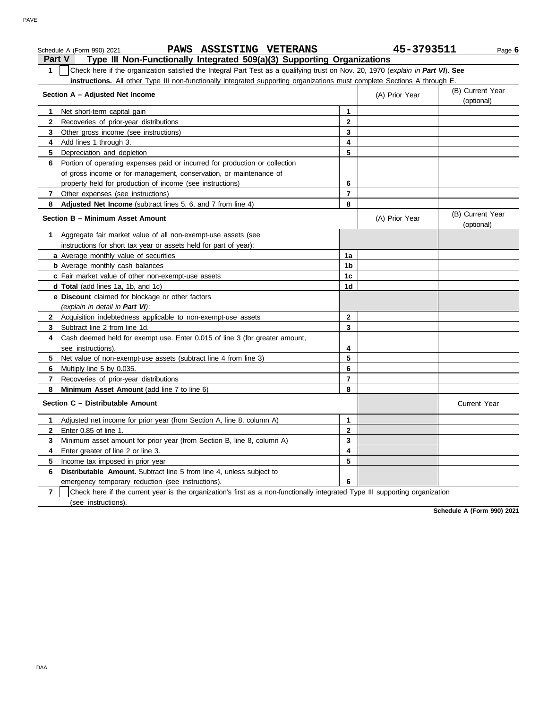| PAWS ASSISTING VETERANS<br>Schedule A (Form 990) 2021                                                                                                   |                | 45-3793511     | Page 6                         |
|---------------------------------------------------------------------------------------------------------------------------------------------------------|----------------|----------------|--------------------------------|
| <b>Part V</b><br>Type III Non-Functionally Integrated 509(a)(3) Supporting Organizations                                                                |                |                |                                |
| 1<br>Check here if the organization satisfied the Integral Part Test as a qualifying trust on Nov. 20, 1970 (explain in Part VI). See                   |                |                |                                |
| instructions. All other Type III non-functionally integrated supporting organizations must complete Sections A through E.                               |                |                |                                |
| Section A - Adjusted Net Income                                                                                                                         |                | (A) Prior Year | (B) Current Year               |
|                                                                                                                                                         |                |                | (optional)                     |
| Net short-term capital gain<br>1                                                                                                                        | 1              |                |                                |
| 2<br>Recoveries of prior-year distributions                                                                                                             | $\mathbf{2}$   |                |                                |
| Other gross income (see instructions)<br>3                                                                                                              | 3              |                |                                |
| Add lines 1 through 3.<br>4                                                                                                                             | 4              |                |                                |
| 5<br>Depreciation and depletion                                                                                                                         | 5              |                |                                |
| Portion of operating expenses paid or incurred for production or collection<br>6                                                                        |                |                |                                |
| of gross income or for management, conservation, or maintenance of                                                                                      |                |                |                                |
| property held for production of income (see instructions)                                                                                               | 6              |                |                                |
| Other expenses (see instructions)<br>$\mathbf{7}$                                                                                                       | 7              |                |                                |
| Adjusted Net Income (subtract lines 5, 6, and 7 from line 4)<br>8                                                                                       | 8              |                |                                |
| Section B - Minimum Asset Amount                                                                                                                        |                | (A) Prior Year | (B) Current Year<br>(optional) |
| Aggregate fair market value of all non-exempt-use assets (see<br>1.                                                                                     |                |                |                                |
| instructions for short tax year or assets held for part of year):                                                                                       |                |                |                                |
| a Average monthly value of securities                                                                                                                   | 1a             |                |                                |
| <b>b</b> Average monthly cash balances                                                                                                                  | 1b             |                |                                |
| c Fair market value of other non-exempt-use assets                                                                                                      | 1c             |                |                                |
| d Total (add lines 1a, 1b, and 1c)                                                                                                                      | 1d             |                |                                |
| e Discount claimed for blockage or other factors                                                                                                        |                |                |                                |
| (explain in detail in Part VI):                                                                                                                         |                |                |                                |
| 2 Acquisition indebtedness applicable to non-exempt-use assets                                                                                          | $\mathbf{2}$   |                |                                |
| Subtract line 2 from line 1d.<br>3                                                                                                                      | 3              |                |                                |
| Cash deemed held for exempt use. Enter 0.015 of line 3 (for greater amount,<br>4                                                                        |                |                |                                |
| see instructions).                                                                                                                                      | 4              |                |                                |
| Net value of non-exempt-use assets (subtract line 4 from line 3)<br>5.                                                                                  | 5              |                |                                |
| Multiply line 5 by 0.035.<br>6                                                                                                                          | 6              |                |                                |
| Recoveries of prior-year distributions<br>7                                                                                                             | $\overline{7}$ |                |                                |
| Minimum Asset Amount (add line 7 to line 6)<br>8                                                                                                        | 8              |                |                                |
| Section C - Distributable Amount                                                                                                                        |                |                | <b>Current Year</b>            |
| Adiusted net income for prior year (from Section A. line 8, column A)                                                                                   | 1              |                |                                |
| Enter 0.85 of line 1.<br>$\mathbf{2}$                                                                                                                   | $\mathbf{2}$   |                |                                |
| Minimum asset amount for prior year (from Section B, line 8, column A)<br>3                                                                             | 3              |                |                                |
| Enter greater of line 2 or line 3.<br>4                                                                                                                 | 4              |                |                                |
| 5<br>Income tax imposed in prior year                                                                                                                   | 5              |                |                                |
| Distributable Amount. Subtract line 5 from line 4, unless subject to<br>6                                                                               |                |                |                                |
| emergency temporary reduction (see instructions).                                                                                                       | 6              |                |                                |
| $\overline{\mathbf{r}}$<br>Check here if the current year is the organization's first as a non-functionally integrated Type III supporting organization |                |                |                                |
| (see instructions).                                                                                                                                     |                |                |                                |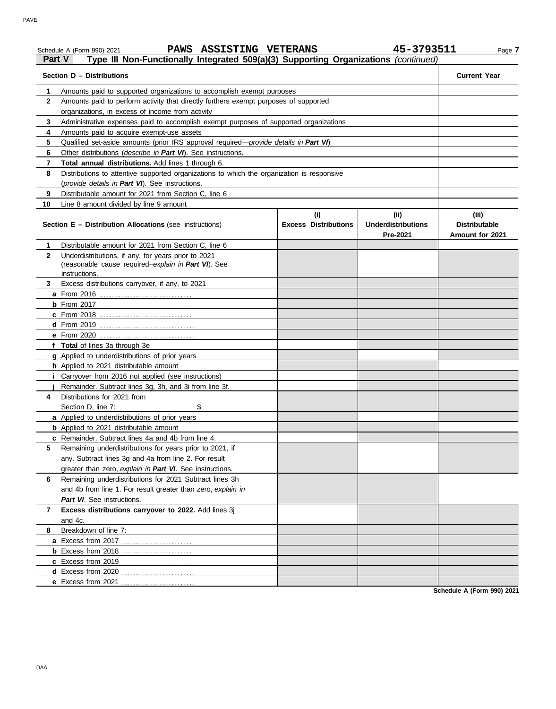|              | PAWS ASSISTING VETERANS<br>Schedule A (Form 990) 2021                                                 |                                    | 45-3793511                                    | Page 7                                           |
|--------------|-------------------------------------------------------------------------------------------------------|------------------------------------|-----------------------------------------------|--------------------------------------------------|
|              | Type III Non-Functionally Integrated 509(a)(3) Supporting Organizations (continued)<br><b>Part V</b>  |                                    |                                               |                                                  |
|              | Section D - Distributions                                                                             |                                    |                                               | <b>Current Year</b>                              |
| 1            | Amounts paid to supported organizations to accomplish exempt purposes                                 |                                    |                                               |                                                  |
| $\mathbf{2}$ | Amounts paid to perform activity that directly furthers exempt purposes of supported                  |                                    |                                               |                                                  |
|              | organizations, in excess of income from activity                                                      |                                    |                                               |                                                  |
| 3            | Administrative expenses paid to accomplish exempt purposes of supported organizations                 |                                    |                                               |                                                  |
| 4            | Amounts paid to acquire exempt-use assets                                                             |                                    |                                               |                                                  |
| 5            | Qualified set-aside amounts (prior IRS approval required-provide details in Part VI)                  |                                    |                                               |                                                  |
| 6            | Other distributions (describe in Part VI). See instructions.                                          |                                    |                                               |                                                  |
| 7            | Total annual distributions. Add lines 1 through 6.                                                    |                                    |                                               |                                                  |
| 8            | Distributions to attentive supported organizations to which the organization is responsive            |                                    |                                               |                                                  |
|              | (provide details in Part VI). See instructions.                                                       |                                    |                                               |                                                  |
| 9            | Distributable amount for 2021 from Section C, line 6                                                  |                                    |                                               |                                                  |
| 10           | Line 8 amount divided by line 9 amount                                                                |                                    |                                               |                                                  |
|              | <b>Section E - Distribution Allocations (see instructions)</b>                                        | (i)<br><b>Excess Distributions</b> | (ii)<br><b>Underdistributions</b><br>Pre-2021 | (iii)<br><b>Distributable</b><br>Amount for 2021 |
| 1            | Distributable amount for 2021 from Section C, line 6                                                  |                                    |                                               |                                                  |
| $\mathbf{2}$ | Underdistributions, if any, for years prior to 2021                                                   |                                    |                                               |                                                  |
|              | (reasonable cause required-explain in Part VI). See                                                   |                                    |                                               |                                                  |
|              | instructions.                                                                                         |                                    |                                               |                                                  |
| 3            | Excess distributions carryover, if any, to 2021                                                       |                                    |                                               |                                                  |
|              |                                                                                                       |                                    |                                               |                                                  |
|              |                                                                                                       |                                    |                                               |                                                  |
|              | <b>c</b> From 2018                                                                                    |                                    |                                               |                                                  |
|              |                                                                                                       |                                    |                                               |                                                  |
|              |                                                                                                       |                                    |                                               |                                                  |
|              | f Total of lines 3a through 3e                                                                        |                                    |                                               |                                                  |
|              | g Applied to underdistributions of prior years                                                        |                                    |                                               |                                                  |
|              | h Applied to 2021 distributable amount<br><i>i</i> Carryover from 2016 not applied (see instructions) |                                    |                                               |                                                  |
|              | Remainder. Subtract lines 3g, 3h, and 3i from line 3f.                                                |                                    |                                               |                                                  |
| 4            | Distributions for 2021 from                                                                           |                                    |                                               |                                                  |
|              | \$<br>Section D. line 7:                                                                              |                                    |                                               |                                                  |
|              | a Applied to underdistributions of prior years                                                        |                                    |                                               |                                                  |
|              | <b>b</b> Applied to 2021 distributable amount                                                         |                                    |                                               |                                                  |
|              | c Remainder. Subtract lines 4a and 4b from line 4.                                                    |                                    |                                               |                                                  |
| 5            | Remaining underdistributions for years prior to 2021, if                                              |                                    |                                               |                                                  |
|              | any. Subtract lines 3g and 4a from line 2. For result                                                 |                                    |                                               |                                                  |
|              | greater than zero, explain in Part VI. See instructions.                                              |                                    |                                               |                                                  |
| 6            | Remaining underdistributions for 2021 Subtract lines 3h                                               |                                    |                                               |                                                  |
|              | and 4b from line 1. For result greater than zero, explain in                                          |                                    |                                               |                                                  |
|              | Part VI. See instructions.                                                                            |                                    |                                               |                                                  |
| 7            | Excess distributions carryover to 2022. Add lines 3j                                                  |                                    |                                               |                                                  |
|              |                                                                                                       |                                    |                                               |                                                  |
| 8            | and 4c.<br>Breakdown of line 7:                                                                       |                                    |                                               |                                                  |
|              |                                                                                                       |                                    |                                               |                                                  |
|              | <b>b</b> Excess from 2018                                                                             |                                    |                                               |                                                  |
|              |                                                                                                       |                                    |                                               |                                                  |
|              |                                                                                                       |                                    |                                               |                                                  |
|              |                                                                                                       |                                    |                                               |                                                  |
|              |                                                                                                       |                                    |                                               |                                                  |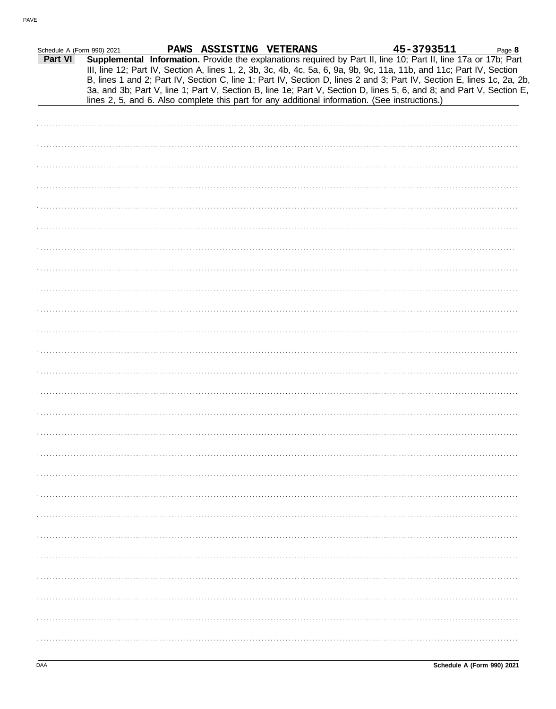| Schedule A (Form 990) 2021 |  | PAWS ASSISTING VETERANS | 45-3793511                                                                                                                                                                                                                                                                                                                                                        | Page 8 |
|----------------------------|--|-------------------------|-------------------------------------------------------------------------------------------------------------------------------------------------------------------------------------------------------------------------------------------------------------------------------------------------------------------------------------------------------------------|--------|
| Part VI                    |  |                         | Supplemental Information. Provide the explanations required by Part II, line 10; Part II, line 17a or 17b; Part<br>III, line 12; Part IV, Section A, lines 1, 2, 3b, 3c, 4b, 4c, 5a, 6, 9a, 9b, 9c, 11a, 11b, and 11c; Part IV, Section<br>B, lines 1 and 2; Part IV, Section C, line 1; Part IV, Section D, lines 2 and 3; Part IV, Section E, lines 1c, 2a, 2b, |        |
|                            |  |                         | 3a, and 3b; Part V, line 1; Part V, Section B, line 1e; Part V, Section D, lines 5, 6, and 8; and Part V, Section E,                                                                                                                                                                                                                                              |        |
|                            |  |                         | lines 2, 5, and 6. Also complete this part for any additional information. (See instructions.)                                                                                                                                                                                                                                                                    |        |
|                            |  |                         |                                                                                                                                                                                                                                                                                                                                                                   |        |
|                            |  |                         |                                                                                                                                                                                                                                                                                                                                                                   |        |
|                            |  |                         |                                                                                                                                                                                                                                                                                                                                                                   |        |
|                            |  |                         |                                                                                                                                                                                                                                                                                                                                                                   |        |
|                            |  |                         |                                                                                                                                                                                                                                                                                                                                                                   |        |
|                            |  |                         |                                                                                                                                                                                                                                                                                                                                                                   |        |
|                            |  |                         |                                                                                                                                                                                                                                                                                                                                                                   |        |
|                            |  |                         |                                                                                                                                                                                                                                                                                                                                                                   |        |
|                            |  |                         |                                                                                                                                                                                                                                                                                                                                                                   |        |
|                            |  |                         |                                                                                                                                                                                                                                                                                                                                                                   |        |
|                            |  |                         |                                                                                                                                                                                                                                                                                                                                                                   |        |
|                            |  |                         |                                                                                                                                                                                                                                                                                                                                                                   |        |
|                            |  |                         |                                                                                                                                                                                                                                                                                                                                                                   |        |
|                            |  |                         |                                                                                                                                                                                                                                                                                                                                                                   |        |
|                            |  |                         |                                                                                                                                                                                                                                                                                                                                                                   |        |
|                            |  |                         |                                                                                                                                                                                                                                                                                                                                                                   |        |
|                            |  |                         |                                                                                                                                                                                                                                                                                                                                                                   |        |
|                            |  |                         |                                                                                                                                                                                                                                                                                                                                                                   |        |
|                            |  |                         |                                                                                                                                                                                                                                                                                                                                                                   |        |
|                            |  |                         |                                                                                                                                                                                                                                                                                                                                                                   |        |
|                            |  |                         |                                                                                                                                                                                                                                                                                                                                                                   |        |
|                            |  |                         |                                                                                                                                                                                                                                                                                                                                                                   |        |
|                            |  |                         |                                                                                                                                                                                                                                                                                                                                                                   |        |
|                            |  |                         |                                                                                                                                                                                                                                                                                                                                                                   |        |
|                            |  |                         |                                                                                                                                                                                                                                                                                                                                                                   |        |
|                            |  |                         |                                                                                                                                                                                                                                                                                                                                                                   |        |
|                            |  |                         |                                                                                                                                                                                                                                                                                                                                                                   |        |
|                            |  |                         |                                                                                                                                                                                                                                                                                                                                                                   |        |
|                            |  |                         |                                                                                                                                                                                                                                                                                                                                                                   |        |
|                            |  |                         |                                                                                                                                                                                                                                                                                                                                                                   |        |
|                            |  |                         |                                                                                                                                                                                                                                                                                                                                                                   |        |
|                            |  |                         |                                                                                                                                                                                                                                                                                                                                                                   |        |
|                            |  |                         |                                                                                                                                                                                                                                                                                                                                                                   |        |
|                            |  |                         |                                                                                                                                                                                                                                                                                                                                                                   |        |
|                            |  |                         |                                                                                                                                                                                                                                                                                                                                                                   |        |
|                            |  |                         |                                                                                                                                                                                                                                                                                                                                                                   |        |
|                            |  |                         |                                                                                                                                                                                                                                                                                                                                                                   |        |
|                            |  |                         |                                                                                                                                                                                                                                                                                                                                                                   |        |
|                            |  |                         |                                                                                                                                                                                                                                                                                                                                                                   |        |
|                            |  |                         |                                                                                                                                                                                                                                                                                                                                                                   |        |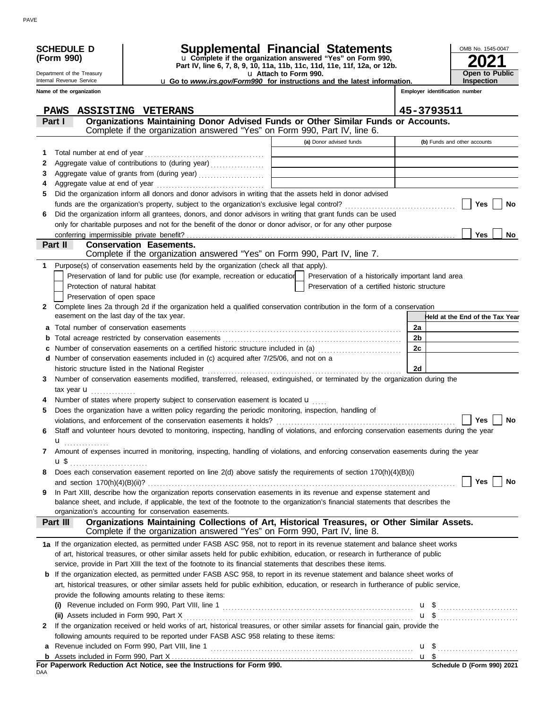|              | <b>SCHEDULE D</b>                                      |                                                                                                                                                                                                                                                     |                       | Supplemental Financial Statements<br>u Complete if the organization answered "Yes" on Form 990, |    | OMB No. 1545-0047                          |
|--------------|--------------------------------------------------------|-----------------------------------------------------------------------------------------------------------------------------------------------------------------------------------------------------------------------------------------------------|-----------------------|-------------------------------------------------------------------------------------------------|----|--------------------------------------------|
| (Form 990)   |                                                        |                                                                                                                                                                                                                                                     |                       | Part IV, line 6, 7, 8, 9, 10, 11a, 11b, 11c, 11d, 11e, 11f, 12a, or 12b.                        |    |                                            |
|              | Department of the Treasury<br>Internal Revenue Service | u Go to www.irs.gov/Form990 for instructions and the latest information.                                                                                                                                                                            | u Attach to Form 990. |                                                                                                 |    | <b>Open to Public</b><br><b>Inspection</b> |
|              | Name of the organization                               |                                                                                                                                                                                                                                                     |                       |                                                                                                 |    | Employer identification number             |
|              |                                                        |                                                                                                                                                                                                                                                     |                       |                                                                                                 |    |                                            |
|              | <b>PAWS</b>                                            | ASSISTING VETERANS                                                                                                                                                                                                                                  |                       |                                                                                                 |    | 45-3793511                                 |
|              | Part I                                                 | Organizations Maintaining Donor Advised Funds or Other Similar Funds or Accounts.                                                                                                                                                                   |                       |                                                                                                 |    |                                            |
|              |                                                        | Complete if the organization answered "Yes" on Form 990, Part IV, line 6.                                                                                                                                                                           |                       |                                                                                                 |    |                                            |
|              |                                                        |                                                                                                                                                                                                                                                     |                       | (a) Donor advised funds                                                                         |    | (b) Funds and other accounts               |
| 1            |                                                        |                                                                                                                                                                                                                                                     |                       |                                                                                                 |    |                                            |
| 2            |                                                        | Aggregate value of contributions to (during year)                                                                                                                                                                                                   |                       |                                                                                                 |    |                                            |
| 3            |                                                        | Aggregate value of grants from (during year)                                                                                                                                                                                                        |                       |                                                                                                 |    |                                            |
| 4<br>5       |                                                        | Did the organization inform all donors and donor advisors in writing that the assets held in donor advised                                                                                                                                          |                       |                                                                                                 |    |                                            |
|              |                                                        |                                                                                                                                                                                                                                                     |                       |                                                                                                 |    | Yes<br>No                                  |
| 6            |                                                        | Did the organization inform all grantees, donors, and donor advisors in writing that grant funds can be used                                                                                                                                        |                       |                                                                                                 |    |                                            |
|              |                                                        | only for charitable purposes and not for the benefit of the donor or donor advisor, or for any other purpose                                                                                                                                        |                       |                                                                                                 |    |                                            |
|              |                                                        |                                                                                                                                                                                                                                                     |                       |                                                                                                 |    | Yes<br>No                                  |
|              | Part II                                                | <b>Conservation Easements.</b>                                                                                                                                                                                                                      |                       |                                                                                                 |    |                                            |
|              |                                                        | Complete if the organization answered "Yes" on Form 990, Part IV, line 7.                                                                                                                                                                           |                       |                                                                                                 |    |                                            |
| 1            |                                                        | Purpose(s) of conservation easements held by the organization (check all that apply).                                                                                                                                                               |                       |                                                                                                 |    |                                            |
|              |                                                        | Preservation of land for public use (for example, recreation or education                                                                                                                                                                           |                       | Preservation of a historically important land area                                              |    |                                            |
|              | Protection of natural habitat                          |                                                                                                                                                                                                                                                     |                       | Preservation of a certified historic structure                                                  |    |                                            |
|              | Preservation of open space                             |                                                                                                                                                                                                                                                     |                       |                                                                                                 |    |                                            |
| $\mathbf{2}$ |                                                        | Complete lines 2a through 2d if the organization held a qualified conservation contribution in the form of a conservation                                                                                                                           |                       |                                                                                                 |    |                                            |
|              | easement on the last day of the tax year.              |                                                                                                                                                                                                                                                     |                       |                                                                                                 |    | Held at the End of the Tax Year            |
|              |                                                        |                                                                                                                                                                                                                                                     |                       |                                                                                                 | 2a |                                            |
|              |                                                        |                                                                                                                                                                                                                                                     |                       |                                                                                                 | 2b |                                            |
|              |                                                        |                                                                                                                                                                                                                                                     |                       |                                                                                                 | 2c |                                            |
|              |                                                        | d Number of conservation easements included in (c) acquired after 7/25/06, and not on a                                                                                                                                                             |                       |                                                                                                 |    |                                            |
|              |                                                        |                                                                                                                                                                                                                                                     |                       |                                                                                                 | 2d |                                            |
| 3            |                                                        | Number of conservation easements modified, transferred, released, extinguished, or terminated by the organization during the                                                                                                                        |                       |                                                                                                 |    |                                            |
|              | tax year $\mathbf{u}$                                  | Number of states where property subject to conservation easement is located <b>u</b>                                                                                                                                                                |                       |                                                                                                 |    |                                            |
| 5            |                                                        | Does the organization have a written policy regarding the periodic monitoring, inspection, handling of                                                                                                                                              |                       |                                                                                                 |    |                                            |
|              |                                                        |                                                                                                                                                                                                                                                     |                       |                                                                                                 |    | Yes<br>No                                  |
| 6            |                                                        | Staff and volunteer hours devoted to monitoring, inspecting, handling of violations, and enforcing conservation easements during the year                                                                                                           |                       |                                                                                                 |    |                                            |
|              | u                                                      |                                                                                                                                                                                                                                                     |                       |                                                                                                 |    |                                            |
| 7            |                                                        | Amount of expenses incurred in monitoring, inspecting, handling of violations, and enforcing conservation easements during the year                                                                                                                 |                       |                                                                                                 |    |                                            |
|              | $\mathbf{u}$ \$                                        |                                                                                                                                                                                                                                                     |                       |                                                                                                 |    |                                            |
| 8            |                                                        | Does each conservation easement reported on line 2(d) above satisfy the requirements of section 170(h)(4)(B)(i)                                                                                                                                     |                       |                                                                                                 |    |                                            |
|              |                                                        |                                                                                                                                                                                                                                                     |                       |                                                                                                 |    | Yes<br>No                                  |
| 9            |                                                        | In Part XIII, describe how the organization reports conservation easements in its revenue and expense statement and                                                                                                                                 |                       |                                                                                                 |    |                                            |
|              |                                                        | balance sheet, and include, if applicable, the text of the footnote to the organization's financial statements that describes the                                                                                                                   |                       |                                                                                                 |    |                                            |
|              |                                                        | organization's accounting for conservation easements.                                                                                                                                                                                               |                       |                                                                                                 |    |                                            |
|              | Part III                                               | Organizations Maintaining Collections of Art, Historical Treasures, or Other Similar Assets.                                                                                                                                                        |                       |                                                                                                 |    |                                            |
|              |                                                        | Complete if the organization answered "Yes" on Form 990, Part IV, line 8.                                                                                                                                                                           |                       |                                                                                                 |    |                                            |
|              |                                                        | 1a If the organization elected, as permitted under FASB ASC 958, not to report in its revenue statement and balance sheet works                                                                                                                     |                       |                                                                                                 |    |                                            |
|              |                                                        | of art, historical treasures, or other similar assets held for public exhibition, education, or research in furtherance of public<br>service, provide in Part XIII the text of the footnote to its financial statements that describes these items. |                       |                                                                                                 |    |                                            |
|              |                                                        | <b>b</b> If the organization elected, as permitted under FASB ASC 958, to report in its revenue statement and balance sheet works of                                                                                                                |                       |                                                                                                 |    |                                            |
|              |                                                        | art, historical treasures, or other similar assets held for public exhibition, education, or research in furtherance of public service,                                                                                                             |                       |                                                                                                 |    |                                            |
|              |                                                        | provide the following amounts relating to these items:                                                                                                                                                                                              |                       |                                                                                                 |    |                                            |
|              |                                                        | (i) Revenue included on Form 990, Part VIII, line 1 $\ldots$ $\ldots$ $\ldots$ $\ldots$ $\ldots$ $\ldots$ $\ldots$ $\ldots$ $\ldots$ $\ldots$                                                                                                       |                       |                                                                                                 |    |                                            |
|              |                                                        |                                                                                                                                                                                                                                                     |                       |                                                                                                 |    |                                            |
| 2            |                                                        | If the organization received or held works of art, historical treasures, or other similar assets for financial gain, provide the                                                                                                                    |                       |                                                                                                 |    |                                            |
|              |                                                        | following amounts required to be reported under FASB ASC 958 relating to these items:                                                                                                                                                               |                       |                                                                                                 |    |                                            |
| a            |                                                        |                                                                                                                                                                                                                                                     |                       |                                                                                                 |    |                                            |
|              |                                                        |                                                                                                                                                                                                                                                     |                       |                                                                                                 |    |                                            |
|              |                                                        |                                                                                                                                                                                                                                                     |                       |                                                                                                 |    | Schedule D (Form 990) 2021                 |
| DAA          |                                                        |                                                                                                                                                                                                                                                     |                       |                                                                                                 |    |                                            |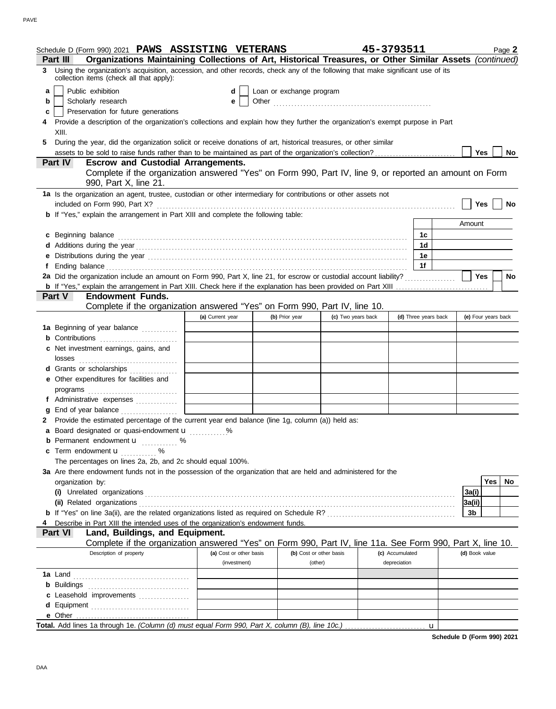|   | Schedule D (Form 990) 2021 PAWS ASSISTING VETERANS                                                                                                                                                                             |                         |                          |                         | 45-3793511      |                      |                          | Page 2    |
|---|--------------------------------------------------------------------------------------------------------------------------------------------------------------------------------------------------------------------------------|-------------------------|--------------------------|-------------------------|-----------------|----------------------|--------------------------|-----------|
|   | Organizations Maintaining Collections of Art, Historical Treasures, or Other Similar Assets (continued)<br>Part III                                                                                                            |                         |                          |                         |                 |                      |                          |           |
|   | 3 Using the organization's acquisition, accession, and other records, check any of the following that make significant use of its<br>collection items (check all that apply):                                                  |                         |                          |                         |                 |                      |                          |           |
| a | Public exhibition                                                                                                                                                                                                              | d                       | Loan or exchange program |                         |                 |                      |                          |           |
| b | Scholarly research                                                                                                                                                                                                             | е                       |                          |                         |                 |                      |                          |           |
| c | Preservation for future generations                                                                                                                                                                                            |                         |                          |                         |                 |                      |                          |           |
| 4 | Provide a description of the organization's collections and explain how they further the organization's exempt purpose in Part                                                                                                 |                         |                          |                         |                 |                      |                          |           |
|   | XIII.                                                                                                                                                                                                                          |                         |                          |                         |                 |                      |                          |           |
| 5 | During the year, did the organization solicit or receive donations of art, historical treasures, or other similar<br>assets to be sold to raise funds rather than to be maintained as part of the organization's collection?   |                         |                          |                         |                 |                      | Yes                      | No        |
|   | Part IV<br><b>Escrow and Custodial Arrangements.</b>                                                                                                                                                                           |                         |                          |                         |                 |                      |                          |           |
|   | Complete if the organization answered "Yes" on Form 990, Part IV, line 9, or reported an amount on Form                                                                                                                        |                         |                          |                         |                 |                      |                          |           |
|   | 990, Part X, line 21.                                                                                                                                                                                                          |                         |                          |                         |                 |                      |                          |           |
|   | 1a Is the organization an agent, trustee, custodian or other intermediary for contributions or other assets not<br>included on Form 990, Part X?                                                                               |                         |                          |                         |                 |                      | Yes                      | No        |
|   | <b>b</b> If "Yes," explain the arrangement in Part XIII and complete the following table:                                                                                                                                      |                         |                          |                         |                 |                      |                          |           |
|   |                                                                                                                                                                                                                                |                         |                          |                         |                 |                      | Amount                   |           |
|   | c Beginning balance                                                                                                                                                                                                            |                         |                          |                         |                 | 1c                   |                          |           |
|   |                                                                                                                                                                                                                                |                         |                          |                         |                 | 1 <sub>d</sub>       |                          |           |
|   | e Distributions during the year manufactured contains and the year manufactured with the set of the set of the set of the set of the set of the set of the set of the set of the set of the set of the set of the set of the s |                         |                          |                         |                 | 1е                   |                          |           |
|   |                                                                                                                                                                                                                                |                         |                          |                         |                 | 1f                   |                          |           |
|   | 2a Did the organization include an amount on Form 990, Part X, line 21, for escrow or custodial account liability?                                                                                                             |                         |                          |                         |                 |                      | Yes                      | <b>No</b> |
|   |                                                                                                                                                                                                                                |                         |                          |                         |                 |                      |                          |           |
|   | <b>Endowment Funds.</b><br>Part V                                                                                                                                                                                              |                         |                          |                         |                 |                      |                          |           |
|   | Complete if the organization answered "Yes" on Form 990, Part IV, line 10.                                                                                                                                                     |                         |                          |                         |                 |                      |                          |           |
|   |                                                                                                                                                                                                                                | (a) Current year        | (b) Prior year           | (c) Two years back      |                 | (d) Three years back | (e) Four years back      |           |
|   | 1a Beginning of year balance                                                                                                                                                                                                   |                         |                          |                         |                 |                      |                          |           |
|   |                                                                                                                                                                                                                                |                         |                          |                         |                 |                      |                          |           |
|   | c Net investment earnings, gains, and<br>losses                                                                                                                                                                                |                         |                          |                         |                 |                      |                          |           |
|   | d Grants or scholarships                                                                                                                                                                                                       |                         |                          |                         |                 |                      |                          |           |
|   | e Other expenditures for facilities and                                                                                                                                                                                        |                         |                          |                         |                 |                      |                          |           |
|   | programs                                                                                                                                                                                                                       |                         |                          |                         |                 |                      |                          |           |
|   | f Administrative expenses                                                                                                                                                                                                      |                         |                          |                         |                 |                      |                          |           |
|   |                                                                                                                                                                                                                                |                         |                          |                         |                 |                      |                          |           |
|   | 2 Provide the estimated percentage of the current year end balance (line 1g, column (a)) held as:                                                                                                                              |                         |                          |                         |                 |                      |                          |           |
|   | a Board designated or quasi-endowment u                                                                                                                                                                                        | %                       |                          |                         |                 |                      |                          |           |
|   | <b>b</b> Permanent endowment <b>u</b> %                                                                                                                                                                                        |                         |                          |                         |                 |                      |                          |           |
|   | c Term endowment u<br>.                                                                                                                                                                                                        |                         |                          |                         |                 |                      |                          |           |
|   | The percentages on lines 2a, 2b, and 2c should equal 100%.                                                                                                                                                                     |                         |                          |                         |                 |                      |                          |           |
|   | 3a Are there endowment funds not in the possession of the organization that are held and administered for the                                                                                                                  |                         |                          |                         |                 |                      |                          |           |
|   | organization by:                                                                                                                                                                                                               |                         |                          |                         |                 |                      | Yes                      | No        |
|   | (ii) Related organizations                                                                                                                                                                                                     |                         |                          |                         |                 |                      | 3a(i)                    |           |
|   |                                                                                                                                                                                                                                |                         |                          |                         |                 |                      | 3a(ii)<br>3 <sub>b</sub> |           |
|   | Describe in Part XIII the intended uses of the organization's endowment funds.                                                                                                                                                 |                         |                          |                         |                 |                      |                          |           |
|   | Land, Buildings, and Equipment.<br><b>Part VI</b>                                                                                                                                                                              |                         |                          |                         |                 |                      |                          |           |
|   | Complete if the organization answered "Yes" on Form 990, Part IV, line 11a. See Form 990, Part X, line 10.                                                                                                                     |                         |                          |                         |                 |                      |                          |           |
|   | Description of property                                                                                                                                                                                                        | (a) Cost or other basis |                          | (b) Cost or other basis | (c) Accumulated |                      | (d) Book value           |           |
|   |                                                                                                                                                                                                                                | (investment)            |                          | (other)                 | depreciation    |                      |                          |           |
|   |                                                                                                                                                                                                                                |                         |                          |                         |                 |                      |                          |           |
|   |                                                                                                                                                                                                                                |                         |                          |                         |                 |                      |                          |           |
|   | c Leasehold improvements                                                                                                                                                                                                       |                         |                          |                         |                 |                      |                          |           |
|   |                                                                                                                                                                                                                                |                         |                          |                         |                 |                      |                          |           |
|   | e Other                                                                                                                                                                                                                        |                         |                          |                         |                 |                      |                          |           |
|   |                                                                                                                                                                                                                                |                         |                          |                         |                 | u                    |                          |           |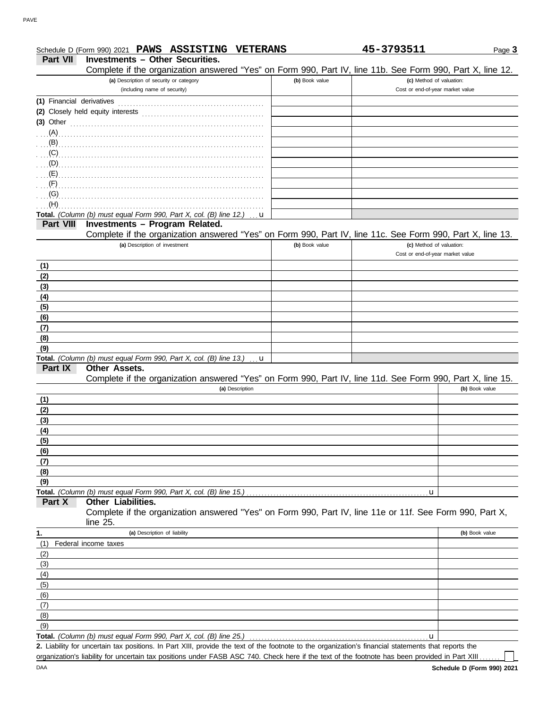|                           | Schedule D (Form 990) 2021 PAWS ASSISTING VETERANS                                                                                                                                                                                                    |   |                | 45-3793511                       | Page 3         |
|---------------------------|-------------------------------------------------------------------------------------------------------------------------------------------------------------------------------------------------------------------------------------------------------|---|----------------|----------------------------------|----------------|
| <b>Part VII</b>           | <b>Investments - Other Securities.</b>                                                                                                                                                                                                                |   |                |                                  |                |
|                           | Complete if the organization answered "Yes" on Form 990, Part IV, line 11b. See Form 990, Part X, line 12.                                                                                                                                            |   |                |                                  |                |
|                           | (a) Description of security or category                                                                                                                                                                                                               |   | (b) Book value | (c) Method of valuation:         |                |
|                           | (including name of security)                                                                                                                                                                                                                          |   |                | Cost or end-of-year market value |                |
| (1) Financial derivatives |                                                                                                                                                                                                                                                       |   |                |                                  |                |
|                           |                                                                                                                                                                                                                                                       |   |                |                                  |                |
|                           | (3) Other $\ldots$                                                                                                                                                                                                                                    |   |                |                                  |                |
|                           | (A)                                                                                                                                                                                                                                                   |   |                |                                  |                |
|                           |                                                                                                                                                                                                                                                       |   |                |                                  |                |
|                           |                                                                                                                                                                                                                                                       |   |                |                                  |                |
|                           |                                                                                                                                                                                                                                                       |   |                |                                  |                |
|                           | $\mathbf{E} = \mathbf{E} \left( \mathbf{E} \right)$ , and the substitution of the substitution of the substitution of the substitution of the substitution of the substitution of the substitution of the substitution of the substitution of the sub |   |                |                                  |                |
|                           |                                                                                                                                                                                                                                                       |   |                |                                  |                |
| (G)                       |                                                                                                                                                                                                                                                       |   |                |                                  |                |
| (H)                       |                                                                                                                                                                                                                                                       |   |                |                                  |                |
|                           | Total. (Column (b) must equal Form 990, Part X, col. (B) line 12.)                                                                                                                                                                                    | u |                |                                  |                |
| <b>Part VIII</b>          | <b>Investments - Program Related.</b>                                                                                                                                                                                                                 |   |                |                                  |                |
|                           | Complete if the organization answered "Yes" on Form 990, Part IV, line 11c. See Form 990, Part X, line 13.                                                                                                                                            |   | (b) Book value | (c) Method of valuation:         |                |
|                           | (a) Description of investment                                                                                                                                                                                                                         |   |                | Cost or end-of-year market value |                |
|                           |                                                                                                                                                                                                                                                       |   |                |                                  |                |
| (1)                       |                                                                                                                                                                                                                                                       |   |                |                                  |                |
| (2)                       |                                                                                                                                                                                                                                                       |   |                |                                  |                |
| (3)<br>(4)                |                                                                                                                                                                                                                                                       |   |                |                                  |                |
| (5)                       |                                                                                                                                                                                                                                                       |   |                |                                  |                |
| (6)                       |                                                                                                                                                                                                                                                       |   |                |                                  |                |
| (7)                       |                                                                                                                                                                                                                                                       |   |                |                                  |                |
| (8)                       |                                                                                                                                                                                                                                                       |   |                |                                  |                |
| (9)                       |                                                                                                                                                                                                                                                       |   |                |                                  |                |
|                           | Total. (Column (b) must equal Form 990, Part X, col. (B) line 13.)                                                                                                                                                                                    | u |                |                                  |                |
| Part IX                   | Other Assets.                                                                                                                                                                                                                                         |   |                |                                  |                |
|                           | Complete if the organization answered "Yes" on Form 990, Part IV, line 11d. See Form 990, Part X, line 15.                                                                                                                                            |   |                |                                  |                |
|                           | (a) Description                                                                                                                                                                                                                                       |   |                |                                  | (b) Book value |
| (1)                       |                                                                                                                                                                                                                                                       |   |                |                                  |                |
| (2)                       |                                                                                                                                                                                                                                                       |   |                |                                  |                |
| (3)                       |                                                                                                                                                                                                                                                       |   |                |                                  |                |
| (4)                       |                                                                                                                                                                                                                                                       |   |                |                                  |                |
| (5)                       |                                                                                                                                                                                                                                                       |   |                |                                  |                |
| (6)                       |                                                                                                                                                                                                                                                       |   |                |                                  |                |
| (7)                       |                                                                                                                                                                                                                                                       |   |                |                                  |                |
| (8)                       |                                                                                                                                                                                                                                                       |   |                |                                  |                |
| (9)                       |                                                                                                                                                                                                                                                       |   |                |                                  |                |
|                           | Total. (Column (b) must equal Form 990, Part X, col. (B) line 15.)                                                                                                                                                                                    |   |                | $\mathbf u$                      |                |
| Part X                    | Other Liabilities.                                                                                                                                                                                                                                    |   |                |                                  |                |
|                           | Complete if the organization answered "Yes" on Form 990, Part IV, line 11e or 11f. See Form 990, Part X,                                                                                                                                              |   |                |                                  |                |
|                           | line 25.                                                                                                                                                                                                                                              |   |                |                                  |                |
| 1.                        | (a) Description of liability                                                                                                                                                                                                                          |   |                |                                  | (b) Book value |
| (1)                       | Federal income taxes                                                                                                                                                                                                                                  |   |                |                                  |                |
| (2)                       |                                                                                                                                                                                                                                                       |   |                |                                  |                |
| (3)                       |                                                                                                                                                                                                                                                       |   |                |                                  |                |
| (4)<br>(5)                |                                                                                                                                                                                                                                                       |   |                |                                  |                |
| (6)                       |                                                                                                                                                                                                                                                       |   |                |                                  |                |
| (7)                       |                                                                                                                                                                                                                                                       |   |                |                                  |                |
| (8)                       |                                                                                                                                                                                                                                                       |   |                |                                  |                |
|                           |                                                                                                                                                                                                                                                       |   |                |                                  |                |
| (9)                       |                                                                                                                                                                                                                                                       |   |                |                                  |                |

Total. *(Column (b) must equal Form 990, Part X, col. (B) line 25.)* 

Liability for uncertain tax positions. In Part XIII, provide the text of the footnote to the organization's financial statements that reports the **2.** organization's liability for uncertain tax positions under FASB ASC 740. Check here if the text of the footnote has been provided in Part XIII..

 $\perp$ 

u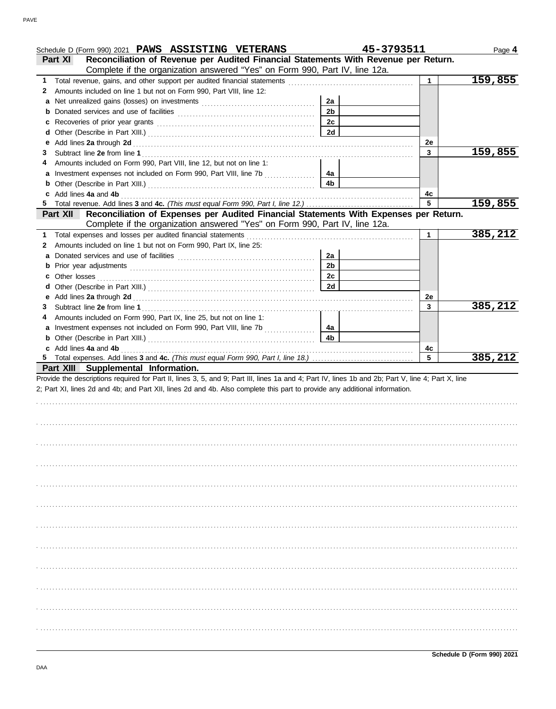|    | Schedule D (Form 990) 2021 PAWS ASSISTING VETERANS                                                                                                 |                | 45-3793511 | Page 4  |
|----|----------------------------------------------------------------------------------------------------------------------------------------------------|----------------|------------|---------|
|    | Reconciliation of Revenue per Audited Financial Statements With Revenue per Return.<br><b>Part XI</b>                                              |                |            |         |
|    | Complete if the organization answered "Yes" on Form 990, Part IV, line 12a.                                                                        |                |            |         |
| 1. | Total revenue, gains, and other support per audited financial statements                                                                           |                |            | 159,855 |
| 2  | Amounts included on line 1 but not on Form 990, Part VIII, line 12:                                                                                |                |            |         |
| a  |                                                                                                                                                    | 2a             |            |         |
| b  |                                                                                                                                                    | 2 <sub>b</sub> |            |         |
| c  |                                                                                                                                                    | 2c             |            |         |
| d  |                                                                                                                                                    | 2d             |            |         |
| е  |                                                                                                                                                    |                | 2e         |         |
| 3  |                                                                                                                                                    |                | 3          | 159,855 |
| 4  | Amounts included on Form 990, Part VIII, line 12, but not on line 1:                                                                               |                |            |         |
| a  | Investment expenses not included on Form 990, Part VIII, line 7b [[[[[[[[[[[[[[[[[[[[[[[[]]]]]]]]]                                                 | 4a             |            |         |
| b  |                                                                                                                                                    | 4b             |            |         |
|    | Add lines 4a and 4b                                                                                                                                |                | 4c         |         |
| 5  |                                                                                                                                                    |                | 5          | 159,855 |
|    | Reconciliation of Expenses per Audited Financial Statements With Expenses per Return.<br><b>Part XII</b>                                           |                |            |         |
|    | Complete if the organization answered "Yes" on Form 990, Part IV, line 12a.                                                                        |                |            |         |
| 1  | Total expenses and losses per audited financial statements                                                                                         |                | 1          | 385,212 |
| 2  | Amounts included on line 1 but not on Form 990, Part IX, line 25:                                                                                  |                |            |         |
| a  |                                                                                                                                                    | 2a             |            |         |
| b  |                                                                                                                                                    | 2 <sub>b</sub> |            |         |
| c  | Other losses                                                                                                                                       | 2c             |            |         |
| d  |                                                                                                                                                    | 2d             |            |         |
| е  |                                                                                                                                                    |                | 2e         |         |
| 3  |                                                                                                                                                    |                | 3          | 385,212 |
| 4  | Amounts included on Form 990, Part IX, line 25, but not on line 1:                                                                                 |                |            |         |
| a  |                                                                                                                                                    | 4a             |            |         |
| b  |                                                                                                                                                    | 4b             |            |         |
|    |                                                                                                                                                    |                |            |         |
|    | c Add lines 4a and 4b                                                                                                                              |                | 4c         |         |
|    |                                                                                                                                                    |                | 5          | 385,212 |
|    | Part XIII Supplemental Information.                                                                                                                |                |            |         |
|    | Provide the descriptions required for Part II, lines 3, 5, and 9; Part III, lines 1a and 4; Part IV, lines 1b and 2b; Part V, line 4; Part X, line |                |            |         |
|    | 2; Part XI, lines 2d and 4b; and Part XII, lines 2d and 4b. Also complete this part to provide any additional information.                         |                |            |         |
|    |                                                                                                                                                    |                |            |         |
|    |                                                                                                                                                    |                |            |         |
|    |                                                                                                                                                    |                |            |         |
|    |                                                                                                                                                    |                |            |         |
|    |                                                                                                                                                    |                |            |         |
|    |                                                                                                                                                    |                |            |         |
|    |                                                                                                                                                    |                |            |         |
|    |                                                                                                                                                    |                |            |         |
|    |                                                                                                                                                    |                |            |         |
|    |                                                                                                                                                    |                |            |         |
|    |                                                                                                                                                    |                |            |         |
|    |                                                                                                                                                    |                |            |         |
|    |                                                                                                                                                    |                |            |         |
|    |                                                                                                                                                    |                |            |         |
|    |                                                                                                                                                    |                |            |         |
|    |                                                                                                                                                    |                |            |         |
|    |                                                                                                                                                    |                |            |         |
|    |                                                                                                                                                    |                |            |         |
|    |                                                                                                                                                    |                |            |         |
|    |                                                                                                                                                    |                |            |         |
|    |                                                                                                                                                    |                |            |         |
|    |                                                                                                                                                    |                |            |         |
|    |                                                                                                                                                    |                |            |         |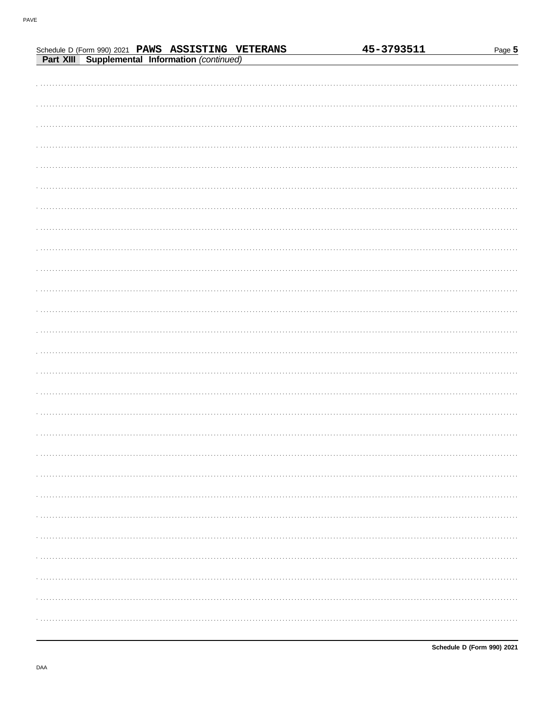| Schedule D (Form 990) 2021 PAWS ASSISTING VETERANS | 45-3793511<br>Page 5 |  |
|----------------------------------------------------|----------------------|--|
| Part XIII Supplemental Information (continued)     |                      |  |
|                                                    |                      |  |
|                                                    |                      |  |
|                                                    |                      |  |
|                                                    |                      |  |
|                                                    |                      |  |
|                                                    |                      |  |
|                                                    |                      |  |
|                                                    |                      |  |
|                                                    |                      |  |
|                                                    |                      |  |
|                                                    |                      |  |
|                                                    |                      |  |
|                                                    |                      |  |
|                                                    |                      |  |
|                                                    |                      |  |
|                                                    |                      |  |
|                                                    |                      |  |
|                                                    |                      |  |
|                                                    |                      |  |
|                                                    |                      |  |
|                                                    |                      |  |
|                                                    |                      |  |
|                                                    |                      |  |
|                                                    |                      |  |
|                                                    |                      |  |
|                                                    |                      |  |
|                                                    |                      |  |
|                                                    |                      |  |
|                                                    |                      |  |
|                                                    |                      |  |
|                                                    |                      |  |
|                                                    |                      |  |
|                                                    |                      |  |
|                                                    |                      |  |
|                                                    |                      |  |
|                                                    |                      |  |
|                                                    |                      |  |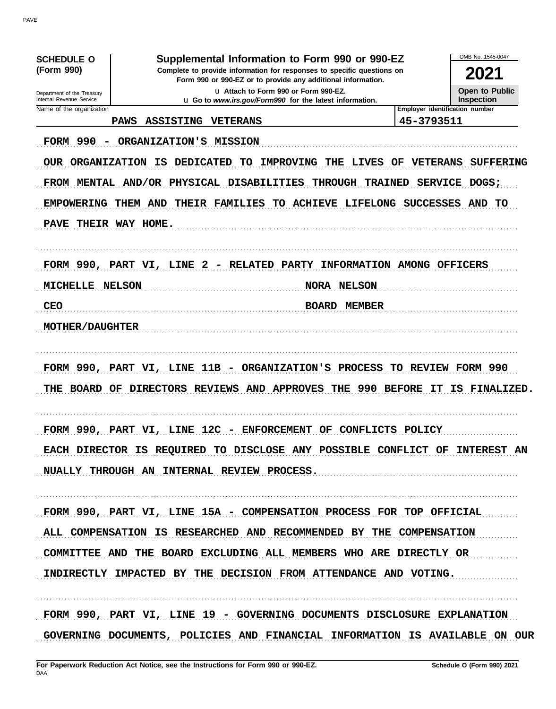| (Form 990)                                           | Complete to provide information for responses to specific questions on     | Form 990 or 990-EZ or to provide any additional information. |                                  | 2021                                                |
|------------------------------------------------------|----------------------------------------------------------------------------|--------------------------------------------------------------|----------------------------------|-----------------------------------------------------|
| Department of the Treasury                           |                                                                            | u Attach to Form 990 or Form 990-EZ.                         |                                  | Open to Public                                      |
| Internal Revenue Service<br>Name of the organization |                                                                            | u Go to www.irs.gov/Form990 for the latest information.      |                                  | <b>Inspection</b><br>Employer identification number |
| <b>PAWS</b>                                          | <b>ASSISTING</b><br><b>VETERANS</b>                                        |                                                              | 45-3793511                       |                                                     |
| FORM 990 -                                           | <b>ORGANIZATION'S MISSION</b>                                              |                                                              |                                  |                                                     |
| OUR ORGANIZATION IS                                  | <b>DEDICATED</b><br>TО                                                     | IMPROVING<br>LIVES<br>THE                                    | <b>VETERANS</b><br><b>OF</b>     | <b>SUFFERING</b>                                    |
|                                                      | FROM MENTAL AND/OR PHYSICAL DISABILITIES                                   | <b>THROUGH</b>                                               | <b>TRAINED</b><br><b>SERVICE</b> | DOGS;                                               |
| <b>EMPOWERING</b>                                    | THEM AND<br>THEIR FAMILIES                                                 | TO ACHIEVE LIFELONG SUCCESSES AND TO                         |                                  |                                                     |
| PAVE THEIR WAY HOME.                                 |                                                                            |                                                              |                                  |                                                     |
|                                                      |                                                                            |                                                              |                                  |                                                     |
|                                                      | FORM 990, PART VI, LINE 2 - RELATED PARTY INFORMATION AMONG OFFICERS       |                                                              |                                  |                                                     |
| MICHELLE NELSON                                      |                                                                            | <b>NORA NELSON</b>                                           |                                  |                                                     |
| <b>CEO</b>                                           |                                                                            | <b>BOARD MEMBER</b>                                          |                                  |                                                     |
| <b>MOTHER/DAUGHTER</b>                               |                                                                            |                                                              |                                  |                                                     |
|                                                      |                                                                            |                                                              |                                  |                                                     |
|                                                      |                                                                            |                                                              |                                  |                                                     |
|                                                      | FORM 990, PART VI, LINE 11B - ORGANIZATION'S PROCESS TO REVIEW FORM 990    |                                                              |                                  |                                                     |
| THE                                                  | BOARD OF DIRECTORS REVIEWS AND APPROVES                                    |                                                              | THE 990 BEFORE<br>TT.            | IS FINALIZED.                                       |
|                                                      |                                                                            |                                                              |                                  |                                                     |
|                                                      | FORM 990, PART VI, LINE 12C - ENFORCEMENT OF CONFLICTS POLICY              |                                                              |                                  |                                                     |
|                                                      | EACH DIRECTOR IS REQUIRED TO DISCLOSE ANY POSSIBLE CONFLICT OF INTEREST AN |                                                              |                                  |                                                     |
|                                                      |                                                                            |                                                              |                                  |                                                     |
|                                                      | NUALLY THROUGH AN INTERNAL REVIEW PROCESS.                                 |                                                              |                                  |                                                     |
|                                                      | FORM 990, PART VI, LINE 15A - COMPENSATION PROCESS FOR TOP OFFICIAL        |                                                              |                                  |                                                     |
|                                                      |                                                                            |                                                              |                                  |                                                     |
|                                                      | ALL COMPENSATION IS RESEARCHED AND RECOMMENDED BY THE COMPENSATION         |                                                              |                                  |                                                     |
|                                                      | COMMITTEE AND THE BOARD EXCLUDING ALL MEMBERS WHO ARE DIRECTLY OR          |                                                              |                                  |                                                     |
|                                                      | INDIRECTLY IMPACTED BY THE DECISION FROM ATTENDANCE AND VOTING.            |                                                              |                                  |                                                     |
|                                                      |                                                                            |                                                              |                                  |                                                     |
|                                                      |                                                                            |                                                              |                                  |                                                     |
|                                                      | FORM 990, PART VI, LINE 19 - GOVERNING DOCUMENTS DISCLOSURE EXPLANATION    |                                                              |                                  |                                                     |